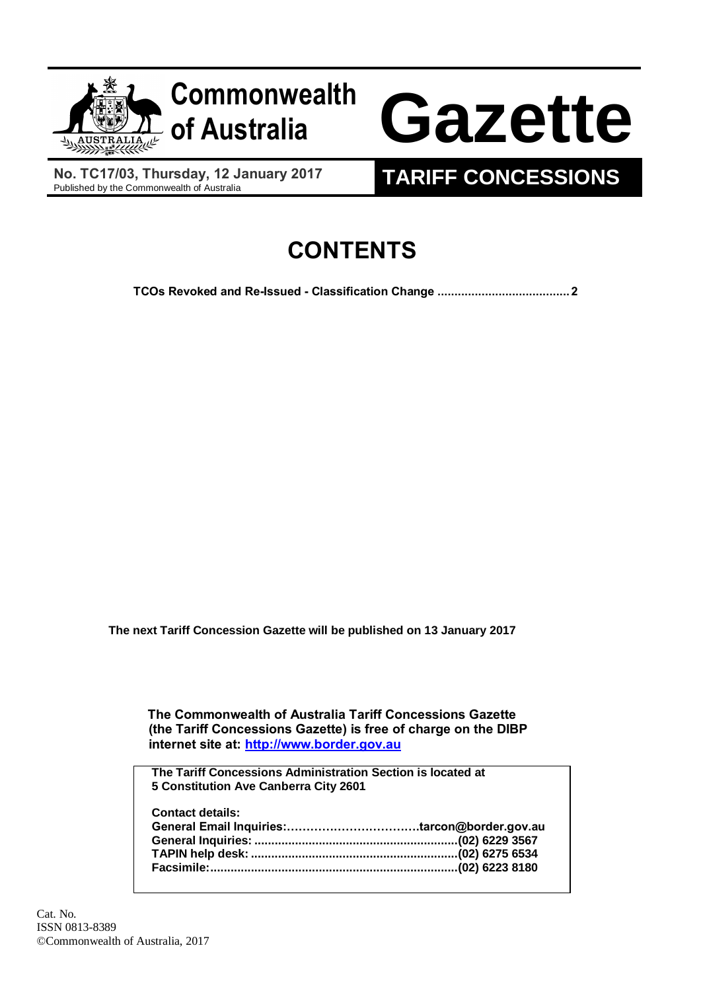

**No. TC17/03, Thursday, 12 January 2017**<br>Published by the Commonwealth of Australia

## **TARIFF CONCESSIONS**

## **CONTENTS**

**[TCOs Revoked and Re-Issued -](#page-1-0) Classification Change .......................................2**

**The next Tariff Concession Gazette will be published on 13 January 2017**

 **The Commonwealth of Australia Tariff Concessions Gazette (the Tariff Concessions Gazette) is free of charge on the DIBP internet site at: [http://www.border.gov.au](http://www.border.gov.au/)**

**The Tariff Concessions Administration Section is located at 5 Constitution Ave Canberra City 2601**

| <b>Contact details:</b> |  |
|-------------------------|--|
|                         |  |
|                         |  |
|                         |  |
|                         |  |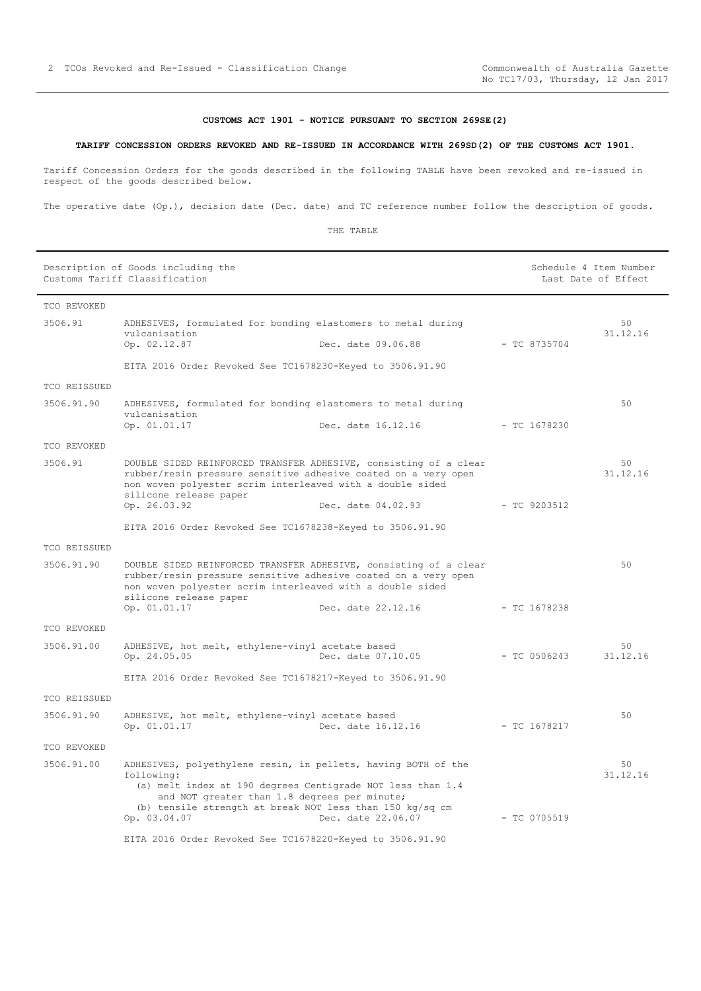## **CUSTOMS ACT 1901 - NOTICE PURSUANT TO SECTION 269SE(2)**

## <span id="page-1-0"></span>**TARIFF CONCESSION ORDERS REVOKED AND RE-ISSUED IN ACCORDANCE WITH 269SD(2) OF THE CUSTOMS ACT 1901.**

Tariff Concession Orders for the goods described in the following TABLE have been revoked and re-issued in respect of the goods described below.

The operative date (Op.), decision date (Dec. date) and TC reference number follow the description of goods.

THE TABLE

|              | Description of Goods including the<br>Customs Tariff Classification                                                                                                                                                                                                   |                    | Schedule 4 Item Number<br>Last Date of Effect |                |
|--------------|-----------------------------------------------------------------------------------------------------------------------------------------------------------------------------------------------------------------------------------------------------------------------|--------------------|-----------------------------------------------|----------------|
| TCO REVOKED  |                                                                                                                                                                                                                                                                       |                    |                                               |                |
| 3506.91      | ADHESIVES, formulated for bonding elastomers to metal during<br>vulcanisation                                                                                                                                                                                         |                    |                                               | 50<br>31.12.16 |
|              | Op. 02.12.87                                                                                                                                                                                                                                                          | Dec. date 09.06.88 | $-$ TC 8735704                                |                |
|              | EITA 2016 Order Revoked See TC1678230-Keyed to 3506.91.90                                                                                                                                                                                                             |                    |                                               |                |
| TCO REISSUED |                                                                                                                                                                                                                                                                       |                    |                                               |                |
| 3506.91.90   | ADHESIVES, formulated for bonding elastomers to metal during<br>vulcanisation                                                                                                                                                                                         |                    |                                               | 50             |
|              | Op. 01.01.17                                                                                                                                                                                                                                                          | Dec. date 16.12.16 | $-$ TC 1678230                                |                |
| TCO REVOKED  |                                                                                                                                                                                                                                                                       |                    |                                               |                |
| 3506.91      | DOUBLE SIDED REINFORCED TRANSFER ADHESIVE, consisting of a clear<br>rubber/resin pressure sensitive adhesive coated on a very open<br>non woven polyester scrim interleaved with a double sided<br>silicone release paper                                             |                    |                                               | 50<br>31.12.16 |
|              | Op. 26.03.92                                                                                                                                                                                                                                                          | Dec. date 04.02.93 | $-$ TC 9203512                                |                |
|              | EITA 2016 Order Revoked See TC1678238-Keyed to 3506.91.90                                                                                                                                                                                                             |                    |                                               |                |
| TCO REISSUED |                                                                                                                                                                                                                                                                       |                    |                                               |                |
| 3506.91.90   | DOUBLE SIDED REINFORCED TRANSFER ADHESIVE, consisting of a clear<br>rubber/resin pressure sensitive adhesive coated on a very open<br>non woven polyester scrim interleaved with a double sided<br>silicone release paper                                             |                    |                                               | 50             |
|              | Op. 01.01.17                                                                                                                                                                                                                                                          | Dec. date 22.12.16 | $-$ TC 1678238                                |                |
| TCO REVOKED  |                                                                                                                                                                                                                                                                       |                    |                                               |                |
| 3506.91.00   | ADHESIVE, hot melt, ethylene-vinyl acetate based<br>Op. 24.05.05                                                                                                                                                                                                      | Dec. date 07.10.05 | $-$ TC 0506243                                | 50<br>31.12.16 |
|              | EITA 2016 Order Revoked See TC1678217-Keyed to 3506.91.90                                                                                                                                                                                                             |                    |                                               |                |
| TCO REISSUED |                                                                                                                                                                                                                                                                       |                    |                                               |                |
| 3506.91.90   | ADHESIVE, hot melt, ethylene-vinyl acetate based<br>Op. 01.01.17                                                                                                                                                                                                      | Dec. date 16.12.16 | - TC 1678217                                  | 50             |
| TCO REVOKED  |                                                                                                                                                                                                                                                                       |                    |                                               |                |
| 3506.91.00   | ADHESIVES, polyethylene resin, in pellets, having BOTH of the<br>following:<br>(a) melt index at 190 degrees Centigrade NOT less than 1.4<br>and NOT greater than 1.8 degrees per minute;<br>(b) tensile strength at break NOT less than 150 kg/sq cm<br>Op. 03.04.07 | Dec. date 22.06.07 | $-$ TC 0705519                                | 50<br>31.12.16 |
|              | EITA 2016 Order Revoked See TC1678220-Keyed to 3506.91.90                                                                                                                                                                                                             |                    |                                               |                |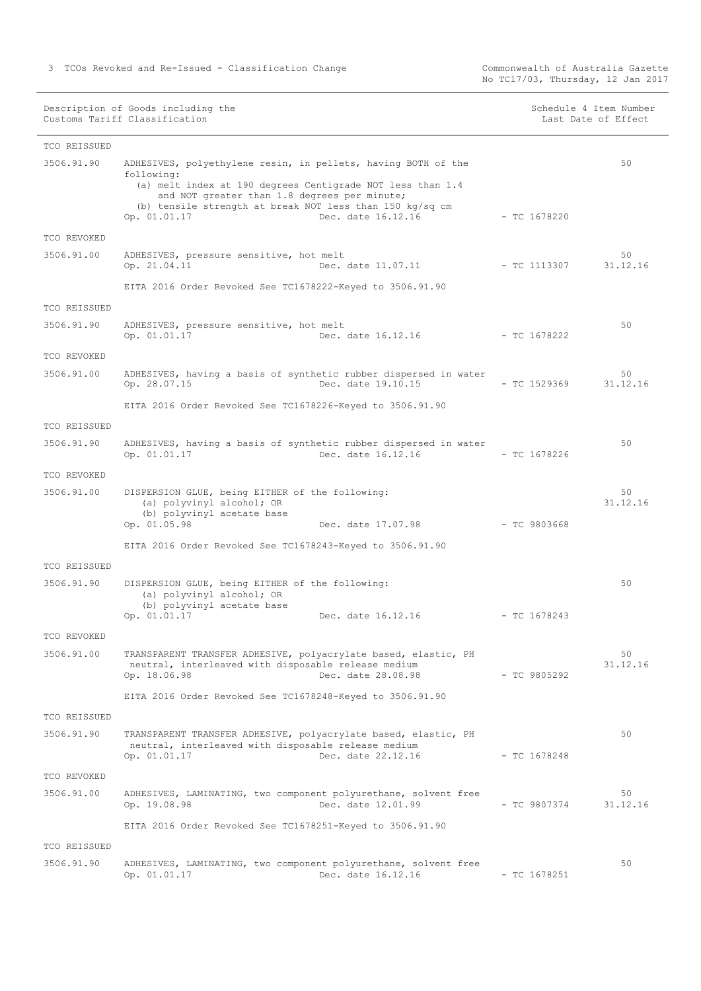Commonwealth of Australia Gazette<br>No TC17/03, Thursday, 12 Jan 2017

|  |  | Schedule 4 Item Number |  |
|--|--|------------------------|--|
|  |  | Last Date of Effect    |  |

| TCO REISSUED |                                                                                                                                                                                                                                                                                             |                |                |
|--------------|---------------------------------------------------------------------------------------------------------------------------------------------------------------------------------------------------------------------------------------------------------------------------------------------|----------------|----------------|
| 3506.91.90   | ADHESIVES, polyethylene resin, in pellets, having BOTH of the<br>following:<br>(a) melt index at 190 degrees Centigrade NOT less than 1.4<br>and NOT greater than 1.8 degrees per minute;<br>(b) tensile strength at break NOT less than 150 kg/sq cm<br>Dec. date 16.12.16<br>Op. 01.01.17 | $-$ TC 1678220 | 50             |
| TCO REVOKED  |                                                                                                                                                                                                                                                                                             |                |                |
| 3506.91.00   | ADHESIVES, pressure sensitive, hot melt<br>Dec. date 11.07.11<br>Op. 21.04.11                                                                                                                                                                                                               | $-$ TC 1113307 | 50<br>31.12.16 |
|              | EITA 2016 Order Revoked See TC1678222-Keyed to 3506.91.90                                                                                                                                                                                                                                   |                |                |
| TCO REISSUED |                                                                                                                                                                                                                                                                                             |                |                |
| 3506.91.90   | ADHESIVES, pressure sensitive, hot melt<br>Op. 01.01.17<br>Dec. date 16.12.16                                                                                                                                                                                                               | $-$ TC 1678222 | 50             |
| TCO REVOKED  |                                                                                                                                                                                                                                                                                             |                |                |
| 3506.91.00   | ADHESIVES, having a basis of synthetic rubber dispersed in water<br>Op. 28.07.15<br>Dec. date 19.10.15                                                                                                                                                                                      | $-$ TC 1529369 | 50<br>31.12.16 |
|              | EITA 2016 Order Revoked See TC1678226-Keyed to 3506.91.90                                                                                                                                                                                                                                   |                |                |
| TCO REISSUED |                                                                                                                                                                                                                                                                                             |                |                |
| 3506.91.90   | ADHESIVES, having a basis of synthetic rubber dispersed in water<br>Op. 01.01.17<br>Dec. date 16.12.16                                                                                                                                                                                      | $-$ TC 1678226 | 50             |
| TCO REVOKED  |                                                                                                                                                                                                                                                                                             |                |                |
| 3506.91.00   | DISPERSION GLUE, being EITHER of the following:<br>(a) polyvinyl alcohol; OR<br>(b) polyvinyl acetate base<br>Op. 01.05.98<br>Dec. date 17.07.98                                                                                                                                            | $-$ TC 9803668 | 50<br>31.12.16 |
|              | EITA 2016 Order Revoked See TC1678243-Keyed to 3506.91.90                                                                                                                                                                                                                                   |                |                |
| TCO REISSUED |                                                                                                                                                                                                                                                                                             |                |                |
| 3506.91.90   | DISPERSION GLUE, being EITHER of the following:<br>(a) polyvinyl alcohol; OR<br>(b) polyvinyl acetate base<br>Op. 01.01.17<br>Dec. date 16.12.16                                                                                                                                            | $-$ TC 1678243 | 50             |
| TCO REVOKED  |                                                                                                                                                                                                                                                                                             |                |                |
| 3506.91.00   | TRANSPARENT TRANSFER ADHESIVE, polyacrylate based, elastic, PH<br>neutral, interleaved with disposable release medium<br>Op. 18.06.98<br>Dec. date 28.08.98                                                                                                                                 | $-$ TC 9805292 | 50<br>31.12.16 |
|              | EITA 2016 Order Revoked See TC1678248-Keyed to 3506.91.90                                                                                                                                                                                                                                   |                |                |
| TCO REISSUED |                                                                                                                                                                                                                                                                                             |                |                |
| 3506.91.90   | TRANSPARENT TRANSFER ADHESIVE, polyacrylate based, elastic, PH<br>neutral, interleaved with disposable release medium<br>Dec. date 22.12.16<br>Op. 01.01.17                                                                                                                                 | $-$ TC 1678248 | 50             |
| TCO REVOKED  |                                                                                                                                                                                                                                                                                             |                |                |
| 3506.91.00   | ADHESIVES, LAMINATING, two component polyurethane, solvent free<br>Op. 19.08.98<br>Dec. date 12.01.99                                                                                                                                                                                       | $-$ TC 9807374 | 50<br>31.12.16 |
|              | EITA 2016 Order Revoked See TC1678251-Keyed to 3506.91.90                                                                                                                                                                                                                                   |                |                |
| TCO REISSUED |                                                                                                                                                                                                                                                                                             |                |                |
| 3506.91.90   | ADHESIVES, LAMINATING, two component polyurethane, solvent free<br>Dec. date 16.12.16<br>Op. 01.01.17                                                                                                                                                                                       | $- TC 1678251$ | 50             |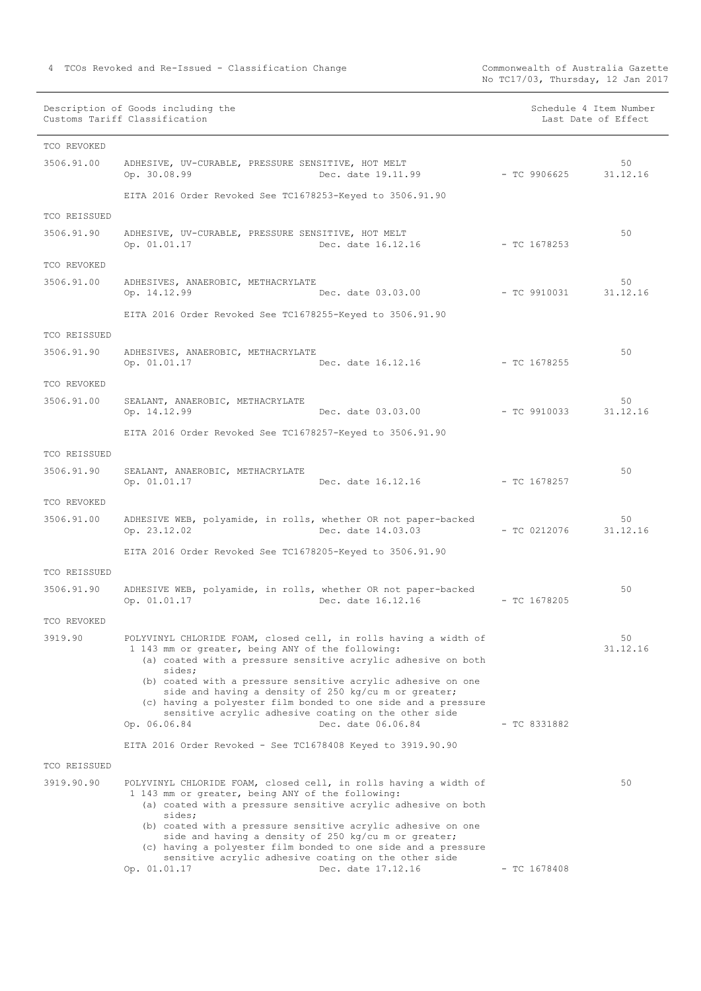Commonwealth of Australia Gazette<br>No TC17/03, Thursday, 12 Jan 2017

| TCO REVOKED<br>3506.91.00<br>ADHESIVE, UV-CURABLE, PRESSURE SENSITIVE, HOT MELT<br>50<br>Dec. date 19.11.99<br>Op. 30.08.99<br>- TC 9906625<br>31.12.16<br>EITA 2016 Order Revoked See TC1678253-Keyed to 3506.91.90<br>TCO REISSUED<br>50<br>3506.91.90<br>ADHESIVE, UV-CURABLE, PRESSURE SENSITIVE, HOT MELT<br>Op. 01.01.17<br>Dec. date 16.12.16<br>- TC 1678253<br>TCO REVOKED<br>3506.91.00<br>50<br>ADHESIVES, ANAEROBIC, METHACRYLATE<br>Op. 14.12.99<br>Dec. date 03.03.00<br>- TC 9910031<br>31.12.16<br>EITA 2016 Order Revoked See TC1678255-Keyed to 3506.91.90<br>TCO REISSUED<br>50<br>3506.91.90<br>ADHESIVES, ANAEROBIC, METHACRYLATE<br>$-$ TC 1678255<br>Op. 01.01.17<br>Dec. date 16.12.16<br>TCO REVOKED<br>3506.91.00<br>50<br>SEALANT, ANAEROBIC, METHACRYLATE<br>31.12.16<br>Op. 14.12.99<br>Dec. date 03.03.00<br>- TC 9910033<br>EITA 2016 Order Revoked See TC1678257-Keyed to 3506.91.90<br>TCO REISSUED<br>3506.91.90<br>50<br>SEALANT, ANAEROBIC, METHACRYLATE<br>Dec. date 16.12.16<br>Op. 01.01.17<br>- TC 1678257<br>TCO REVOKED<br>3506.91.00<br>ADHESIVE WEB, polyamide, in rolls, whether OR not paper-backed<br>50<br>Dec. date 14.03.03<br>Op. 23.12.02<br>$-$ TC 0212076<br>31.12.16<br>EITA 2016 Order Revoked See TC1678205-Keyed to 3506.91.90<br>TCO REISSUED<br>3506.91.90<br>ADHESIVE WEB, polyamide, in rolls, whether OR not paper-backed<br>50<br>Dec. date 16.12.16<br>$-$ TC 1678205<br>Op. 01.01.17<br>TCO REVOKED<br>50<br>3919.90<br>POLYVINYL CHLORIDE FOAM, closed cell, in rolls having a width of<br>1 143 mm or greater, being ANY of the following:<br>31.12.16<br>(a) coated with a pressure sensitive acrylic adhesive on both<br>sides;<br>(b) coated with a pressure sensitive acrylic adhesive on one<br>side and having a density of 250 kg/cu m or greater;<br>(c) having a polyester film bonded to one side and a pressure<br>sensitive acrylic adhesive coating on the other side<br>Dec. date 06.06.84<br>$-$ TC 8331882<br>Op. 06.06.84<br>EITA 2016 Order Revoked - See TC1678408 Keyed to 3919.90.90<br>TCO REISSUED<br>3919.90.90<br>POLYVINYL CHLORIDE FOAM, closed cell, in rolls having a width of<br>50<br>1 143 mm or greater, being ANY of the following:<br>(a) coated with a pressure sensitive acrylic adhesive on both<br>sides;<br>(b) coated with a pressure sensitive acrylic adhesive on one<br>side and having a density of 250 kg/cu m or greater; | Description of Goods including the<br>Customs Tariff Classification |  | Schedule 4 Item Number<br>Last Date of Effect |
|----------------------------------------------------------------------------------------------------------------------------------------------------------------------------------------------------------------------------------------------------------------------------------------------------------------------------------------------------------------------------------------------------------------------------------------------------------------------------------------------------------------------------------------------------------------------------------------------------------------------------------------------------------------------------------------------------------------------------------------------------------------------------------------------------------------------------------------------------------------------------------------------------------------------------------------------------------------------------------------------------------------------------------------------------------------------------------------------------------------------------------------------------------------------------------------------------------------------------------------------------------------------------------------------------------------------------------------------------------------------------------------------------------------------------------------------------------------------------------------------------------------------------------------------------------------------------------------------------------------------------------------------------------------------------------------------------------------------------------------------------------------------------------------------------------------------------------------------------------------------------------------------------------------------------------------------------------------------------------------------------------------------------------------------------------------------------------------------------------------------------------------------------------------------------------------------------------------------------------------------------------------------------------------------------------------------------------------------------------------------------------------------------------------------------------------------|---------------------------------------------------------------------|--|-----------------------------------------------|
|                                                                                                                                                                                                                                                                                                                                                                                                                                                                                                                                                                                                                                                                                                                                                                                                                                                                                                                                                                                                                                                                                                                                                                                                                                                                                                                                                                                                                                                                                                                                                                                                                                                                                                                                                                                                                                                                                                                                                                                                                                                                                                                                                                                                                                                                                                                                                                                                                                              |                                                                     |  |                                               |
|                                                                                                                                                                                                                                                                                                                                                                                                                                                                                                                                                                                                                                                                                                                                                                                                                                                                                                                                                                                                                                                                                                                                                                                                                                                                                                                                                                                                                                                                                                                                                                                                                                                                                                                                                                                                                                                                                                                                                                                                                                                                                                                                                                                                                                                                                                                                                                                                                                              |                                                                     |  |                                               |
|                                                                                                                                                                                                                                                                                                                                                                                                                                                                                                                                                                                                                                                                                                                                                                                                                                                                                                                                                                                                                                                                                                                                                                                                                                                                                                                                                                                                                                                                                                                                                                                                                                                                                                                                                                                                                                                                                                                                                                                                                                                                                                                                                                                                                                                                                                                                                                                                                                              |                                                                     |  |                                               |
|                                                                                                                                                                                                                                                                                                                                                                                                                                                                                                                                                                                                                                                                                                                                                                                                                                                                                                                                                                                                                                                                                                                                                                                                                                                                                                                                                                                                                                                                                                                                                                                                                                                                                                                                                                                                                                                                                                                                                                                                                                                                                                                                                                                                                                                                                                                                                                                                                                              |                                                                     |  |                                               |
|                                                                                                                                                                                                                                                                                                                                                                                                                                                                                                                                                                                                                                                                                                                                                                                                                                                                                                                                                                                                                                                                                                                                                                                                                                                                                                                                                                                                                                                                                                                                                                                                                                                                                                                                                                                                                                                                                                                                                                                                                                                                                                                                                                                                                                                                                                                                                                                                                                              |                                                                     |  |                                               |
|                                                                                                                                                                                                                                                                                                                                                                                                                                                                                                                                                                                                                                                                                                                                                                                                                                                                                                                                                                                                                                                                                                                                                                                                                                                                                                                                                                                                                                                                                                                                                                                                                                                                                                                                                                                                                                                                                                                                                                                                                                                                                                                                                                                                                                                                                                                                                                                                                                              |                                                                     |  |                                               |
|                                                                                                                                                                                                                                                                                                                                                                                                                                                                                                                                                                                                                                                                                                                                                                                                                                                                                                                                                                                                                                                                                                                                                                                                                                                                                                                                                                                                                                                                                                                                                                                                                                                                                                                                                                                                                                                                                                                                                                                                                                                                                                                                                                                                                                                                                                                                                                                                                                              |                                                                     |  |                                               |
|                                                                                                                                                                                                                                                                                                                                                                                                                                                                                                                                                                                                                                                                                                                                                                                                                                                                                                                                                                                                                                                                                                                                                                                                                                                                                                                                                                                                                                                                                                                                                                                                                                                                                                                                                                                                                                                                                                                                                                                                                                                                                                                                                                                                                                                                                                                                                                                                                                              |                                                                     |  |                                               |
|                                                                                                                                                                                                                                                                                                                                                                                                                                                                                                                                                                                                                                                                                                                                                                                                                                                                                                                                                                                                                                                                                                                                                                                                                                                                                                                                                                                                                                                                                                                                                                                                                                                                                                                                                                                                                                                                                                                                                                                                                                                                                                                                                                                                                                                                                                                                                                                                                                              |                                                                     |  |                                               |
|                                                                                                                                                                                                                                                                                                                                                                                                                                                                                                                                                                                                                                                                                                                                                                                                                                                                                                                                                                                                                                                                                                                                                                                                                                                                                                                                                                                                                                                                                                                                                                                                                                                                                                                                                                                                                                                                                                                                                                                                                                                                                                                                                                                                                                                                                                                                                                                                                                              |                                                                     |  |                                               |
|                                                                                                                                                                                                                                                                                                                                                                                                                                                                                                                                                                                                                                                                                                                                                                                                                                                                                                                                                                                                                                                                                                                                                                                                                                                                                                                                                                                                                                                                                                                                                                                                                                                                                                                                                                                                                                                                                                                                                                                                                                                                                                                                                                                                                                                                                                                                                                                                                                              |                                                                     |  |                                               |
|                                                                                                                                                                                                                                                                                                                                                                                                                                                                                                                                                                                                                                                                                                                                                                                                                                                                                                                                                                                                                                                                                                                                                                                                                                                                                                                                                                                                                                                                                                                                                                                                                                                                                                                                                                                                                                                                                                                                                                                                                                                                                                                                                                                                                                                                                                                                                                                                                                              |                                                                     |  |                                               |
|                                                                                                                                                                                                                                                                                                                                                                                                                                                                                                                                                                                                                                                                                                                                                                                                                                                                                                                                                                                                                                                                                                                                                                                                                                                                                                                                                                                                                                                                                                                                                                                                                                                                                                                                                                                                                                                                                                                                                                                                                                                                                                                                                                                                                                                                                                                                                                                                                                              |                                                                     |  |                                               |
|                                                                                                                                                                                                                                                                                                                                                                                                                                                                                                                                                                                                                                                                                                                                                                                                                                                                                                                                                                                                                                                                                                                                                                                                                                                                                                                                                                                                                                                                                                                                                                                                                                                                                                                                                                                                                                                                                                                                                                                                                                                                                                                                                                                                                                                                                                                                                                                                                                              |                                                                     |  |                                               |
|                                                                                                                                                                                                                                                                                                                                                                                                                                                                                                                                                                                                                                                                                                                                                                                                                                                                                                                                                                                                                                                                                                                                                                                                                                                                                                                                                                                                                                                                                                                                                                                                                                                                                                                                                                                                                                                                                                                                                                                                                                                                                                                                                                                                                                                                                                                                                                                                                                              |                                                                     |  |                                               |
|                                                                                                                                                                                                                                                                                                                                                                                                                                                                                                                                                                                                                                                                                                                                                                                                                                                                                                                                                                                                                                                                                                                                                                                                                                                                                                                                                                                                                                                                                                                                                                                                                                                                                                                                                                                                                                                                                                                                                                                                                                                                                                                                                                                                                                                                                                                                                                                                                                              |                                                                     |  |                                               |
|                                                                                                                                                                                                                                                                                                                                                                                                                                                                                                                                                                                                                                                                                                                                                                                                                                                                                                                                                                                                                                                                                                                                                                                                                                                                                                                                                                                                                                                                                                                                                                                                                                                                                                                                                                                                                                                                                                                                                                                                                                                                                                                                                                                                                                                                                                                                                                                                                                              |                                                                     |  |                                               |
|                                                                                                                                                                                                                                                                                                                                                                                                                                                                                                                                                                                                                                                                                                                                                                                                                                                                                                                                                                                                                                                                                                                                                                                                                                                                                                                                                                                                                                                                                                                                                                                                                                                                                                                                                                                                                                                                                                                                                                                                                                                                                                                                                                                                                                                                                                                                                                                                                                              |                                                                     |  |                                               |
|                                                                                                                                                                                                                                                                                                                                                                                                                                                                                                                                                                                                                                                                                                                                                                                                                                                                                                                                                                                                                                                                                                                                                                                                                                                                                                                                                                                                                                                                                                                                                                                                                                                                                                                                                                                                                                                                                                                                                                                                                                                                                                                                                                                                                                                                                                                                                                                                                                              |                                                                     |  |                                               |
|                                                                                                                                                                                                                                                                                                                                                                                                                                                                                                                                                                                                                                                                                                                                                                                                                                                                                                                                                                                                                                                                                                                                                                                                                                                                                                                                                                                                                                                                                                                                                                                                                                                                                                                                                                                                                                                                                                                                                                                                                                                                                                                                                                                                                                                                                                                                                                                                                                              |                                                                     |  |                                               |
|                                                                                                                                                                                                                                                                                                                                                                                                                                                                                                                                                                                                                                                                                                                                                                                                                                                                                                                                                                                                                                                                                                                                                                                                                                                                                                                                                                                                                                                                                                                                                                                                                                                                                                                                                                                                                                                                                                                                                                                                                                                                                                                                                                                                                                                                                                                                                                                                                                              |                                                                     |  |                                               |
|                                                                                                                                                                                                                                                                                                                                                                                                                                                                                                                                                                                                                                                                                                                                                                                                                                                                                                                                                                                                                                                                                                                                                                                                                                                                                                                                                                                                                                                                                                                                                                                                                                                                                                                                                                                                                                                                                                                                                                                                                                                                                                                                                                                                                                                                                                                                                                                                                                              |                                                                     |  |                                               |
|                                                                                                                                                                                                                                                                                                                                                                                                                                                                                                                                                                                                                                                                                                                                                                                                                                                                                                                                                                                                                                                                                                                                                                                                                                                                                                                                                                                                                                                                                                                                                                                                                                                                                                                                                                                                                                                                                                                                                                                                                                                                                                                                                                                                                                                                                                                                                                                                                                              |                                                                     |  |                                               |
|                                                                                                                                                                                                                                                                                                                                                                                                                                                                                                                                                                                                                                                                                                                                                                                                                                                                                                                                                                                                                                                                                                                                                                                                                                                                                                                                                                                                                                                                                                                                                                                                                                                                                                                                                                                                                                                                                                                                                                                                                                                                                                                                                                                                                                                                                                                                                                                                                                              |                                                                     |  |                                               |
|                                                                                                                                                                                                                                                                                                                                                                                                                                                                                                                                                                                                                                                                                                                                                                                                                                                                                                                                                                                                                                                                                                                                                                                                                                                                                                                                                                                                                                                                                                                                                                                                                                                                                                                                                                                                                                                                                                                                                                                                                                                                                                                                                                                                                                                                                                                                                                                                                                              |                                                                     |  |                                               |
|                                                                                                                                                                                                                                                                                                                                                                                                                                                                                                                                                                                                                                                                                                                                                                                                                                                                                                                                                                                                                                                                                                                                                                                                                                                                                                                                                                                                                                                                                                                                                                                                                                                                                                                                                                                                                                                                                                                                                                                                                                                                                                                                                                                                                                                                                                                                                                                                                                              |                                                                     |  |                                               |
|                                                                                                                                                                                                                                                                                                                                                                                                                                                                                                                                                                                                                                                                                                                                                                                                                                                                                                                                                                                                                                                                                                                                                                                                                                                                                                                                                                                                                                                                                                                                                                                                                                                                                                                                                                                                                                                                                                                                                                                                                                                                                                                                                                                                                                                                                                                                                                                                                                              | (c) having a polyester film bonded to one side and a pressure       |  |                                               |

Op. 01.01.17 Dec. date 17.12.16 - TC 1678408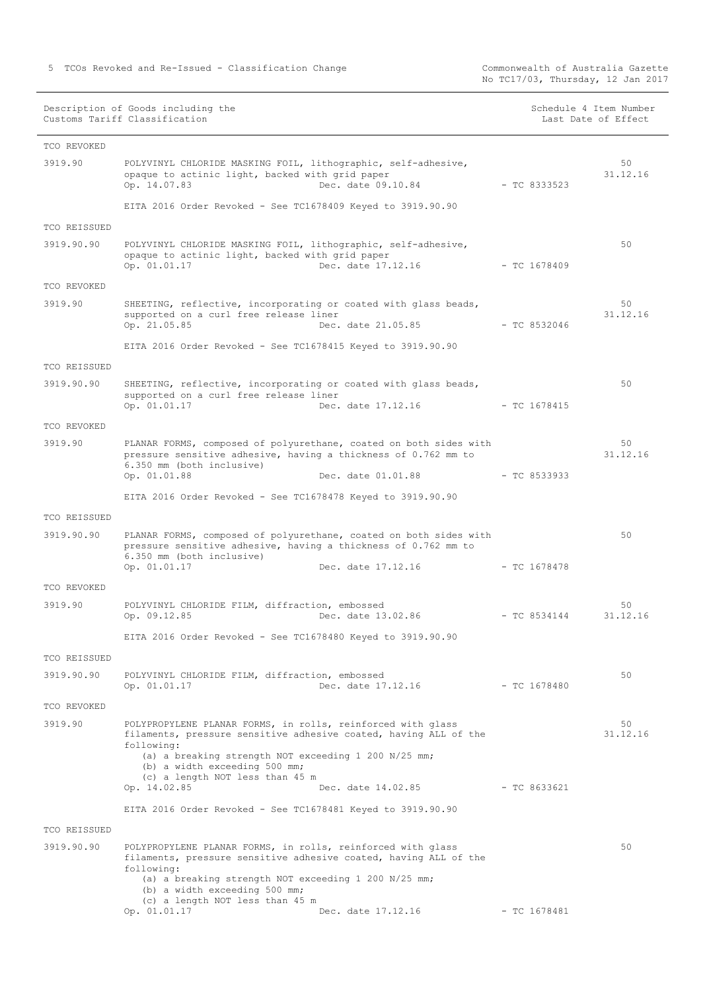|              | Description of Goods including the<br>Customs Tariff Classification                                                                                                                                                                                                       |                | Schedule 4 Item Number<br>Last Date of Effect |
|--------------|---------------------------------------------------------------------------------------------------------------------------------------------------------------------------------------------------------------------------------------------------------------------------|----------------|-----------------------------------------------|
| TCO REVOKED  |                                                                                                                                                                                                                                                                           |                |                                               |
| 3919.90      | POLYVINYL CHLORIDE MASKING FOIL, lithographic, self-adhesive,<br>opaque to actinic light, backed with grid paper<br>Op. 14.07.83<br>Dec. date 09.10.84                                                                                                                    | $-$ TC 8333523 | 50<br>31.12.16                                |
|              | EITA 2016 Order Revoked - See TC1678409 Keyed to 3919.90.90                                                                                                                                                                                                               |                |                                               |
| TCO REISSUED |                                                                                                                                                                                                                                                                           |                |                                               |
| 3919.90.90   | POLYVINYL CHLORIDE MASKING FOIL, lithographic, self-adhesive,<br>opaque to actinic light, backed with grid paper<br>Dec. date 17.12.16<br>Op. 01.01.17                                                                                                                    | $-$ TC 1678409 | 50                                            |
| TCO REVOKED  |                                                                                                                                                                                                                                                                           |                |                                               |
| 3919.90      | SHEETING, reflective, incorporating or coated with glass beads,<br>supported on a curl free release liner<br>Op. 21.05.85<br>Dec. date 21.05.85                                                                                                                           | $-TC8532046$   | 50<br>31.12.16                                |
|              | EITA 2016 Order Revoked - See TC1678415 Keyed to 3919.90.90                                                                                                                                                                                                               |                |                                               |
| TCO REISSUED |                                                                                                                                                                                                                                                                           |                |                                               |
| 3919.90.90   | SHEETING, reflective, incorporating or coated with glass beads,<br>supported on a curl free release liner<br>Op. 01.01.17<br>Dec. date 17.12.16                                                                                                                           | - TC 1678415   | 50                                            |
| TCO REVOKED  |                                                                                                                                                                                                                                                                           |                |                                               |
| 3919.90      | PLANAR FORMS, composed of polyurethane, coated on both sides with                                                                                                                                                                                                         |                | 50                                            |
|              | pressure sensitive adhesive, having a thickness of 0.762 mm to<br>6.350 mm (both inclusive)<br>Op. 01.01.88<br>Dec. date 01.01.88                                                                                                                                         | $-$ TC 8533933 | 31.12.16                                      |
|              |                                                                                                                                                                                                                                                                           |                |                                               |
|              | EITA 2016 Order Revoked - See TC1678478 Keyed to 3919.90.90                                                                                                                                                                                                               |                |                                               |
| TCO REISSUED |                                                                                                                                                                                                                                                                           |                |                                               |
| 3919.90.90   | PLANAR FORMS, composed of polyurethane, coated on both sides with<br>pressure sensitive adhesive, having a thickness of 0.762 mm to<br>6.350 mm (both inclusive)                                                                                                          |                | 50                                            |
|              | Op. 01.01.17<br>Dec. date 17.12.16                                                                                                                                                                                                                                        | $-$ TC 1678478 |                                               |
| TCO REVOKED  |                                                                                                                                                                                                                                                                           |                |                                               |
| 3919.90      | POLYVINYL CHLORIDE FILM, diffraction, embossed<br>Op. 09.12.85<br>Dec. date 13.02.86                                                                                                                                                                                      | $- TC 8534144$ | 50<br>31.12.16                                |
|              | EITA 2016 Order Revoked - See TC1678480 Keyed to 3919.90.90                                                                                                                                                                                                               |                |                                               |
| TCO REISSUED |                                                                                                                                                                                                                                                                           |                |                                               |
| 3919.90.90   | POLYVINYL CHLORIDE FILM, diffraction, embossed<br>Op. 01.01.17<br>Dec. date 17.12.16                                                                                                                                                                                      | $-$ TC 1678480 | 50                                            |
| TCO REVOKED  |                                                                                                                                                                                                                                                                           |                |                                               |
| 3919.90      | POLYPROPYLENE PLANAR FORMS, in rolls, reinforced with glass<br>filaments, pressure sensitive adhesive coated, having ALL of the<br>following:<br>(a) a breaking strength NOT exceeding 1 200 N/25 mm;<br>(b) a width exceeding 500 mm;<br>(c) a length NOT less than 45 m |                | 50<br>31.12.16                                |
|              | Op. 14.02.85<br>Dec. date 14.02.85                                                                                                                                                                                                                                        | - TC 8633621   |                                               |
|              | EITA 2016 Order Revoked - See TC1678481 Keyed to 3919.90.90                                                                                                                                                                                                               |                |                                               |
| TCO REISSUED |                                                                                                                                                                                                                                                                           |                |                                               |
| 3919.90.90   | POLYPROPYLENE PLANAR FORMS, in rolls, reinforced with glass<br>filaments, pressure sensitive adhesive coated, having ALL of the                                                                                                                                           |                | 50                                            |
|              | following:<br>(a) a breaking strength NOT exceeding 1 200 N/25 mm;<br>(b) a width exceeding 500 mm;                                                                                                                                                                       |                |                                               |
|              | (c) a length NOT less than 45 m<br>Op. 01.01.17<br>Dec. date 17.12.16                                                                                                                                                                                                     | $-$ TC 1678481 |                                               |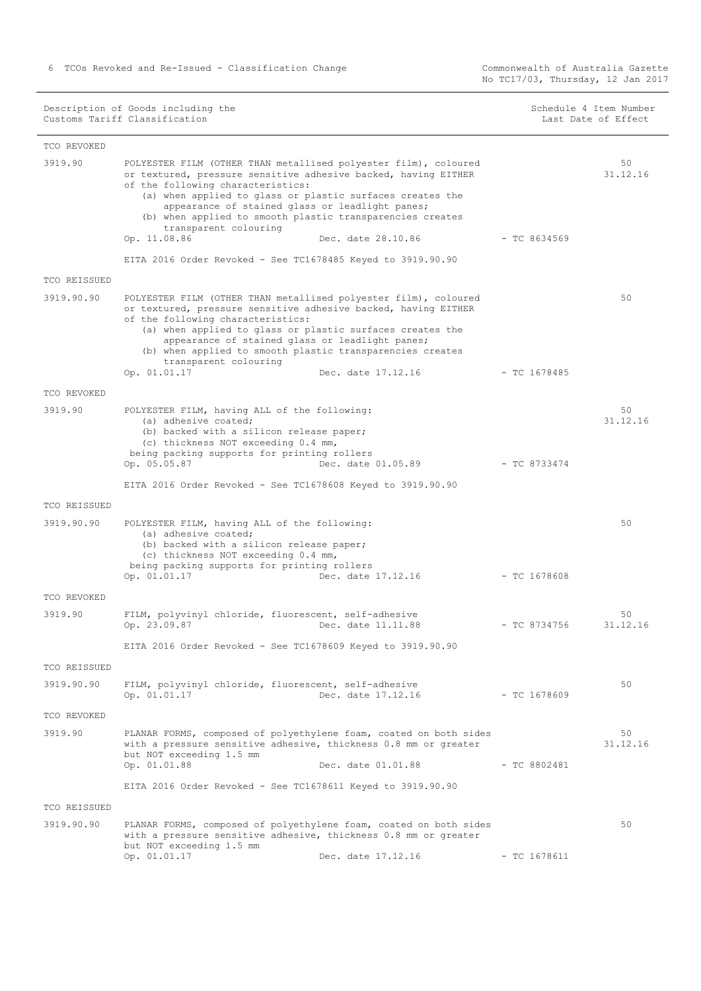|              | Description of Goods including the<br>Customs Tariff Classification                                                                                                                                                                                                                                                                                                                                                |                | Schedule 4 Item Number<br>Last Date of Effect |
|--------------|--------------------------------------------------------------------------------------------------------------------------------------------------------------------------------------------------------------------------------------------------------------------------------------------------------------------------------------------------------------------------------------------------------------------|----------------|-----------------------------------------------|
| TCO REVOKED  |                                                                                                                                                                                                                                                                                                                                                                                                                    |                |                                               |
| 3919.90      | POLYESTER FILM (OTHER THAN metallised polyester film), coloured<br>or textured, pressure sensitive adhesive backed, having EITHER<br>of the following characteristics:<br>(a) when applied to glass or plastic surfaces creates the<br>appearance of stained glass or leadlight panes;<br>(b) when applied to smooth plastic transparencies creates<br>transparent colouring<br>Op. 11.08.86<br>Dec. date 28.10.86 | $-TC8634569$   | 50<br>31.12.16                                |
|              | EITA 2016 Order Revoked - See TC1678485 Keyed to 3919.90.90                                                                                                                                                                                                                                                                                                                                                        |                |                                               |
| TCO REISSUED |                                                                                                                                                                                                                                                                                                                                                                                                                    |                |                                               |
| 3919.90.90   | POLYESTER FILM (OTHER THAN metallised polyester film), coloured<br>or textured, pressure sensitive adhesive backed, having EITHER<br>of the following characteristics:<br>(a) when applied to glass or plastic surfaces creates the<br>appearance of stained glass or leadlight panes;<br>(b) when applied to smooth plastic transparencies creates<br>transparent colouring<br>Op. 01.01.17<br>Dec. date 17.12.16 | $-$ TC 1678485 | 50                                            |
| TCO REVOKED  |                                                                                                                                                                                                                                                                                                                                                                                                                    |                |                                               |
| 3919.90      | POLYESTER FILM, having ALL of the following:<br>(a) adhesive coated:<br>(b) backed with a silicon release paper;<br>(c) thickness NOT exceeding 0.4 mm,<br>being packing supports for printing rollers<br>Op. 05.05.87<br>Dec. date 01.05.89<br>EITA 2016 Order Revoked - See TC1678608 Keyed to 3919.90.90                                                                                                        | $-$ TC 8733474 | 50<br>31.12.16                                |
| TCO REISSUED |                                                                                                                                                                                                                                                                                                                                                                                                                    |                |                                               |
| 3919.90.90   | POLYESTER FILM, having ALL of the following:<br>(a) adhesive coated;<br>(b) backed with a silicon release paper;<br>(c) thickness NOT exceeding 0.4 mm,<br>being packing supports for printing rollers<br>Op. 01.01.17<br>Dec. date 17.12.16                                                                                                                                                                       | $-$ TC 1678608 | 50                                            |
| TCO REVOKED  |                                                                                                                                                                                                                                                                                                                                                                                                                    |                |                                               |
| 3919.90      | FILM, polyvinyl chloride, fluorescent, self-adhesive<br>Op. 23.09.87 Dec. date 11.11.88<br>EITA 2016 Order Revoked - See TC1678609 Keyed to 3919.90.90                                                                                                                                                                                                                                                             | $-$ TC 8734756 | 50<br>31.12.16                                |
| TCO REISSUED |                                                                                                                                                                                                                                                                                                                                                                                                                    |                |                                               |
| 3919.90.90   | FILM, polyvinyl chloride, fluorescent, self-adhesive<br>Dec. date 17.12.16<br>Op. 01.01.17                                                                                                                                                                                                                                                                                                                         | $-$ TC 1678609 | 50                                            |
| TCO REVOKED  |                                                                                                                                                                                                                                                                                                                                                                                                                    |                |                                               |
| 3919.90      | PLANAR FORMS, composed of polyethylene foam, coated on both sides<br>with a pressure sensitive adhesive, thickness 0.8 mm or greater<br>but NOT exceeding 1.5 mm<br>Op. 01.01.88<br>Dec. date 01.01.88<br>EITA 2016 Order Revoked - See TC1678611 Keyed to 3919.90.90                                                                                                                                              | $-$ TC 8802481 | 50<br>31.12.16                                |
| TCO REISSUED |                                                                                                                                                                                                                                                                                                                                                                                                                    |                |                                               |
| 3919.90.90   | PLANAR FORMS, composed of polyethylene foam, coated on both sides<br>with a pressure sensitive adhesive, thickness 0.8 mm or greater<br>but NOT exceeding 1.5 mm<br>Op. 01.01.17<br>Dec. date 17.12.16                                                                                                                                                                                                             | $-$ TC 1678611 | 50                                            |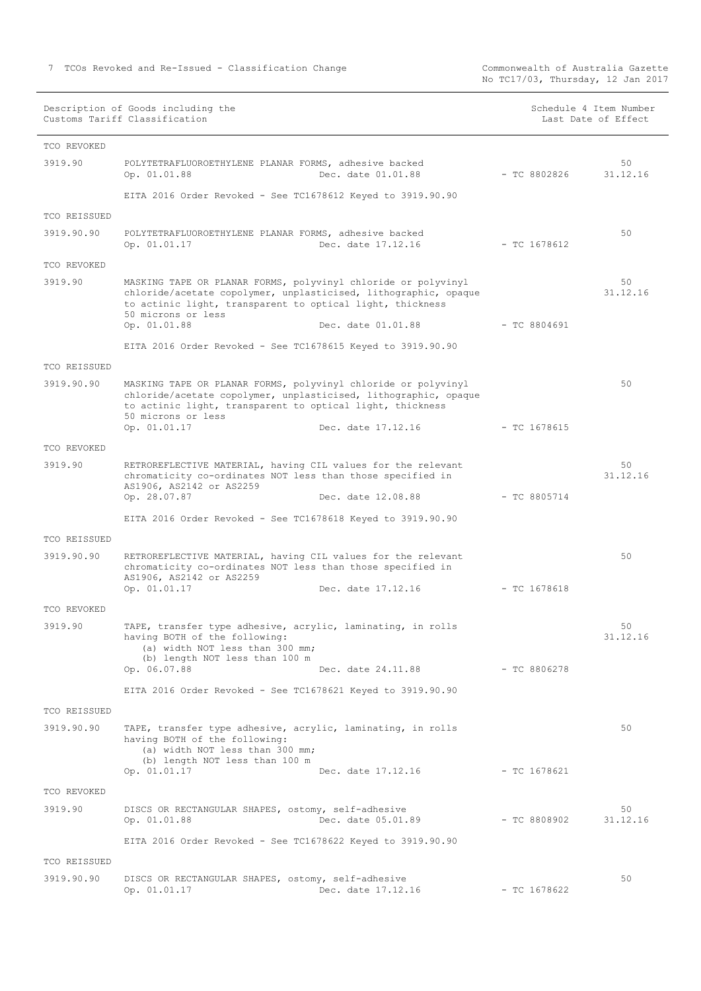|              | Description of Goods including the<br>Customs Tariff Classification                                                                                                                                                 |                | Schedule 4 Item Number<br>Last Date of Effect |
|--------------|---------------------------------------------------------------------------------------------------------------------------------------------------------------------------------------------------------------------|----------------|-----------------------------------------------|
| TCO REVOKED  |                                                                                                                                                                                                                     |                |                                               |
| 3919.90      | POLYTETRAFLUOROETHYLENE PLANAR FORMS, adhesive backed<br>Op. 01.01.88<br>Dec. date 01.01.88                                                                                                                         | $-$ TC 8802826 | 50<br>31.12.16                                |
|              | EITA 2016 Order Revoked - See TC1678612 Keyed to 3919.90.90                                                                                                                                                         |                |                                               |
| TCO REISSUED |                                                                                                                                                                                                                     |                |                                               |
| 3919.90.90   | POLYTETRAFLUOROETHYLENE PLANAR FORMS, adhesive backed<br>Op. 01.01.17<br>Dec. date 17.12.16                                                                                                                         | $-$ TC 1678612 | 50                                            |
| TCO REVOKED  |                                                                                                                                                                                                                     |                |                                               |
| 3919.90      | MASKING TAPE OR PLANAR FORMS, polyvinyl chloride or polyvinyl<br>chloride/acetate copolymer, unplasticised, lithographic, opaque<br>to actinic light, transparent to optical light, thickness<br>50 microns or less |                | 50<br>31.12.16                                |
|              | Op. 01.01.88<br>Dec. date 01.01.88                                                                                                                                                                                  | $-$ TC 8804691 |                                               |
|              | EITA 2016 Order Revoked - See TC1678615 Keyed to 3919.90.90                                                                                                                                                         |                |                                               |
| TCO REISSUED |                                                                                                                                                                                                                     |                |                                               |
| 3919.90.90   | MASKING TAPE OR PLANAR FORMS, polyvinyl chloride or polyvinyl<br>chloride/acetate copolymer, unplasticised, lithographic, opaque<br>to actinic light, transparent to optical light, thickness<br>50 microns or less |                | 50                                            |
|              | Op. 01.01.17<br>Dec. date 17.12.16                                                                                                                                                                                  | $-$ TC 1678615 |                                               |
| TCO REVOKED  |                                                                                                                                                                                                                     |                |                                               |
| 3919.90      | RETROREFLECTIVE MATERIAL, having CIL values for the relevant<br>chromaticity co-ordinates NOT less than those specified in<br>AS1906, AS2142 or AS2259<br>Op. 28.07.87<br>Dec. date 12.08.88                        | $-$ TC 8805714 | 50<br>31.12.16                                |
|              |                                                                                                                                                                                                                     |                |                                               |
|              | EITA 2016 Order Revoked - See TC1678618 Keyed to 3919.90.90                                                                                                                                                         |                |                                               |
| TCO REISSUED |                                                                                                                                                                                                                     |                | 50                                            |
| 3919.90.90   | RETROREFLECTIVE MATERIAL, having CIL values for the relevant<br>chromaticity co-ordinates NOT less than those specified in<br>AS1906, AS2142 or AS2259                                                              |                |                                               |
|              | Dec. date 17.12.16<br>Op. 01.01.17                                                                                                                                                                                  | $-$ TC 1678618 |                                               |
| TCO REVOKED  |                                                                                                                                                                                                                     |                |                                               |
| 3919.90      | TAPE, transfer type adhesive, acrylic, laminating, in rolls<br>having BOTH of the following:<br>(a) width NOT less than 300 mm;<br>(b) length NOT less than 100 m                                                   |                | 50<br>31.12.16                                |
|              | Op. 06.07.88<br>Dec. date 24.11.88                                                                                                                                                                                  | - TC 8806278   |                                               |
|              | EITA 2016 Order Revoked - See TC1678621 Keyed to 3919.90.90                                                                                                                                                         |                |                                               |
| TCO REISSUED |                                                                                                                                                                                                                     |                |                                               |
| 3919.90.90   | TAPE, transfer type adhesive, acrylic, laminating, in rolls<br>having BOTH of the following:<br>(a) width NOT less than 300 mm;<br>(b) length NOT less than 100 m                                                   |                | 50                                            |
|              | Op. 01.01.17<br>Dec. date 17.12.16                                                                                                                                                                                  | $-$ TC 1678621 |                                               |
| TCO REVOKED  |                                                                                                                                                                                                                     |                |                                               |
| 3919.90      | DISCS OR RECTANGULAR SHAPES, ostomy, self-adhesive<br>Op. 01.01.88<br>Dec. date 05.01.89                                                                                                                            | $-$ TC 8808902 | 50<br>31.12.16                                |
|              | EITA 2016 Order Revoked - See TC1678622 Keyed to 3919.90.90                                                                                                                                                         |                |                                               |
| TCO REISSUED |                                                                                                                                                                                                                     |                |                                               |
| 3919.90.90   | DISCS OR RECTANGULAR SHAPES, ostomy, self-adhesive<br>Dec. date 17.12.16<br>Op. 01.01.17                                                                                                                            | $-$ TC 1678622 | 50                                            |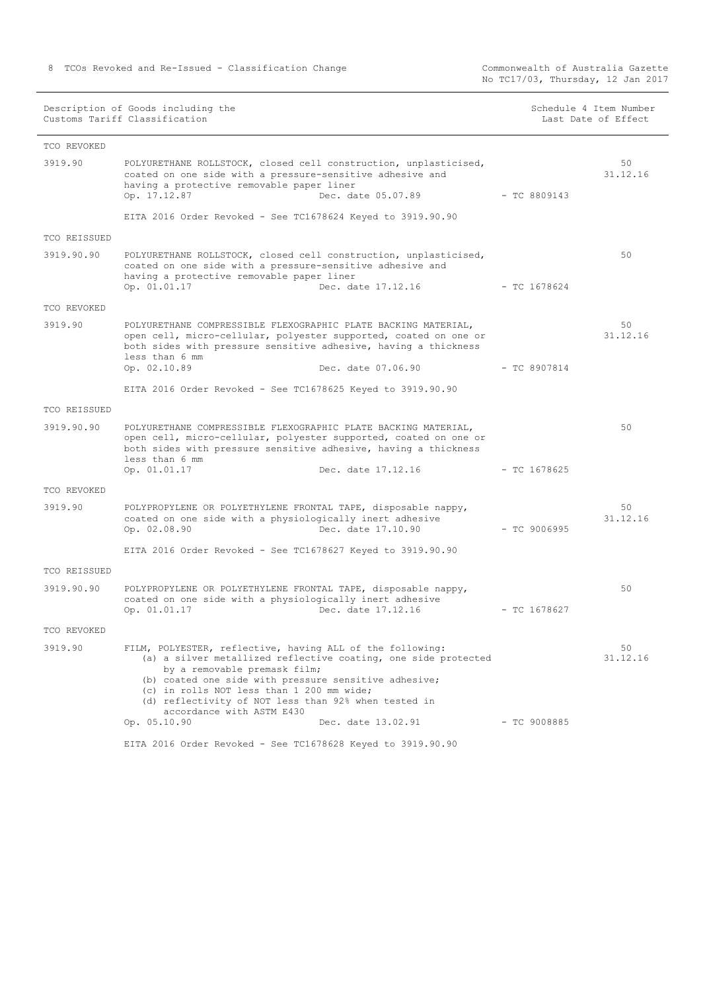| Description of Goods including the<br>Customs Tariff Classification |                                                                                                                                                                                                                                                                                                                                                        | Schedule 4 Item Number<br>Last Date of Effect |                |                |
|---------------------------------------------------------------------|--------------------------------------------------------------------------------------------------------------------------------------------------------------------------------------------------------------------------------------------------------------------------------------------------------------------------------------------------------|-----------------------------------------------|----------------|----------------|
| TCO REVOKED                                                         |                                                                                                                                                                                                                                                                                                                                                        |                                               |                |                |
| 3919.90                                                             | POLYURETHANE ROLLSTOCK, closed cell construction, unplasticised,<br>coated on one side with a pressure-sensitive adhesive and<br>having a protective removable paper liner<br>Dec. date 05.07.89<br>Op. 17.12.87                                                                                                                                       |                                               | - TC 8809143   | 50<br>31.12.16 |
|                                                                     | EITA 2016 Order Revoked - See TC1678624 Keyed to 3919.90.90                                                                                                                                                                                                                                                                                            |                                               |                |                |
| TCO REISSUED                                                        |                                                                                                                                                                                                                                                                                                                                                        |                                               |                |                |
| 3919.90.90                                                          | POLYURETHANE ROLLSTOCK, closed cell construction, unplasticised,<br>coated on one side with a pressure-sensitive adhesive and<br>having a protective removable paper liner<br>Op. 01.01.17<br>Dec. date 17.12.16                                                                                                                                       |                                               | - TC 1678624   | 50             |
| TCO REVOKED                                                         |                                                                                                                                                                                                                                                                                                                                                        |                                               |                |                |
| 3919.90                                                             | POLYURETHANE COMPRESSIBLE FLEXOGRAPHIC PLATE BACKING MATERIAL,<br>open cell, micro-cellular, polyester supported, coated on one or<br>both sides with pressure sensitive adhesive, having a thickness<br>less than 6 mm<br>Dec. date 07.06.90<br>Op. 02.10.89                                                                                          |                                               | $-$ TC 8907814 | 50<br>31.12.16 |
|                                                                     | EITA 2016 Order Revoked - See TC1678625 Keyed to 3919.90.90                                                                                                                                                                                                                                                                                            |                                               |                |                |
| TCO REISSUED                                                        |                                                                                                                                                                                                                                                                                                                                                        |                                               |                |                |
| 3919.90.90                                                          | POLYURETHANE COMPRESSIBLE FLEXOGRAPHIC PLATE BACKING MATERIAL,<br>open cell, micro-cellular, polyester supported, coated on one or<br>both sides with pressure sensitive adhesive, having a thickness<br>less than 6 mm<br>Dec. date 17.12.16<br>Op. 01.01.17                                                                                          |                                               | $-$ TC 1678625 | 50             |
|                                                                     |                                                                                                                                                                                                                                                                                                                                                        |                                               |                |                |
| TCO REVOKED                                                         |                                                                                                                                                                                                                                                                                                                                                        |                                               |                |                |
| 3919.90                                                             | POLYPROPYLENE OR POLYETHYLENE FRONTAL TAPE, disposable nappy,<br>coated on one side with a physiologically inert adhesive<br>Dec. date 17.10.90<br>Op. 02.08.90                                                                                                                                                                                        |                                               | $-$ TC 9006995 | 50<br>31.12.16 |
|                                                                     | EITA 2016 Order Revoked - See TC1678627 Keyed to 3919.90.90                                                                                                                                                                                                                                                                                            |                                               |                |                |
| TCO REISSUED                                                        |                                                                                                                                                                                                                                                                                                                                                        |                                               |                |                |
| 3919.90.90                                                          | POLYPROPYLENE OR POLYETHYLENE FRONTAL TAPE, disposable nappy,<br>coated on one side with a physiologically inert adhesive<br>Dec. date 17.12.16<br>Op. 01.01.17                                                                                                                                                                                        |                                               | $-$ TC 1678627 | 50             |
| TCO REVOKED                                                         |                                                                                                                                                                                                                                                                                                                                                        |                                               |                |                |
| 3919.90                                                             |                                                                                                                                                                                                                                                                                                                                                        |                                               |                | 50             |
|                                                                     | FILM, POLYESTER, reflective, having ALL of the following:<br>(a) a silver metallized reflective coating, one side protected<br>by a removable premask film;<br>(b) coated one side with pressure sensitive adhesive;<br>(c) in rolls NOT less than 1 200 mm wide;<br>(d) reflectivity of NOT less than 92% when tested in<br>accordance with ASTM E430 |                                               |                | 31.12.16       |
|                                                                     | Op. 05.10.90<br>Dec. date 13.02.91                                                                                                                                                                                                                                                                                                                     |                                               | $-$ TC 9008885 |                |
|                                                                     | EITA 2016 Order Revoked - See TC1678628 Keyed to 3919.90.90                                                                                                                                                                                                                                                                                            |                                               |                |                |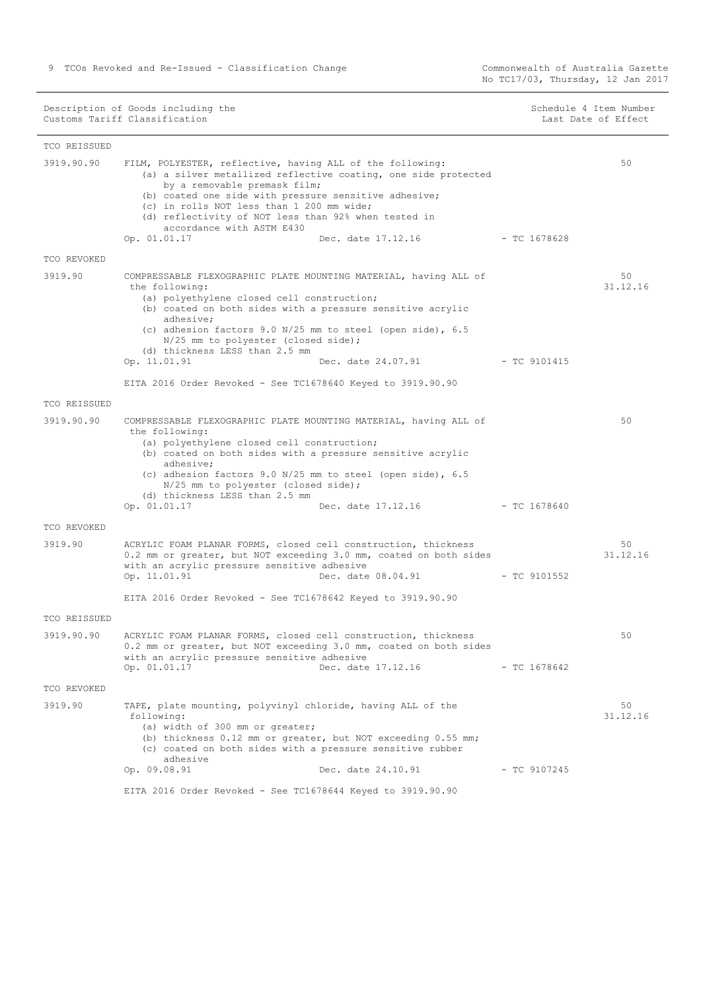No TC17/03, Thursday, 12 Jan 2017

Description of Goods including the Schedule 4 Item Number (Schedule 4 Item Number Customs Tariff Classification and the control of the control of the control of Effect Date of Effect

 $\mathbb{R}$ 

| TCO REISSUED |                                                                                                                                                                                                                                                                                                                                                                                                                                                                      |                |                |
|--------------|----------------------------------------------------------------------------------------------------------------------------------------------------------------------------------------------------------------------------------------------------------------------------------------------------------------------------------------------------------------------------------------------------------------------------------------------------------------------|----------------|----------------|
| 3919.90.90   | FILM, POLYESTER, reflective, having ALL of the following:<br>(a) a silver metallized reflective coating, one side protected<br>by a removable premask film;<br>(b) coated one side with pressure sensitive adhesive;<br>(c) in rolls NOT less than 1 200 mm wide;<br>(d) reflectivity of NOT less than 92% when tested in<br>accordance with ASTM E430<br>Op. 01.01.17<br>Dec. date 17.12.16                                                                         | - TC 1678628   | 50             |
| TCO REVOKED  |                                                                                                                                                                                                                                                                                                                                                                                                                                                                      |                |                |
| 3919.90      | COMPRESSABLE FLEXOGRAPHIC PLATE MOUNTING MATERIAL, having ALL of<br>the following:<br>(a) polyethylene closed cell construction;<br>(b) coated on both sides with a pressure sensitive acrylic<br>adhesive;<br>(c) adhesion factors 9.0 N/25 mm to steel (open side), 6.5<br>N/25 mm to polyester (closed side);<br>(d) thickness LESS than 2.5 mm<br>Op. 11.01.91<br>Dec. date 24.07.91 - TC 9101415<br>EITA 2016 Order Revoked - See TC1678640 Keyed to 3919.90.90 |                | 50<br>31.12.16 |
| TCO REISSUED |                                                                                                                                                                                                                                                                                                                                                                                                                                                                      |                |                |
| 3919.90.90   | COMPRESSABLE FLEXOGRAPHIC PLATE MOUNTING MATERIAL, having ALL of<br>the following:<br>(a) polyethylene closed cell construction;<br>(b) coated on both sides with a pressure sensitive acrylic<br>adhesive:<br>(c) adhesion factors 9.0 N/25 mm to steel (open side), 6.5<br>N/25 mm to polyester (closed side);<br>(d) thickness LESS than 2.5 mm<br>Op. 01.01.17<br>Dec. date 17.12.16                                                                             | - TC 1678640   | 50             |
| TCO REVOKED  |                                                                                                                                                                                                                                                                                                                                                                                                                                                                      |                |                |
| 3919.90      | ACRYLIC FOAM PLANAR FORMS, closed cell construction, thickness<br>0.2 mm or greater, but NOT exceeding 3.0 mm, coated on both sides<br>with an acrylic pressure sensitive adhesive<br>Op. 11.01.91<br>Dec. date 08.04.91<br>EITA 2016 Order Revoked - See TC1678642 Keyed to 3919.90.90                                                                                                                                                                              | $-$ TC 9101552 | 50<br>31.12.16 |
| TCO REISSUED |                                                                                                                                                                                                                                                                                                                                                                                                                                                                      |                |                |
| 3919.90.90   | ACRYLIC FOAM PLANAR FORMS, closed cell construction, thickness<br>0.2 mm or greater, but NOT exceeding 3.0 mm, coated on both sides<br>with an acrylic pressure sensitive adhesive<br>Op. 01.01.17 Dec. date 17.12.16                                                                                                                                                                                                                                                | $-$ TC 1678642 | 50             |
| TCO REVOKED  |                                                                                                                                                                                                                                                                                                                                                                                                                                                                      |                |                |
| 3919.90      | TAPE, plate mounting, polyvinyl chloride, having ALL of the<br>following:<br>(a) width of 300 mm or greater;<br>(b) thickness 0.12 mm or greater, but NOT exceeding 0.55 mm;<br>(c) coated on both sides with a pressure sensitive rubber<br>adhesive<br>Dec. date 24.10.91<br>Op. 09.08.91                                                                                                                                                                          | $-$ TC 9107245 | 50<br>31.12.16 |
|              | EITA 2016 Order Revoked - See TC1678644 Keyed to 3919.90.90                                                                                                                                                                                                                                                                                                                                                                                                          |                |                |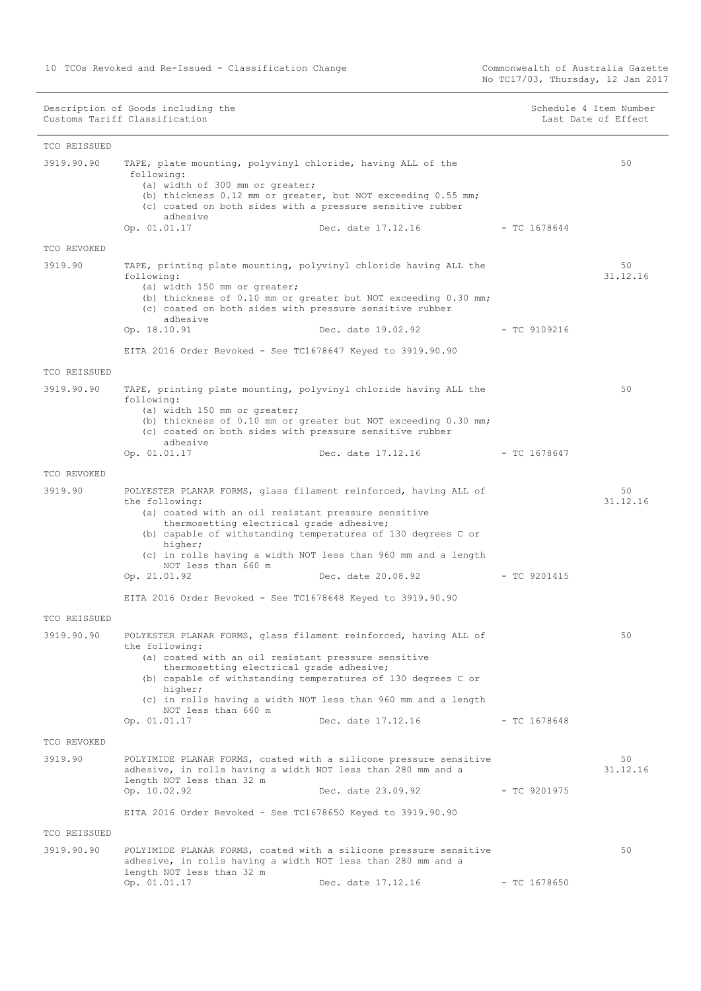No TC17/03, Thursday, 12 Jan 2017

| TCO REISSUED               |                                                                                                                                                                                                                                                                                                                                                                          |                    |                |                |
|----------------------------|--------------------------------------------------------------------------------------------------------------------------------------------------------------------------------------------------------------------------------------------------------------------------------------------------------------------------------------------------------------------------|--------------------|----------------|----------------|
| 3919.90.90                 | TAPE, plate mounting, polyvinyl chloride, having ALL of the<br>following:<br>(a) width of 300 mm or greater;<br>(b) thickness 0.12 mm or greater, but NOT exceeding 0.55 mm;<br>(c) coated on both sides with a pressure sensitive rubber<br>adhesive                                                                                                                    |                    |                | 50             |
|                            | Op. 01.01.17                                                                                                                                                                                                                                                                                                                                                             | Dec. date 17.12.16 | $-$ TC 1678644 |                |
| TCO REVOKED                |                                                                                                                                                                                                                                                                                                                                                                          |                    |                |                |
| 3919.90                    | TAPE, printing plate mounting, polyvinyl chloride having ALL the<br>following:<br>(a) width 150 mm or greater;<br>(b) thickness of 0.10 mm or greater but NOT exceeding 0.30 mm;<br>(c) coated on both sides with pressure sensitive rubber<br>adhesive<br>Op. 18.10.91                                                                                                  | Dec. date 19.02.92 | $-$ TC 9109216 | 50<br>31.12.16 |
|                            | EITA 2016 Order Revoked - See TC1678647 Keyed to 3919.90.90                                                                                                                                                                                                                                                                                                              |                    |                |                |
|                            |                                                                                                                                                                                                                                                                                                                                                                          |                    |                |                |
| TCO REISSUED<br>3919.90.90 | TAPE, printing plate mounting, polyvinyl chloride having ALL the<br>following:<br>(a) width 150 mm or greater;<br>(b) thickness of 0.10 mm or greater but NOT exceeding 0.30 mm;<br>(c) coated on both sides with pressure sensitive rubber<br>adhesive<br>Op. 01.01.17                                                                                                  | Dec. date 17.12.16 | $-$ TC 1678647 | 50             |
| TCO REVOKED                |                                                                                                                                                                                                                                                                                                                                                                          |                    |                |                |
| 3919.90                    | POLYESTER PLANAR FORMS, glass filament reinforced, having ALL of<br>the following:<br>(a) coated with an oil resistant pressure sensitive<br>thermosetting electrical grade adhesive;<br>(b) capable of withstanding temperatures of 130 degrees C or<br>higher;<br>(c) in rolls having a width NOT less than 960 mm and a length<br>NOT less than 660 m<br>Op. 21.01.92 | Dec. date 20.08.92 | $-$ TC 9201415 | 50<br>31.12.16 |
|                            | EITA 2016 Order Revoked - See TC1678648 Keyed to 3919.90.90                                                                                                                                                                                                                                                                                                              |                    |                |                |
| TCO REISSUED               |                                                                                                                                                                                                                                                                                                                                                                          |                    |                |                |
| 3919.90.90                 | POLYESTER PLANAR FORMS, glass filament reinforced, having ALL of<br>the following:<br>(a) coated with an oil resistant pressure sensitive<br>thermosetting electrical grade adhesive;<br>(b) capable of withstanding temperatures of 130 degrees C or<br>higher;<br>(c) in rolls having a width NOT less than 960 mm and a length<br>NOT less than 660 m<br>Op. 01.01.17 | Dec. date 17.12.16 | $-$ TC 1678648 | 50             |
| TCO REVOKED                |                                                                                                                                                                                                                                                                                                                                                                          |                    |                |                |
| 3919.90                    | POLYIMIDE PLANAR FORMS, coated with a silicone pressure sensitive<br>adhesive, in rolls having a width NOT less than 280 mm and a<br>length NOT less than 32 m<br>Op. 10.02.92                                                                                                                                                                                           | Dec. date 23.09.92 | $-$ TC 9201975 | 50<br>31.12.16 |
|                            | EITA 2016 Order Revoked - See TC1678650 Keyed to 3919.90.90                                                                                                                                                                                                                                                                                                              |                    |                |                |
| TCO REISSUED               |                                                                                                                                                                                                                                                                                                                                                                          |                    |                |                |
| 3919.90.90                 | POLYIMIDE PLANAR FORMS, coated with a silicone pressure sensitive<br>adhesive, in rolls having a width NOT less than 280 mm and a<br>length NOT less than 32 m<br>Op. 01.01.17                                                                                                                                                                                           | Dec. date 17.12.16 | $-$ TC 1678650 | 50             |
|                            |                                                                                                                                                                                                                                                                                                                                                                          |                    |                |                |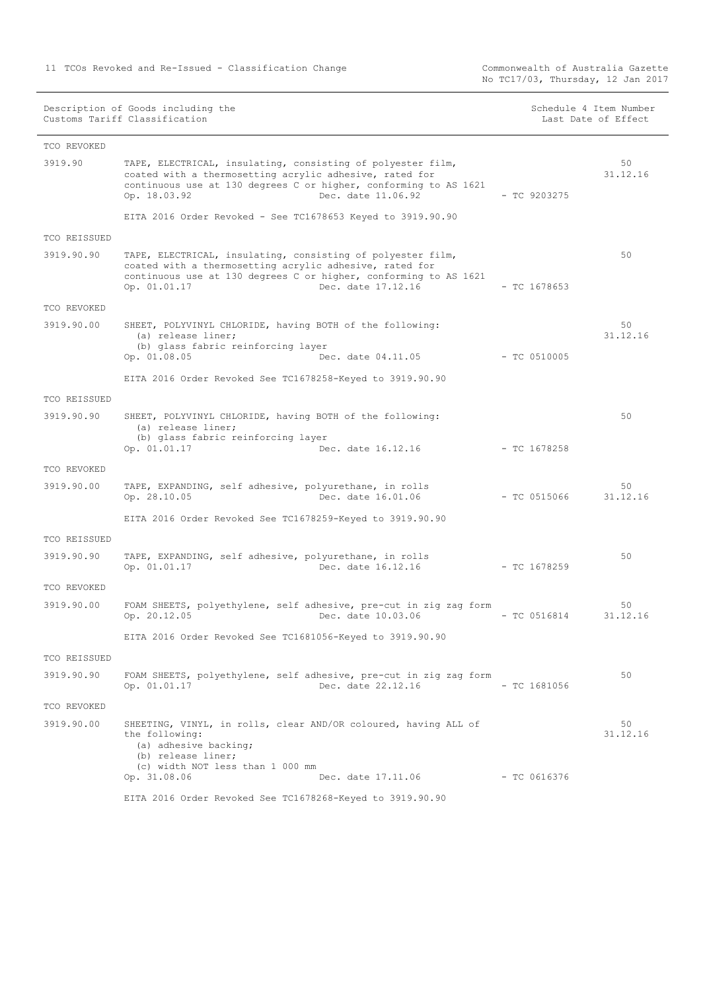|              | Description of Goods including the<br>Customs Tariff Classification                                                                                                                                                              |                | Schedule 4 Item Number<br>Last Date of Effect |
|--------------|----------------------------------------------------------------------------------------------------------------------------------------------------------------------------------------------------------------------------------|----------------|-----------------------------------------------|
| TCO REVOKED  |                                                                                                                                                                                                                                  |                |                                               |
| 3919.90      | TAPE, ELECTRICAL, insulating, consisting of polyester film,<br>coated with a thermosetting acrylic adhesive, rated for<br>continuous use at 130 degrees C or higher, conforming to AS 1621<br>Dec. date 11.06.92<br>Op. 18.03.92 | $-$ TC 9203275 | 50<br>31.12.16                                |
|              | EITA 2016 Order Revoked - See TC1678653 Keyed to 3919.90.90                                                                                                                                                                      |                |                                               |
| TCO REISSUED |                                                                                                                                                                                                                                  |                |                                               |
| 3919.90.90   | TAPE, ELECTRICAL, insulating, consisting of polyester film,<br>coated with a thermosetting acrylic adhesive, rated for<br>continuous use at 130 degrees C or higher, conforming to AS 1621<br>Op. 01.01.17<br>Dec. date 17.12.16 | $-$ TC 1678653 | 50                                            |
| TCO REVOKED  |                                                                                                                                                                                                                                  |                |                                               |
| 3919.90.00   | SHEET, POLYVINYL CHLORIDE, having BOTH of the following:<br>(a) release liner;<br>(b) glass fabric reinforcing layer<br>Op. 01.08.05<br>Dec. date 04.11.05                                                                       | $-$ TC 0510005 | 50<br>31.12.16                                |
|              | EITA 2016 Order Revoked See TC1678258-Keyed to 3919.90.90                                                                                                                                                                        |                |                                               |
| TCO REISSUED |                                                                                                                                                                                                                                  |                |                                               |
| 3919.90.90   | SHEET, POLYVINYL CHLORIDE, having BOTH of the following:<br>(a) release liner;<br>(b) glass fabric reinforcing layer<br>Op. 01.01.17<br>Dec. date 16.12.16                                                                       | $-$ TC 1678258 | 50                                            |
| TCO REVOKED  |                                                                                                                                                                                                                                  |                |                                               |
| 3919.90.00   | TAPE, EXPANDING, self adhesive, polyurethane, in rolls<br>Dec. date 16.01.06<br>Op. 28.10.05                                                                                                                                     | $-$ TC 0515066 | 50<br>31.12.16                                |
|              | EITA 2016 Order Revoked See TC1678259-Keyed to 3919.90.90                                                                                                                                                                        |                |                                               |
| TCO REISSUED |                                                                                                                                                                                                                                  |                |                                               |
| 3919.90.90   | TAPE, EXPANDING, self adhesive, polyurethane, in rolls<br>Op. 01.01.17<br>Dec. date 16.12.16                                                                                                                                     | $-$ TC 1678259 | 50                                            |
| TCO REVOKED  |                                                                                                                                                                                                                                  |                |                                               |
| 3919.90.00   | FOAM SHEETS, polyethylene, self adhesive, pre-cut in zig zag form<br>Op. 20.12.05<br>Dec. date 10.03.06                                                                                                                          | $-$ TC 0516814 | 50<br>31.12.16                                |
|              | EITA 2016 Order Revoked See TC1681056-Keyed to 3919.90.90                                                                                                                                                                        |                |                                               |
| TCO REISSUED |                                                                                                                                                                                                                                  |                |                                               |
| 3919.90.90   | FOAM SHEETS, polyethylene, self adhesive, pre-cut in zig zag form<br>Dec. date 22.12.16<br>Op. 01.01.17                                                                                                                          | $-$ TC 1681056 | 50                                            |
| TCO REVOKED  |                                                                                                                                                                                                                                  |                |                                               |
| 3919.90.00   | SHEETING, VINYL, in rolls, clear AND/OR coloured, having ALL of<br>the following:<br>(a) adhesive backing;<br>(b) release liner;<br>(c) width NOT less than 1 000 mm                                                             |                | 50<br>31.12.16                                |
|              | Op. 31.08.06<br>Dec. date 17.11.06                                                                                                                                                                                               | $-$ TC 0616376 |                                               |
|              | EITA 2016 Order Revoked See TC1678268-Keyed to 3919.90.90                                                                                                                                                                        |                |                                               |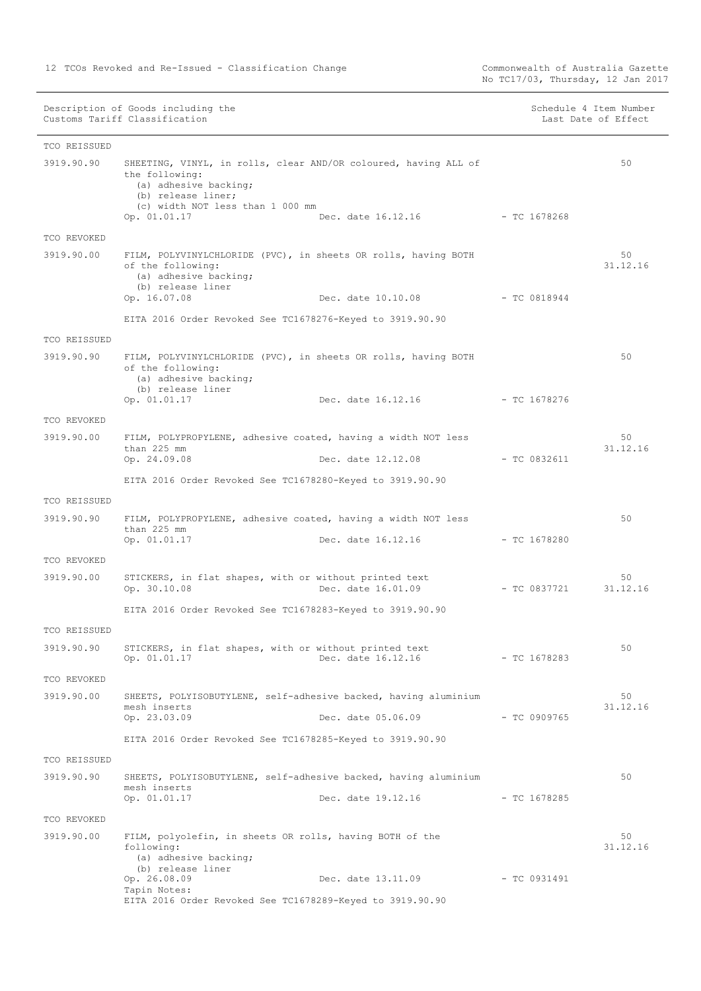| Description of Goods including the | Schedule 4 Item Number |
|------------------------------------|------------------------|
| Customs Tariff Classification      | Last Date of Effect    |

| TCO REISSUED |                                                                                                                                                                      |                |                |
|--------------|----------------------------------------------------------------------------------------------------------------------------------------------------------------------|----------------|----------------|
| 3919.90.90   | SHEETING, VINYL, in rolls, clear AND/OR coloured, having ALL of<br>the following:<br>(a) adhesive backing;<br>(b) release liner;<br>(c) width NOT less than 1 000 mm |                | 50             |
|              | Op. 01.01.17<br>Dec. date 16.12.16                                                                                                                                   | - TC 1678268   |                |
| TCO REVOKED  |                                                                                                                                                                      |                |                |
| 3919.90.00   | FILM, POLYVINYLCHLORIDE (PVC), in sheets OR rolls, having BOTH<br>of the following:<br>(a) adhesive backing;<br>(b) release liner                                    |                | 50<br>31.12.16 |
|              | Op. 16.07.08<br>Dec. date 10.10.08 - TC 0818944                                                                                                                      |                |                |
|              | EITA 2016 Order Revoked See TC1678276-Keyed to 3919.90.90                                                                                                            |                |                |
| TCO REISSUED |                                                                                                                                                                      |                |                |
| 3919.90.90   | FILM, POLYVINYLCHLORIDE (PVC), in sheets OR rolls, having BOTH<br>of the following:<br>(a) adhesive backing;<br>(b) release liner                                    |                | 50             |
|              | Op. 01.01.17<br>Dec. date 16.12.16                                                                                                                                   | - TC 1678276   |                |
| TCO REVOKED  |                                                                                                                                                                      |                |                |
| 3919.90.00   | FILM, POLYPROPYLENE, adhesive coated, having a width NOT less                                                                                                        |                | 50             |
|              | than 225 mm<br>Op. 24.09.08<br>Dec. date 12.12.08 - TC 0832611                                                                                                       |                | 31.12.16       |
|              |                                                                                                                                                                      |                |                |
|              | EITA 2016 Order Revoked See TC1678280-Keyed to 3919.90.90                                                                                                            |                |                |
| TCO REISSUED |                                                                                                                                                                      |                |                |
| 3919.90.90   | FILM, POLYPROPYLENE, adhesive coated, having a width NOT less<br>than 225 mm<br>Op. 01.01.17<br>Dec. date 16.12.16                                                   | - TC 1678280   | 50             |
| TCO REVOKED  |                                                                                                                                                                      |                |                |
| 3919.90.00   | STICKERS, in flat shapes, with or without printed text<br>Op. 30.10.08<br>Dec. date 16.01.09                                                                         | - TC 0837721   | 50<br>31.12.16 |
|              | EITA 2016 Order Revoked See TC1678283-Keyed to 3919.90.90                                                                                                            |                |                |
| TCO REISSUED |                                                                                                                                                                      |                |                |
| 3919.90.90   | STICKERS, in flat shapes, with or without printed text<br>Op. 01.01.17<br>Dec. date 16.12.16                                                                         | $-$ TC 1678283 | 50             |
| TCO REVOKED  |                                                                                                                                                                      |                |                |
| 3919.90.00   | SHEETS, POLYISOBUTYLENE, self-adhesive backed, having aluminium<br>mesh inserts<br>Op. 23.03.09<br>Dec. date 05.06.09                                                | - TC 0909765   | 50<br>31.12.16 |
|              |                                                                                                                                                                      |                |                |
|              | EITA 2016 Order Revoked See TC1678285-Keyed to 3919.90.90                                                                                                            |                |                |
| TCO REISSUED |                                                                                                                                                                      |                |                |
| 3919.90.90   | SHEETS, POLYISOBUTYLENE, self-adhesive backed, having aluminium<br>mesh inserts<br>Dec. date 19.12.16<br>Op. 01.01.17                                                | $-$ TC 1678285 | 50             |
| TCO REVOKED  |                                                                                                                                                                      |                |                |
| 3919.90.00   | FILM, polyolefin, in sheets OR rolls, having BOTH of the<br>following:<br>(a) adhesive backing;                                                                      |                | 50<br>31.12.16 |
|              | (b) release liner<br>Op. 26.08.09<br>Dec. date 13.11.09                                                                                                              | - TC 0931491   |                |
|              | Tapin Notes:<br>EITA 2016 Order Revoked See TC1678289-Keyed to 3919.90.90                                                                                            |                |                |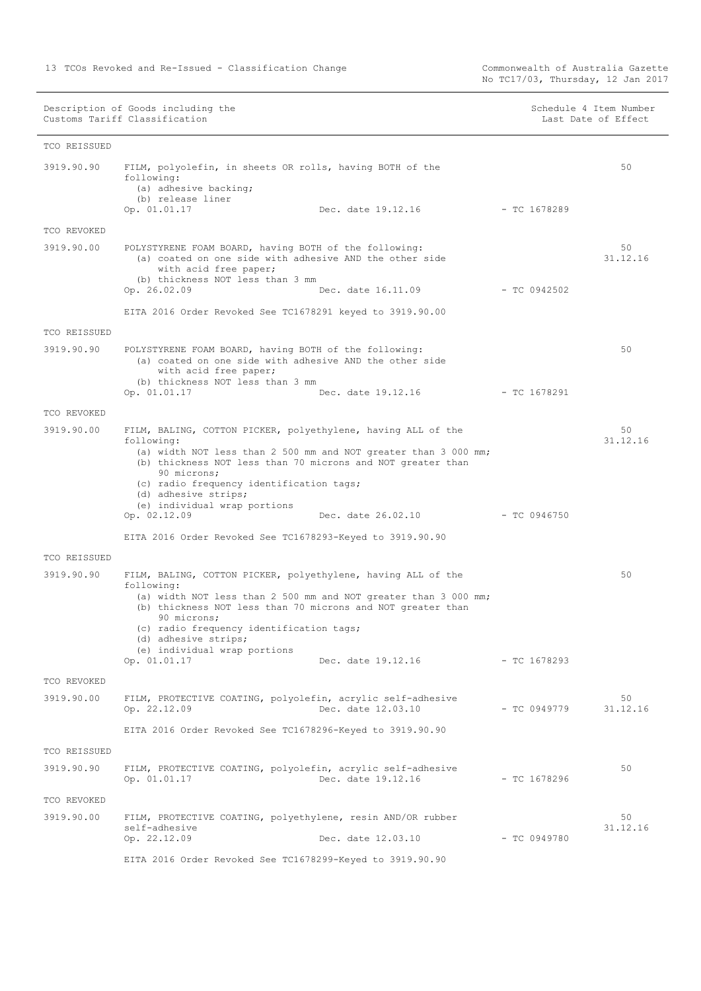No TC17/03, Thursday, 12 Jan 2017

Description of Goods including the Schedule 4 Item Number (Schedule 4 Item Number Customs Tariff Classification and the control of the control of the control of Effect Date of Effect

| TCO REISSUED |                                                                                                                                                                                                                                                                                                                                                 |                                 |                |                |
|--------------|-------------------------------------------------------------------------------------------------------------------------------------------------------------------------------------------------------------------------------------------------------------------------------------------------------------------------------------------------|---------------------------------|----------------|----------------|
| 3919.90.90   | FILM, polyolefin, in sheets OR rolls, having BOTH of the<br>following:<br>(a) adhesive backing;<br>(b) release liner<br>Op. 01.01.17                                                                                                                                                                                                            | Dec. date 19.12.16              | $-$ TC 1678289 | 50             |
| TCO REVOKED  |                                                                                                                                                                                                                                                                                                                                                 |                                 |                |                |
| 3919.90.00   | POLYSTYRENE FOAM BOARD, having BOTH of the following:<br>(a) coated on one side with adhesive AND the other side<br>with acid free paper;<br>(b) thickness NOT less than 3 mm<br>Op. 26.02.09                                                                                                                                                   | Dec. date 16.11.09              | $-$ TC 0942502 | 50<br>31.12.16 |
|              | EITA 2016 Order Revoked See TC1678291 keyed to 3919.90.00                                                                                                                                                                                                                                                                                       |                                 |                |                |
| TCO REISSUED |                                                                                                                                                                                                                                                                                                                                                 |                                 |                |                |
| 3919.90.90   | POLYSTYRENE FOAM BOARD, having BOTH of the following:<br>(a) coated on one side with adhesive AND the other side<br>with acid free paper;<br>(b) thickness NOT less than 3 mm<br>Op. 01.01.17                                                                                                                                                   | Dec. date 19.12.16 - TC 1678291 |                | 50             |
| TCO REVOKED  |                                                                                                                                                                                                                                                                                                                                                 |                                 |                |                |
| 3919.90.00   | FILM, BALING, COTTON PICKER, polyethylene, having ALL of the<br>following:<br>(a) width NOT less than 2 500 mm and NOT greater than 3 000 mm;<br>(b) thickness NOT less than 70 microns and NOT greater than<br>90 microns;<br>(c) radio frequency identification tags;<br>(d) adhesive strips;<br>(e) individual wrap portions<br>Op. 02.12.09 | Dec. date 26.02.10              | $-$ TC 0946750 | 50<br>31.12.16 |
|              |                                                                                                                                                                                                                                                                                                                                                 |                                 |                |                |
|              | EITA 2016 Order Revoked See TC1678293-Keyed to 3919.90.90                                                                                                                                                                                                                                                                                       |                                 |                |                |
| TCO REISSUED |                                                                                                                                                                                                                                                                                                                                                 |                                 |                |                |
| 3919.90.90   | FILM, BALING, COTTON PICKER, polyethylene, having ALL of the<br>following:<br>(a) width NOT less than 2 500 mm and NOT greater than 3 000 mm;<br>(b) thickness NOT less than 70 microns and NOT greater than<br>90 microns;<br>(c) radio frequency identification tags;<br>(d) adhesive strips;<br>(e) individual wrap portions<br>Op. 01.01.17 | Dec. date 19.12.16              | - TC 1678293   | 50             |
| TCO REVOKED  |                                                                                                                                                                                                                                                                                                                                                 |                                 |                |                |
| 3919.90.00   | FILM, PROTECTIVE COATING, polyolefin, acrylic self-adhesive<br>Op. 22.12.09                                                                                                                                                                                                                                                                     | Dec. date 12.03.10              | $-$ TC 0949779 | 50<br>31.12.16 |
|              | EITA 2016 Order Revoked See TC1678296-Keyed to 3919.90.90                                                                                                                                                                                                                                                                                       |                                 |                |                |
| TCO REISSUED |                                                                                                                                                                                                                                                                                                                                                 |                                 |                |                |
| 3919.90.90   | FILM, PROTECTIVE COATING, polyolefin, acrylic self-adhesive<br>Op. 01.01.17                                                                                                                                                                                                                                                                     | Dec. date 19.12.16              | $-$ TC 1678296 | 50             |
| TCO REVOKED  |                                                                                                                                                                                                                                                                                                                                                 |                                 |                |                |
| 3919.90.00   | FILM, PROTECTIVE COATING, polyethylene, resin AND/OR rubber<br>self-adhesive<br>Op. 22.12.09                                                                                                                                                                                                                                                    | Dec. date 12.03.10              | $-$ TC 0949780 | 50<br>31.12.16 |

EITA 2016 Order Revoked See TC1678299-Keyed to 3919.90.90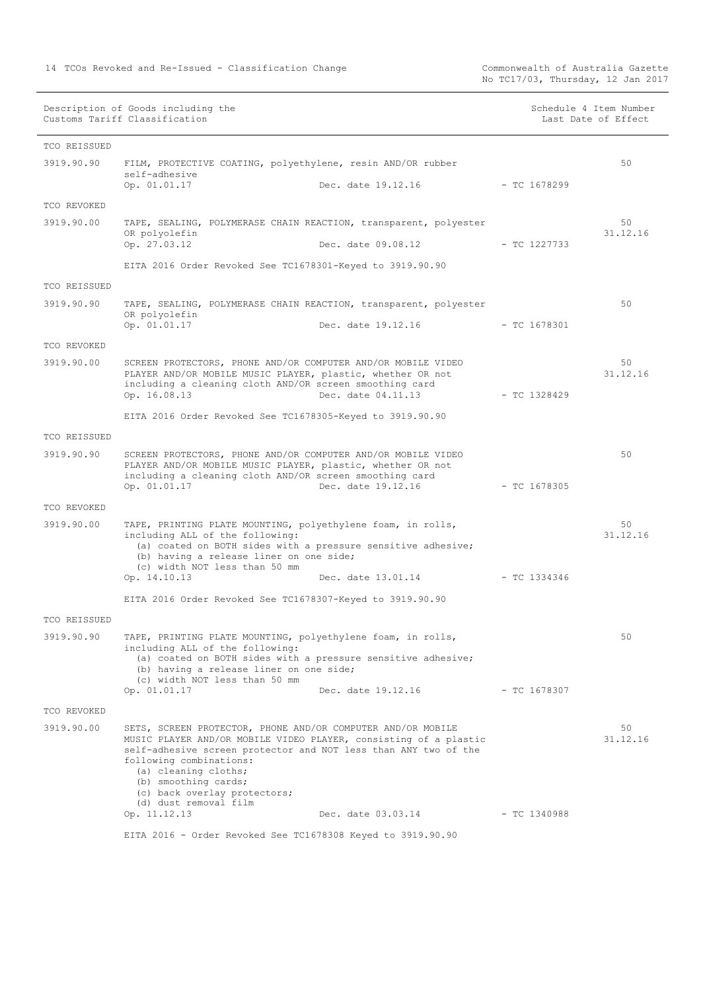| Description of Goods including the | Schedule 4 Item Number |
|------------------------------------|------------------------|
| Customs Tariff Classification      | Last Date of Effect    |
|                                    |                        |
|                                    |                        |

| Schedule 4 Item Number |  |  |  |
|------------------------|--|--|--|
| Last Date of Effect    |  |  |  |

| TCO REISSUED |                                                                                                                                                                                                                                                                                                                                        |                    |                |                |
|--------------|----------------------------------------------------------------------------------------------------------------------------------------------------------------------------------------------------------------------------------------------------------------------------------------------------------------------------------------|--------------------|----------------|----------------|
| 3919.90.90   | FILM, PROTECTIVE COATING, polyethylene, resin AND/OR rubber<br>self-adhesive<br>Op. 01.01.17                                                                                                                                                                                                                                           | Dec. date 19.12.16 | - TC 1678299   | 50             |
| TCO REVOKED  |                                                                                                                                                                                                                                                                                                                                        |                    |                |                |
| 3919.90.00   | TAPE, SEALING, POLYMERASE CHAIN REACTION, transparent, polyester                                                                                                                                                                                                                                                                       |                    |                | 50             |
|              | OR polyolefin                                                                                                                                                                                                                                                                                                                          |                    |                | 31.12.16       |
|              | Op. 27.03.12                                                                                                                                                                                                                                                                                                                           | Dec. date 09.08.12 | - TC 1227733   |                |
|              | EITA 2016 Order Revoked See TC1678301-Keyed to 3919.90.90                                                                                                                                                                                                                                                                              |                    |                |                |
| TCO REISSUED |                                                                                                                                                                                                                                                                                                                                        |                    |                |                |
| 3919.90.90   | TAPE, SEALING, POLYMERASE CHAIN REACTION, transparent, polyester<br>OR polyolefin<br>Op. 01.01.17                                                                                                                                                                                                                                      | Dec. date 19.12.16 | $-$ TC 1678301 | 50             |
| TCO REVOKED  |                                                                                                                                                                                                                                                                                                                                        |                    |                |                |
| 3919.90.00   | SCREEN PROTECTORS, PHONE AND/OR COMPUTER AND/OR MOBILE VIDEO<br>PLAYER AND/OR MOBILE MUSIC PLAYER, plastic, whether OR not<br>including a cleaning cloth AND/OR screen smoothing card<br>Op. 16.08.13                                                                                                                                  | Dec. date 04.11.13 | $-$ TC 1328429 | 50<br>31.12.16 |
|              | EITA 2016 Order Revoked See TC1678305-Keyed to 3919.90.90                                                                                                                                                                                                                                                                              |                    |                |                |
| TCO REISSUED |                                                                                                                                                                                                                                                                                                                                        |                    |                |                |
| 3919.90.90   | SCREEN PROTECTORS, PHONE AND/OR COMPUTER AND/OR MOBILE VIDEO<br>PLAYER AND/OR MOBILE MUSIC PLAYER, plastic, whether OR not<br>including a cleaning cloth AND/OR screen smoothing card<br>Op. 01.01.17                                                                                                                                  | Dec. date 19.12.16 | $-$ TC 1678305 | 50             |
| TCO REVOKED  |                                                                                                                                                                                                                                                                                                                                        |                    |                |                |
| 3919.90.00   | TAPE, PRINTING PLATE MOUNTING, polyethylene foam, in rolls,<br>including ALL of the following:<br>(a) coated on BOTH sides with a pressure sensitive adhesive;<br>(b) having a release liner on one side;<br>(c) width NOT less than 50 mm<br>Op. 14.10.13                                                                             | Dec. date 13.01.14 | $-$ TC 1334346 | 50<br>31.12.16 |
|              | EITA 2016 Order Revoked See TC1678307-Keyed to 3919.90.90                                                                                                                                                                                                                                                                              |                    |                |                |
| TCO REISSUED |                                                                                                                                                                                                                                                                                                                                        |                    |                |                |
| 3919.90.90   | TAPE, PRINTING PLATE MOUNTING, polyethylene foam, in rolls,                                                                                                                                                                                                                                                                            |                    |                | 50             |
|              | including ALL of the following:<br>(a) coated on BOTH sides with a pressure sensitive adhesive;<br>(b) having a release liner on one side;<br>(c) width NOT less than 50 mm<br>Op. 01.01.17                                                                                                                                            | Dec. date 19.12.16 | - TC 1678307   |                |
| TCO REVOKED  |                                                                                                                                                                                                                                                                                                                                        |                    |                |                |
| 3919.90.00   | SETS, SCREEN PROTECTOR, PHONE AND/OR COMPUTER AND/OR MOBILE<br>MUSIC PLAYER AND/OR MOBILE VIDEO PLAYER, consisting of a plastic<br>self-adhesive screen protector and NOT less than ANY two of the<br>following combinations:<br>(a) cleaning cloths;<br>(b) smoothing cards;<br>(c) back overlay protectors;<br>(d) dust removal film |                    |                | 50<br>31.12.16 |
|              | Op. 11.12.13                                                                                                                                                                                                                                                                                                                           | Dec. date 03.03.14 | $-$ TC 1340988 |                |
|              | EITA 2016 - Order Revoked See TC1678308 Keyed to 3919.90.90                                                                                                                                                                                                                                                                            |                    |                |                |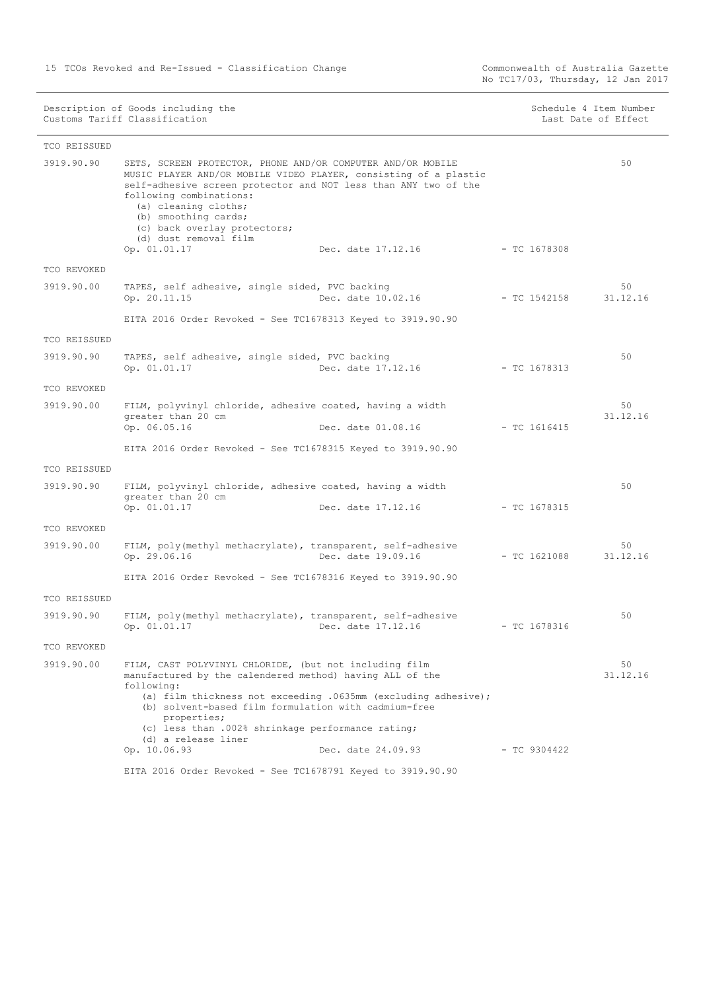No TC17/03, Thursday, 12 Jan 2017

Description of Goods including the Schedule 4 Item Number (Schedule 4 Item Number Customs Tariff Classification and the control of the control of the control of Effect Date of Effect

| TCO REISSUED |                                                                                                                                                                                                                                                                                                                                                                                             |                |                |
|--------------|---------------------------------------------------------------------------------------------------------------------------------------------------------------------------------------------------------------------------------------------------------------------------------------------------------------------------------------------------------------------------------------------|----------------|----------------|
| 3919.90.90   | SETS, SCREEN PROTECTOR, PHONE AND/OR COMPUTER AND/OR MOBILE<br>MUSIC PLAYER AND/OR MOBILE VIDEO PLAYER, consisting of a plastic<br>self-adhesive screen protector and NOT less than ANY two of the<br>following combinations:<br>(a) cleaning cloths;<br>(b) smoothing cards;<br>(c) back overlay protectors;<br>(d) dust removal film<br>Op. 01.01.17<br>Dec. date 17.12.16                | $-$ TC 1678308 | 50             |
| TCO REVOKED  |                                                                                                                                                                                                                                                                                                                                                                                             |                |                |
| 3919.90.00   | TAPES, self adhesive, single sided, PVC backing<br>Op. 20.11.15<br>Dec. date 10.02.16                                                                                                                                                                                                                                                                                                       | - TC 1542158   | 50<br>31.12.16 |
|              | EITA 2016 Order Revoked - See TC1678313 Keyed to 3919.90.90                                                                                                                                                                                                                                                                                                                                 |                |                |
| TCO REISSUED |                                                                                                                                                                                                                                                                                                                                                                                             |                |                |
| 3919.90.90   | TAPES, self adhesive, single sided, PVC backing<br>Dec. date 17.12.16<br>Op. 01.01.17                                                                                                                                                                                                                                                                                                       | $-$ TC 1678313 | 50             |
| TCO REVOKED  |                                                                                                                                                                                                                                                                                                                                                                                             |                |                |
| 3919.90.00   | FILM, polyvinyl chloride, adhesive coated, having a width<br>greater than 20 cm                                                                                                                                                                                                                                                                                                             |                | 50<br>31.12.16 |
|              | Op. 06.05.16<br>Dec. date 01.08.16                                                                                                                                                                                                                                                                                                                                                          | $-$ TC 1616415 |                |
|              | EITA 2016 Order Revoked - See TC1678315 Keyed to 3919.90.90                                                                                                                                                                                                                                                                                                                                 |                |                |
| TCO REISSUED |                                                                                                                                                                                                                                                                                                                                                                                             |                |                |
| 3919.90.90   | FILM, polyvinyl chloride, adhesive coated, having a width<br>greater than 20 cm<br>Op. 01.01.17<br>Dec. date 17.12.16                                                                                                                                                                                                                                                                       | $-$ TC 1678315 | 50             |
| TCO REVOKED  |                                                                                                                                                                                                                                                                                                                                                                                             |                |                |
| 3919.90.00   | FILM, poly(methyl methacrylate), transparent, self-adhesive<br>Op. 29.06.16<br>Dec. date 19.09.16                                                                                                                                                                                                                                                                                           | $-$ TC 1621088 | 50<br>31.12.16 |
|              | EITA 2016 Order Revoked - See TC1678316 Keyed to 3919.90.90                                                                                                                                                                                                                                                                                                                                 |                |                |
| TCO REISSUED |                                                                                                                                                                                                                                                                                                                                                                                             |                |                |
| 3919.90.90   | FILM, poly(methyl methacrylate), transparent, self-adhesive<br>Op. 01.01.17<br>Dec. date 17.12.16                                                                                                                                                                                                                                                                                           | $-$ TC 1678316 | 50             |
| TCO REVOKED  |                                                                                                                                                                                                                                                                                                                                                                                             |                |                |
| 3919.90.00   | FILM, CAST POLYVINYL CHLORIDE, (but not including film<br>manufactured by the calendered method) having ALL of the<br>following:<br>(a) film thickness not exceeding .0635mm (excluding adhesive);<br>(b) solvent-based film formulation with cadmium-free<br>properties;<br>(c) less than .002% shrinkage performance rating;<br>(d) a release liner<br>Op. 10.06.93<br>Dec. date 24.09.93 | $-$ TC 9304422 | 50<br>31.12.16 |
|              | EITA 2016 Order Revoked - See TC1678791 Keyed to 3919.90.90                                                                                                                                                                                                                                                                                                                                 |                |                |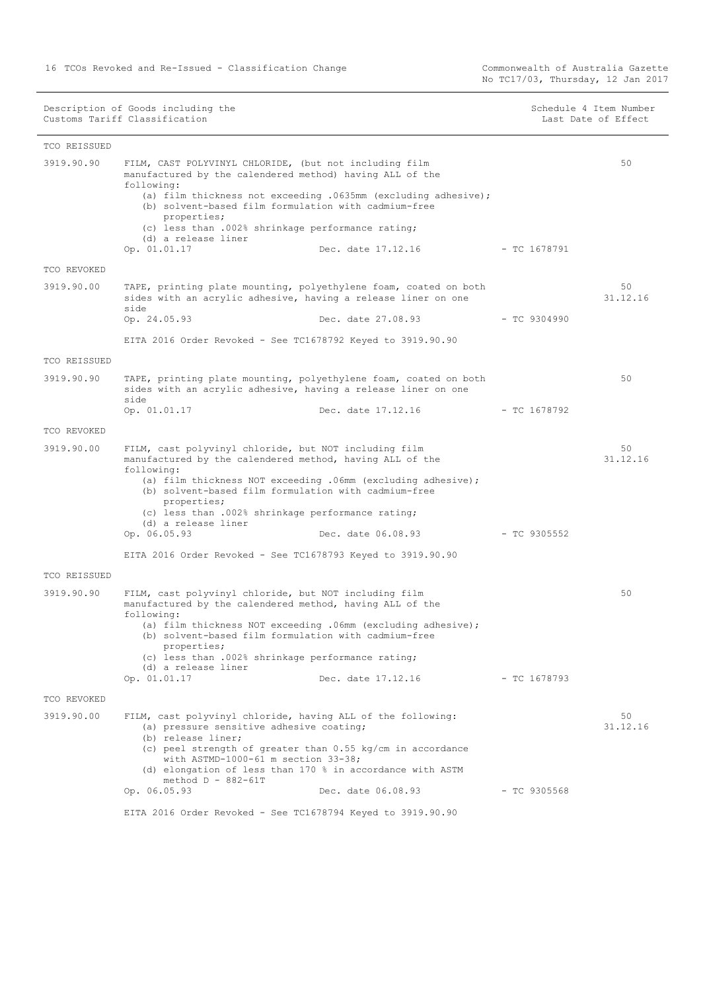No TC17/03, Thursday, 12 Jan 2017

| 50<br>3919.90.90<br>FILM, CAST POLYVINYL CHLORIDE, (but not including film<br>manufactured by the calendered method) having ALL of the<br>following:<br>(a) film thickness not exceeding .0635mm (excluding adhesive);<br>(b) solvent-based film formulation with cadmium-free<br>properties;<br>(c) less than .002% shrinkage performance rating;<br>(d) a release liner<br>Op. 01.01.17<br>Dec. date 17.12.16<br>- TC 1678791<br>TCO REVOKED<br>50<br>3919.90.00<br>TAPE, printing plate mounting, polyethylene foam, coated on both<br>31.12.16<br>sides with an acrylic adhesive, having a release liner on one<br>side<br>Op. 24.05.93<br>Dec. date 27.08.93<br>- TC 9304990<br>EITA 2016 Order Revoked - See TC1678792 Keyed to 3919.90.90<br>TCO REISSUED<br>3919.90.90<br>TAPE, printing plate mounting, polyethylene foam, coated on both<br>50<br>sides with an acrylic adhesive, having a release liner on one<br>side<br>Dec. date 17.12.16<br>Op. 01.01.17<br>- TC 1678792<br>TCO REVOKED<br>3919.90.00<br>FILM, cast polyvinyl chloride, but NOT including film<br>50<br>31.12.16<br>manufactured by the calendered method, having ALL of the<br>following:<br>(a) film thickness NOT exceeding .06mm (excluding adhesive);<br>(b) solvent-based film formulation with cadmium-free<br>properties;<br>(c) less than .002% shrinkage performance rating;<br>(d) a release liner<br>Op. 06.05.93<br>Dec. date 06.08.93<br>$-$ TC 9305552<br>EITA 2016 Order Revoked - See TC1678793 Keyed to 3919.90.90<br>TCO REISSUED<br>3919.90.90<br>FILM, cast polyvinyl chloride, but NOT including film<br>50<br>manufactured by the calendered method, having ALL of the<br>following:<br>(a) film thickness NOT exceeding .06mm (excluding adhesive);<br>(b) solvent-based film formulation with cadmium-free<br>properties;<br>(c) less than .002% shrinkage performance rating;<br>(d) a release liner<br>Op. 01.01.17<br>Dec. date 17.12.16<br>$-$ TC 1678793<br>TCO REVOKED | TCO REISSUED |  |  |
|--------------------------------------------------------------------------------------------------------------------------------------------------------------------------------------------------------------------------------------------------------------------------------------------------------------------------------------------------------------------------------------------------------------------------------------------------------------------------------------------------------------------------------------------------------------------------------------------------------------------------------------------------------------------------------------------------------------------------------------------------------------------------------------------------------------------------------------------------------------------------------------------------------------------------------------------------------------------------------------------------------------------------------------------------------------------------------------------------------------------------------------------------------------------------------------------------------------------------------------------------------------------------------------------------------------------------------------------------------------------------------------------------------------------------------------------------------------------------------------------------------------------------------------------------------------------------------------------------------------------------------------------------------------------------------------------------------------------------------------------------------------------------------------------------------------------------------------------------------------------------------------------------------------------------------------------------------------------------------------|--------------|--|--|
|                                                                                                                                                                                                                                                                                                                                                                                                                                                                                                                                                                                                                                                                                                                                                                                                                                                                                                                                                                                                                                                                                                                                                                                                                                                                                                                                                                                                                                                                                                                                                                                                                                                                                                                                                                                                                                                                                                                                                                                      |              |  |  |
|                                                                                                                                                                                                                                                                                                                                                                                                                                                                                                                                                                                                                                                                                                                                                                                                                                                                                                                                                                                                                                                                                                                                                                                                                                                                                                                                                                                                                                                                                                                                                                                                                                                                                                                                                                                                                                                                                                                                                                                      |              |  |  |
|                                                                                                                                                                                                                                                                                                                                                                                                                                                                                                                                                                                                                                                                                                                                                                                                                                                                                                                                                                                                                                                                                                                                                                                                                                                                                                                                                                                                                                                                                                                                                                                                                                                                                                                                                                                                                                                                                                                                                                                      |              |  |  |
|                                                                                                                                                                                                                                                                                                                                                                                                                                                                                                                                                                                                                                                                                                                                                                                                                                                                                                                                                                                                                                                                                                                                                                                                                                                                                                                                                                                                                                                                                                                                                                                                                                                                                                                                                                                                                                                                                                                                                                                      |              |  |  |
|                                                                                                                                                                                                                                                                                                                                                                                                                                                                                                                                                                                                                                                                                                                                                                                                                                                                                                                                                                                                                                                                                                                                                                                                                                                                                                                                                                                                                                                                                                                                                                                                                                                                                                                                                                                                                                                                                                                                                                                      |              |  |  |
|                                                                                                                                                                                                                                                                                                                                                                                                                                                                                                                                                                                                                                                                                                                                                                                                                                                                                                                                                                                                                                                                                                                                                                                                                                                                                                                                                                                                                                                                                                                                                                                                                                                                                                                                                                                                                                                                                                                                                                                      |              |  |  |
|                                                                                                                                                                                                                                                                                                                                                                                                                                                                                                                                                                                                                                                                                                                                                                                                                                                                                                                                                                                                                                                                                                                                                                                                                                                                                                                                                                                                                                                                                                                                                                                                                                                                                                                                                                                                                                                                                                                                                                                      |              |  |  |
|                                                                                                                                                                                                                                                                                                                                                                                                                                                                                                                                                                                                                                                                                                                                                                                                                                                                                                                                                                                                                                                                                                                                                                                                                                                                                                                                                                                                                                                                                                                                                                                                                                                                                                                                                                                                                                                                                                                                                                                      |              |  |  |
|                                                                                                                                                                                                                                                                                                                                                                                                                                                                                                                                                                                                                                                                                                                                                                                                                                                                                                                                                                                                                                                                                                                                                                                                                                                                                                                                                                                                                                                                                                                                                                                                                                                                                                                                                                                                                                                                                                                                                                                      |              |  |  |
|                                                                                                                                                                                                                                                                                                                                                                                                                                                                                                                                                                                                                                                                                                                                                                                                                                                                                                                                                                                                                                                                                                                                                                                                                                                                                                                                                                                                                                                                                                                                                                                                                                                                                                                                                                                                                                                                                                                                                                                      |              |  |  |
|                                                                                                                                                                                                                                                                                                                                                                                                                                                                                                                                                                                                                                                                                                                                                                                                                                                                                                                                                                                                                                                                                                                                                                                                                                                                                                                                                                                                                                                                                                                                                                                                                                                                                                                                                                                                                                                                                                                                                                                      |              |  |  |
|                                                                                                                                                                                                                                                                                                                                                                                                                                                                                                                                                                                                                                                                                                                                                                                                                                                                                                                                                                                                                                                                                                                                                                                                                                                                                                                                                                                                                                                                                                                                                                                                                                                                                                                                                                                                                                                                                                                                                                                      |              |  |  |
| 3919.90.00<br>FILM, cast polyvinyl chloride, having ALL of the following:<br>50<br>31.12.16<br>(a) pressure sensitive adhesive coating;<br>(b) release liner;<br>(c) peel strength of greater than $0.55$ kg/cm in accordance<br>with ASTMD-1000-61 m section $33-38$ ;<br>(d) elongation of less than 170 % in accordance with ASTM<br>method $D - 882 - 61T$<br>Op. 06.05.93<br>Dec. date 06.08.93<br>$-$ TC 9305568                                                                                                                                                                                                                                                                                                                                                                                                                                                                                                                                                                                                                                                                                                                                                                                                                                                                                                                                                                                                                                                                                                                                                                                                                                                                                                                                                                                                                                                                                                                                                               |              |  |  |
| EITA 2016 Order Revoked - See TC1678794 Keyed to 3919.90.90                                                                                                                                                                                                                                                                                                                                                                                                                                                                                                                                                                                                                                                                                                                                                                                                                                                                                                                                                                                                                                                                                                                                                                                                                                                                                                                                                                                                                                                                                                                                                                                                                                                                                                                                                                                                                                                                                                                          |              |  |  |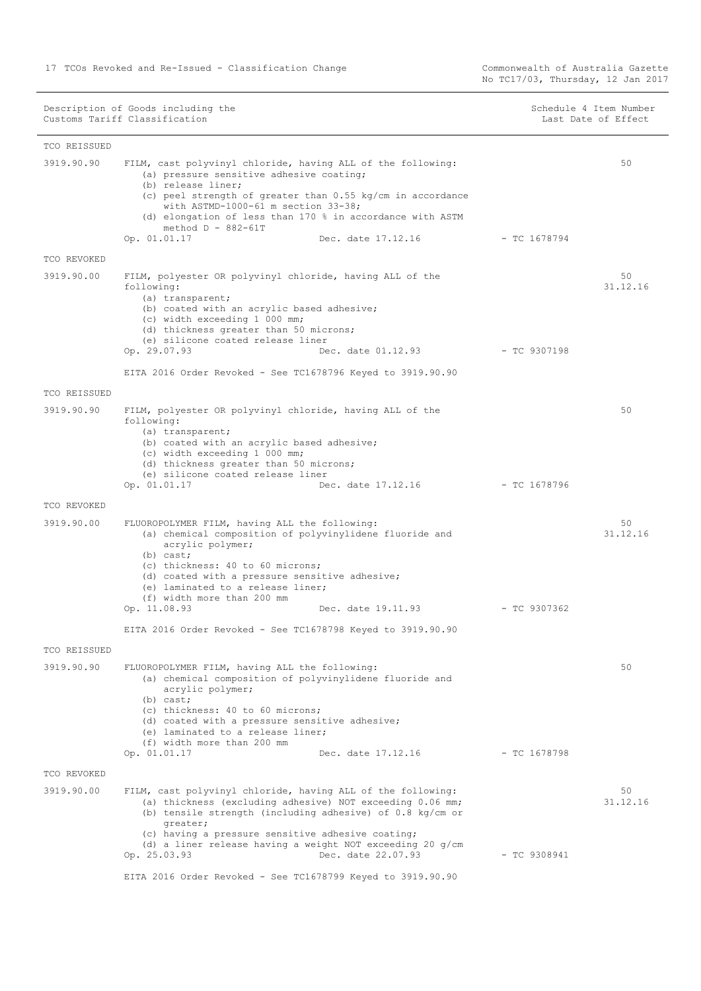No TC17/03, Thursday, 12 Jan 2017

Description of Goods including the Schedule 4 Item Number (Schedule 4 Item Number Customs Tariff Classification and the control of the control of the control of Effect Date of Effect

| TCO REISSUED |                                                                                                                                                                                                                                                                                                                                                                       |                |                |
|--------------|-----------------------------------------------------------------------------------------------------------------------------------------------------------------------------------------------------------------------------------------------------------------------------------------------------------------------------------------------------------------------|----------------|----------------|
| 3919.90.90   | FILM, cast polyvinyl chloride, having ALL of the following:<br>(a) pressure sensitive adhesive coating;<br>(b) release liner;<br>(c) peel strength of greater than $0.55$ kg/cm in accordance<br>with ASTMD-1000-61 m section 33-38;<br>(d) elongation of less than 170 % in accordance with ASTM<br>method $D - 882 - 61T$<br>Op. 01.01.17<br>Dec. date 17.12.16     | - TC 1678794   | 50             |
| TCO REVOKED  |                                                                                                                                                                                                                                                                                                                                                                       |                |                |
| 3919.90.00   | FILM, polyester OR polyvinyl chloride, having ALL of the<br>following:<br>(a) transparent;<br>(b) coated with an acrylic based adhesive;<br>(c) width exceeding 1 000 mm;<br>(d) thickness greater than 50 microns;<br>(e) silicone coated release liner<br>Op. 29.07.93<br>Dec. date 01.12.93                                                                        | - TC 9307198   | 50<br>31.12.16 |
|              | EITA 2016 Order Revoked - See TC1678796 Keyed to 3919.90.90                                                                                                                                                                                                                                                                                                           |                |                |
| TCO REISSUED |                                                                                                                                                                                                                                                                                                                                                                       |                |                |
| 3919.90.90   | FILM, polyester OR polyvinyl chloride, having ALL of the<br>following:<br>(a) transparent;<br>(b) coated with an acrylic based adhesive;<br>(c) width exceeding 1 000 mm;<br>(d) thickness greater than 50 microns;<br>(e) silicone coated release liner<br>Op. 01.01.17<br>Dec. date 17.12.16                                                                        | - TC 1678796   | 50             |
| TCO REVOKED  |                                                                                                                                                                                                                                                                                                                                                                       |                |                |
| 3919.90.00   | FLUOROPOLYMER FILM, having ALL the following:<br>(a) chemical composition of polyvinylidene fluoride and<br>acrylic polymer;<br>$(b)$ cast;<br>(c) thickness: 40 to 60 microns;<br>(d) coated with a pressure sensitive adhesive;<br>(e) laminated to a release liner;<br>(f) width more than 200 mm<br>Op. 11.08.93<br>Dec. date 19.11.93                            | $-$ TC 9307362 | 50<br>31.12.16 |
|              | EITA 2016 Order Revoked - See TC1678798 Keyed to 3919.90.90                                                                                                                                                                                                                                                                                                           |                |                |
| TCO REISSUED |                                                                                                                                                                                                                                                                                                                                                                       |                |                |
| 3919.90.90   | FLUOROPOLYMER FILM, having ALL the following:<br>(a) chemical composition of polyvinylidene fluoride and<br>acrylic polymer;<br>$(b)$ cast;<br>(c) thickness: 40 to 60 microns;<br>(d) coated with a pressure sensitive adhesive;<br>(e) laminated to a release liner;<br>(f) width more than 200 mm<br>Op. 01.01.17<br>Dec. date 17.12.16                            | $-$ TC 1678798 | 50             |
| TCO REVOKED  |                                                                                                                                                                                                                                                                                                                                                                       |                |                |
| 3919.90.00   | FILM, cast polyvinyl chloride, having ALL of the following:<br>(a) thickness (excluding adhesive) NOT exceeding 0.06 mm;<br>(b) tensile strength (including adhesive) of $0.8 \text{ kg/cm}$ or<br>qreater;<br>(c) having a pressure sensitive adhesive coating;<br>(d) a liner release having a weight NOT exceeding 20 $g/cm$<br>Dec. date 22.07.93<br>Op. 25.03.93 | $-$ TC 9308941 | 50<br>31.12.16 |
|              | EITA 2016 Order Revoked - See TC1678799 Keyed to 3919.90.90                                                                                                                                                                                                                                                                                                           |                |                |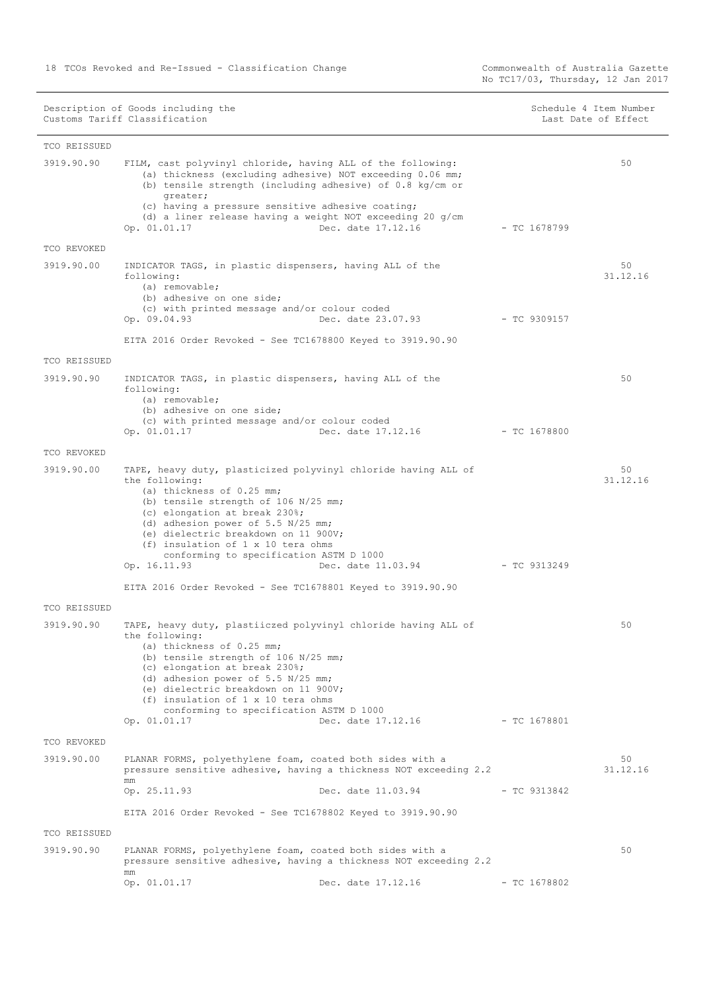|                            | Description of Goods including the<br>Customs Tariff Classification                                                                                                                                                                                                                                                                                                   |                    |                | Schedule 4 Item Number<br>Last Date of Effect |
|----------------------------|-----------------------------------------------------------------------------------------------------------------------------------------------------------------------------------------------------------------------------------------------------------------------------------------------------------------------------------------------------------------------|--------------------|----------------|-----------------------------------------------|
| TCO REISSUED               |                                                                                                                                                                                                                                                                                                                                                                       |                    |                |                                               |
| 3919.90.90                 | FILM, cast polyvinyl chloride, having ALL of the following:<br>(a) thickness (excluding adhesive) NOT exceeding 0.06 mm;<br>(b) tensile strength (including adhesive) of 0.8 kg/cm or                                                                                                                                                                                 |                    |                | 50                                            |
|                            | greater;<br>(c) having a pressure sensitive adhesive coating;<br>(d) a liner release having a weight NOT exceeding 20 $g/cm$<br>Op. 01.01.17                                                                                                                                                                                                                          | Dec. date 17.12.16 | $-$ TC 1678799 |                                               |
| TCO REVOKED                |                                                                                                                                                                                                                                                                                                                                                                       |                    |                |                                               |
| 3919.90.00                 | INDICATOR TAGS, in plastic dispensers, having ALL of the<br>following:<br>(a) removable;<br>(b) adhesive on one side;<br>(c) with printed message and/or colour coded                                                                                                                                                                                                 |                    |                | 50<br>31.12.16                                |
|                            | Op. 09.04.93                                                                                                                                                                                                                                                                                                                                                          | Dec. date 23.07.93 | $-$ TC 9309157 |                                               |
|                            | EITA 2016 Order Revoked - See TC1678800 Keyed to 3919.90.90                                                                                                                                                                                                                                                                                                           |                    |                |                                               |
| TCO REISSUED               |                                                                                                                                                                                                                                                                                                                                                                       |                    |                |                                               |
| 3919.90.90                 | INDICATOR TAGS, in plastic dispensers, having ALL of the<br>following:<br>(a) removable;<br>(b) adhesive on one side;<br>(c) with printed message and/or colour coded                                                                                                                                                                                                 |                    |                | 50                                            |
|                            | Op. 01.01.17                                                                                                                                                                                                                                                                                                                                                          | Dec. date 17.12.16 | $-$ TC 1678800 |                                               |
| TCO REVOKED                |                                                                                                                                                                                                                                                                                                                                                                       |                    |                |                                               |
| 3919.90.00                 | TAPE, heavy duty, plasticized polyvinyl chloride having ALL of<br>the following:<br>(a) thickness of 0.25 mm;<br>(b) tensile strength of 106 N/25 mm;<br>(c) elongation at break 230%;<br>(d) adhesion power of 5.5 N/25 mm;<br>(e) dielectric breakdown on 11 900V;<br>(f) insulation of 1 x 10 tera ohms<br>conforming to specification ASTM D 1000<br>Op. 16.11.93 | Dec. date 11.03.94 | $-TC9313249$   | 50<br>31.12.16                                |
|                            |                                                                                                                                                                                                                                                                                                                                                                       |                    |                |                                               |
|                            | EITA 2016 Order Revoked - See TC1678801 Keyed to 3919.90.90                                                                                                                                                                                                                                                                                                           |                    |                |                                               |
| TCO REISSUED<br>3919.90.90 | TAPE, heavy duty, plastiiczed polyvinyl chloride having ALL of<br>the following:<br>(a) thickness of 0.25 mm;<br>(b) tensile strength of 106 N/25 mm;<br>(c) elongation at break 230%;<br>(d) adhesion power of $5.5 N/25 mm$ ;<br>(e) dielectric breakdown on 11 900V;<br>(f) insulation of 1 x 10 tera ohms<br>conforming to specification ASTM D 1000              |                    |                | 50                                            |
|                            | Op. 01.01.17                                                                                                                                                                                                                                                                                                                                                          | Dec. date 17.12.16 | - TC 1678801   |                                               |
| TCO REVOKED                |                                                                                                                                                                                                                                                                                                                                                                       |                    |                |                                               |
| 3919.90.00                 | PLANAR FORMS, polyethylene foam, coated both sides with a<br>pressure sensitive adhesive, having a thickness NOT exceeding 2.2<br>mm                                                                                                                                                                                                                                  |                    |                | 50<br>31.12.16                                |
|                            | Op. 25.11.93                                                                                                                                                                                                                                                                                                                                                          | Dec. date 11.03.94 | $-$ TC 9313842 |                                               |
|                            | EITA 2016 Order Revoked - See TC1678802 Keyed to 3919.90.90                                                                                                                                                                                                                                                                                                           |                    |                |                                               |
| TCO REISSUED               |                                                                                                                                                                                                                                                                                                                                                                       |                    |                |                                               |
| 3919.90.90                 | PLANAR FORMS, polyethylene foam, coated both sides with a<br>pressure sensitive adhesive, having a thickness NOT exceeding 2.2                                                                                                                                                                                                                                        |                    |                | 50                                            |
|                            | mm<br>Op. 01.01.17                                                                                                                                                                                                                                                                                                                                                    | Dec. date 17.12.16 | $-$ TC 1678802 |                                               |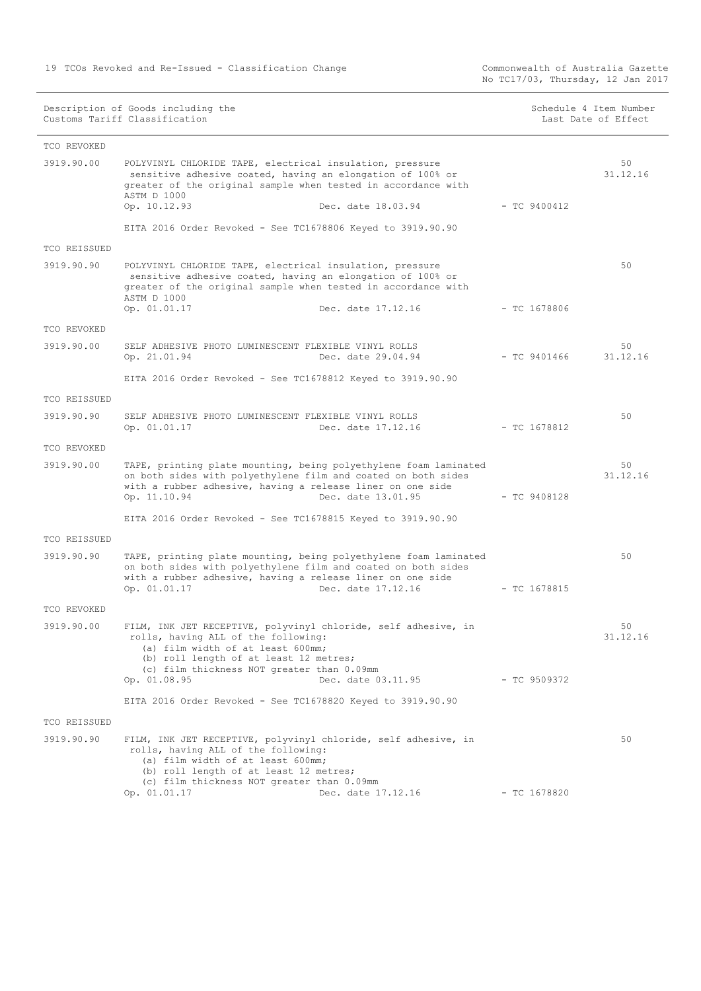Commonwealth of Australia Gazette<br>No TC17/03, Thursday, 12 Jan 2017

|              | Description of Goods including the<br>Customs Tariff Classification                                                                                                                                                                          |                | Schedule 4 Item Number<br>Last Date of Effect |
|--------------|----------------------------------------------------------------------------------------------------------------------------------------------------------------------------------------------------------------------------------------------|----------------|-----------------------------------------------|
| TCO REVOKED  |                                                                                                                                                                                                                                              |                |                                               |
| 3919.90.00   | POLYVINYL CHLORIDE TAPE, electrical insulation, pressure<br>sensitive adhesive coated, having an elongation of 100% or<br>greater of the original sample when tested in accordance with<br>ASTM D 1000<br>Op. 10.12.93<br>Dec. date 18.03.94 | $-$ TC 9400412 | 50<br>31.12.16                                |
|              | EITA 2016 Order Revoked - See TC1678806 Keyed to 3919.90.90                                                                                                                                                                                  |                |                                               |
| TCO REISSUED |                                                                                                                                                                                                                                              |                |                                               |
| 3919.90.90   | POLYVINYL CHLORIDE TAPE, electrical insulation, pressure<br>sensitive adhesive coated, having an elongation of 100% or<br>greater of the original sample when tested in accordance with<br>ASTM D 1000                                       |                | 50                                            |
|              | Op. 01.01.17<br>Dec. date 17.12.16                                                                                                                                                                                                           | $-$ TC 1678806 |                                               |
| TCO REVOKED  |                                                                                                                                                                                                                                              |                |                                               |
| 3919.90.00   | SELF ADHESIVE PHOTO LUMINESCENT FLEXIBLE VINYL ROLLS<br>Op. 21.01.94<br>Dec. date 29.04.94                                                                                                                                                   | - TC 9401466   | 50<br>31.12.16                                |
|              | EITA 2016 Order Revoked - See TC1678812 Keyed to 3919.90.90                                                                                                                                                                                  |                |                                               |
| TCO REISSUED |                                                                                                                                                                                                                                              |                |                                               |
| 3919.90.90   | SELF ADHESIVE PHOTO LUMINESCENT FLEXIBLE VINYL ROLLS<br>Dec. date 17.12.16<br>Op. 01.01.17                                                                                                                                                   | $-$ TC 1678812 | 50                                            |
| TCO REVOKED  |                                                                                                                                                                                                                                              |                |                                               |
| 3919.90.00   | TAPE, printing plate mounting, being polyethylene foam laminated<br>on both sides with polyethylene film and coated on both sides<br>with a rubber adhesive, having a release liner on one side<br>Dec. date 13.01.95<br>Op. 11.10.94        | $-$ TC 9408128 | 50<br>31.12.16                                |
|              | EITA 2016 Order Revoked - See TC1678815 Keyed to 3919.90.90                                                                                                                                                                                  |                |                                               |
| TCO REISSUED |                                                                                                                                                                                                                                              |                |                                               |
| 3919.90.90   | TAPE, printing plate mounting, being polyethylene foam laminated<br>on both sides with polyethylene film and coated on both sides<br>with a rubber adhesive, having a release liner on one side<br>Op. 01.01.17<br>Dec. date 17.12.16        | $-$ TC 1678815 | 50                                            |
| TCO REVOKED  |                                                                                                                                                                                                                                              |                |                                               |
| 3919.90.00   | FILM, INK JET RECEPTIVE, polyvinyl chloride, self adhesive, in<br>rolls, having ALL of the following:<br>(a) film width of at least 600mm;<br>(b) roll length of at least 12 metres;<br>(c) film thickness NOT greater than 0.09mm           |                | 50<br>31.12.16                                |
|              | Op. 01.08.95<br>Dec. date 03.11.95                                                                                                                                                                                                           | - TC 9509372   |                                               |
|              |                                                                                                                                                                                                                                              |                |                                               |
| TCO REISSUED |                                                                                                                                                                                                                                              |                |                                               |
| 3919.90.90   | FILM, INK JET RECEPTIVE, polyvinyl chloride, self adhesive, in<br>rolls, having ALL of the following:<br>(a) film width of at least 600mm;<br>(b) roll length of at least 12 metres;<br>(c) film thickness NOT greater than 0.09mm           |                | 50                                            |
|              | EITA 2016 Order Revoked - See TC1678820 Keyed to 3919.90.90                                                                                                                                                                                  |                |                                               |

Op. 01.01.17 Dec. date 17.12.16 - TC 1678820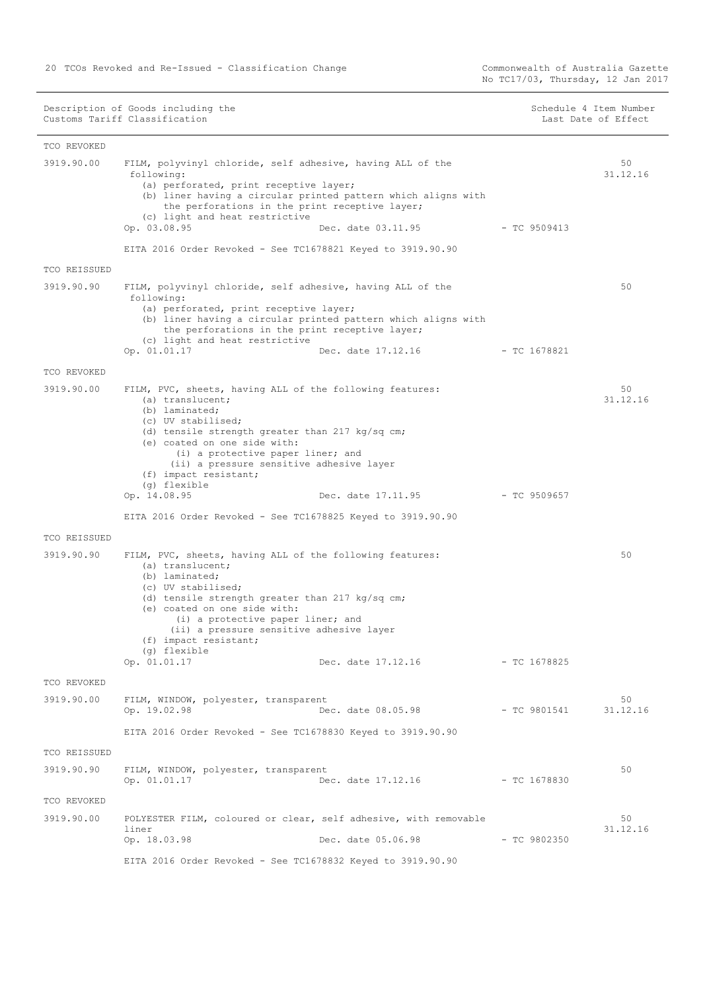Commonwealth of Australia Gazette<br>No TC17/03, Thursday, 12 Jan 2017

| Schedule 4 Item Number |  |  |                     |
|------------------------|--|--|---------------------|
|                        |  |  | Last Date of Effect |

| TCO REVOKED  |                                                                                                                                                                                                                                                                                                                                                                           |                |                |
|--------------|---------------------------------------------------------------------------------------------------------------------------------------------------------------------------------------------------------------------------------------------------------------------------------------------------------------------------------------------------------------------------|----------------|----------------|
| 3919.90.00   | FILM, polyvinyl chloride, self adhesive, having ALL of the<br>following:<br>(a) perforated, print receptive layer;<br>(b) liner having a circular printed pattern which aligns with<br>the perforations in the print receptive layer;<br>(c) light and heat restrictive<br>Op. 03.08.95<br>Dec. date 03.11.95                                                             | - TC 9509413   | 50<br>31.12.16 |
|              | EITA 2016 Order Revoked - See TC1678821 Keyed to 3919.90.90                                                                                                                                                                                                                                                                                                               |                |                |
| TCO REISSUED |                                                                                                                                                                                                                                                                                                                                                                           |                |                |
| 3919.90.90   | FILM, polyvinyl chloride, self adhesive, having ALL of the<br>following:<br>(a) perforated, print receptive layer;<br>(b) liner having a circular printed pattern which aligns with<br>the perforations in the print receptive layer;<br>(c) light and heat restrictive<br>Op. 01.01.17<br>Dec. date 17.12.16                                                             | $-$ TC 1678821 | 50             |
| TCO REVOKED  |                                                                                                                                                                                                                                                                                                                                                                           |                |                |
| 3919.90.00   | FILM, PVC, sheets, having ALL of the following features:<br>(a) translucent;<br>(b) laminated;<br>(c) UV stabilised;<br>(d) tensile strength greater than 217 $kg/sq$ cm;<br>(e) coated on one side with:<br>(i) a protective paper liner; and<br>(ii) a pressure sensitive adhesive layer<br>(f) impact resistant;<br>(g) flexible<br>Dec. date 17.11.95<br>Op. 14.08.95 | - TC 9509657   | 50<br>31.12.16 |
|              | EITA 2016 Order Revoked - See TC1678825 Keyed to 3919.90.90                                                                                                                                                                                                                                                                                                               |                |                |
| TCO REISSUED |                                                                                                                                                                                                                                                                                                                                                                           |                |                |
| 3919.90.90   | FILM, PVC, sheets, having ALL of the following features:<br>(a) translucent;<br>(b) laminated;<br>(c) UV stabilised;<br>(d) tensile strength greater than 217 kg/sq cm;<br>(e) coated on one side with:<br>(i) a protective paper liner; and<br>(ii) a pressure sensitive adhesive layer<br>(f) impact resistant;<br>(g) flexible<br>Op. 01.01.17<br>Dec. date 17.12.16   | $-$ TC 1678825 | 50             |
| TCO REVOKED  |                                                                                                                                                                                                                                                                                                                                                                           |                |                |
| 3919.90.00   | FILM, WINDOW, polyester, transparent<br>Op. 19.02.98<br>Dec. date 08.05.98                                                                                                                                                                                                                                                                                                | $-$ TC 9801541 | 50<br>31.12.16 |
|              | EITA 2016 Order Revoked - See TC1678830 Keyed to 3919.90.90                                                                                                                                                                                                                                                                                                               |                |                |
| TCO REISSUED |                                                                                                                                                                                                                                                                                                                                                                           |                |                |
| 3919.90.90   | FILM, WINDOW, polyester, transparent<br>Op. 01.01.17<br>Dec. date 17.12.16                                                                                                                                                                                                                                                                                                | $-$ TC 1678830 | 50             |
| TCO REVOKED  |                                                                                                                                                                                                                                                                                                                                                                           |                |                |
| 3919.90.00   | POLYESTER FILM, coloured or clear, self adhesive, with removable<br>liner<br>Dec. date 05.06.98<br>Op. 18.03.98                                                                                                                                                                                                                                                           | $-$ TC 9802350 | 50<br>31.12.16 |
|              | EITA 2016 Order Revoked - See TC1678832 Keyed to 3919.90.90                                                                                                                                                                                                                                                                                                               |                |                |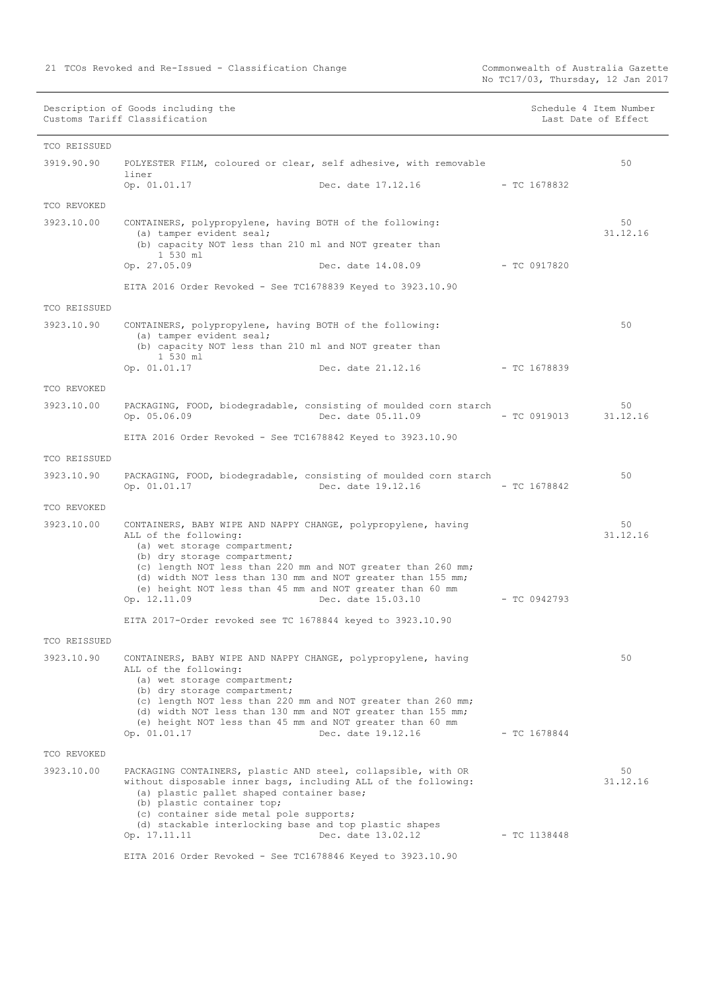Commonwealth of Australia Gazette<br>No TC17/03, Thursday, 12 Jan 2017

| Schedule 4 Item Number |  |  |  |  |
|------------------------|--|--|--|--|
| Last Date of Effect    |  |  |  |  |

| TCO REISSUED |                                                                                                                                                                                                                                                                                                                                                                    |                                 |                |                |
|--------------|--------------------------------------------------------------------------------------------------------------------------------------------------------------------------------------------------------------------------------------------------------------------------------------------------------------------------------------------------------------------|---------------------------------|----------------|----------------|
| 3919.90.90   | POLYESTER FILM, coloured or clear, self adhesive, with removable<br>liner                                                                                                                                                                                                                                                                                          |                                 |                | 50             |
|              | Op. 01.01.17                                                                                                                                                                                                                                                                                                                                                       | Dec. date 17.12.16              | $-$ TC 1678832 |                |
| TCO REVOKED  |                                                                                                                                                                                                                                                                                                                                                                    |                                 |                |                |
| 3923.10.00   | CONTAINERS, polypropylene, having BOTH of the following:<br>(a) tamper evident seal;                                                                                                                                                                                                                                                                               |                                 |                | 50<br>31.12.16 |
|              | (b) capacity NOT less than 210 ml and NOT greater than<br>1 530 ml                                                                                                                                                                                                                                                                                                 |                                 |                |                |
|              | Op. 27.05.09                                                                                                                                                                                                                                                                                                                                                       | Dec. date 14.08.09 - TC 0917820 |                |                |
|              | EITA 2016 Order Revoked - See TC1678839 Keyed to 3923.10.90                                                                                                                                                                                                                                                                                                        |                                 |                |                |
| TCO REISSUED |                                                                                                                                                                                                                                                                                                                                                                    |                                 |                |                |
| 3923.10.90   | CONTAINERS, polypropylene, having BOTH of the following:<br>(a) tamper evident seal;                                                                                                                                                                                                                                                                               |                                 |                | 50             |
|              | (b) capacity NOT less than 210 ml and NOT greater than<br>1 530 ml                                                                                                                                                                                                                                                                                                 |                                 |                |                |
|              | Op. 01.01.17                                                                                                                                                                                                                                                                                                                                                       | Dec. date 21.12.16              | - TC 1678839   |                |
| TCO REVOKED  |                                                                                                                                                                                                                                                                                                                                                                    |                                 |                |                |
| 3923.10.00   | PACKAGING, FOOD, biodegradable, consisting of moulded corn starch<br>Op. 05.06.09                                                                                                                                                                                                                                                                                  | Dec. date 05.11.09              | - TC 0919013   | 50<br>31.12.16 |
|              | EITA 2016 Order Revoked - See TC1678842 Keyed to 3923.10.90                                                                                                                                                                                                                                                                                                        |                                 |                |                |
| TCO REISSUED |                                                                                                                                                                                                                                                                                                                                                                    |                                 |                |                |
| 3923.10.90   | PACKAGING, FOOD, biodegradable, consisting of moulded corn starch<br>Op. 01.01.17                                                                                                                                                                                                                                                                                  | Dec. date 19.12.16              | - TC 1678842   | 50             |
| TCO REVOKED  |                                                                                                                                                                                                                                                                                                                                                                    |                                 |                |                |
| 3923.10.00   | CONTAINERS, BABY WIPE AND NAPPY CHANGE, polypropylene, having<br>ALL of the following:<br>(a) wet storage compartment;<br>(b) dry storage compartment;<br>(c) length NOT less than 220 mm and NOT greater than 260 mm;<br>(d) width NOT less than 130 mm and NOT greater than 155 mm;<br>(e) height NOT less than 45 mm and NOT greater than 60 mm<br>Op. 12.11.09 | Dec. date 15.03.10              | $-$ TC 0942793 | 50<br>31.12.16 |
|              | EITA 2017-Order revoked see TC 1678844 keyed to 3923.10.90                                                                                                                                                                                                                                                                                                         |                                 |                |                |
| TCO REISSUED |                                                                                                                                                                                                                                                                                                                                                                    |                                 |                |                |
| 3923.10.90   | CONTAINERS, BABY WIPE AND NAPPY CHANGE, polypropylene, having<br>ALL of the following:<br>(a) wet storage compartment;<br>(b) dry storage compartment;<br>(c) length NOT less than 220 mm and NOT greater than 260 mm;<br>(d) width NOT less than 130 mm and NOT greater than 155 mm;<br>(e) height NOT less than 45 mm and NOT greater than 60 mm<br>Op. 01.01.17 | Dec. date 19.12.16              | $-$ TC 1678844 | 50             |
| TCO REVOKED  |                                                                                                                                                                                                                                                                                                                                                                    |                                 |                |                |
| 3923.10.00   | PACKAGING CONTAINERS, plastic AND steel, collapsible, with OR<br>without disposable inner bags, including ALL of the following:<br>(a) plastic pallet shaped container base;<br>(b) plastic container top;<br>(c) container side metal pole supports;<br>(d) stackable interlocking base and top plastic shapes<br>Op. 17.11.11                                    | Dec. date 13.02.12              | $-$ TC 1138448 | 50<br>31.12.16 |
|              | EITA 2016 Order Revoked - See TC1678846 Keyed to 3923.10.90                                                                                                                                                                                                                                                                                                        |                                 |                |                |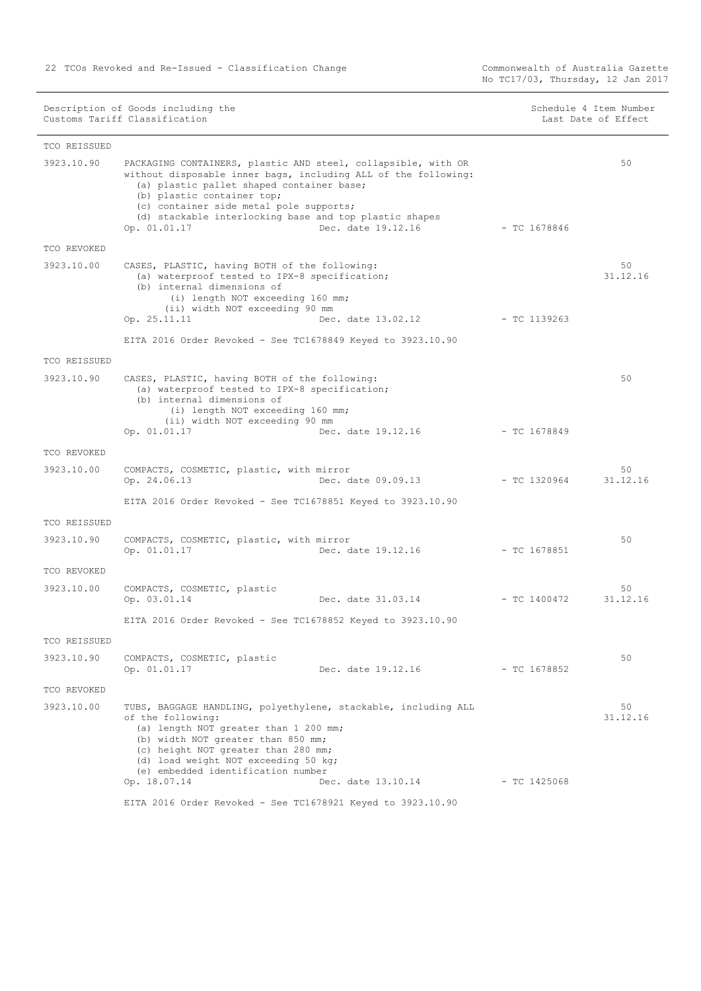Commonwealth of Australia Gazette<br>No TC17/03, Thursday, 12 Jan 2017

| Schedule 4 Item Number |  |                     |
|------------------------|--|---------------------|
|                        |  | Last Date of Effect |

| TCO REISSUED |                                                                                                                                                                                                                                                                                                                 |                                 |                |                |
|--------------|-----------------------------------------------------------------------------------------------------------------------------------------------------------------------------------------------------------------------------------------------------------------------------------------------------------------|---------------------------------|----------------|----------------|
| 3923.10.90   | PACKAGING CONTAINERS, plastic AND steel, collapsible, with OR<br>without disposable inner bags, including ALL of the following:<br>(a) plastic pallet shaped container base;<br>(b) plastic container top;<br>(c) container side metal pole supports;<br>(d) stackable interlocking base and top plastic shapes |                                 |                | 50             |
|              | Op. 01.01.17                                                                                                                                                                                                                                                                                                    | Dec. date 19.12.16              | $-$ TC 1678846 |                |
| TCO REVOKED  |                                                                                                                                                                                                                                                                                                                 |                                 |                |                |
| 3923.10.00   | CASES, PLASTIC, having BOTH of the following:<br>(a) waterproof tested to IPX-8 specification;<br>(b) internal dimensions of<br>(i) length NOT exceeding 160 mm;<br>(ii) width NOT exceeding 90 mm<br>Op. 25.11.11<br>EITA 2016 Order Revoked - See TC1678849 Keyed to 3923.10.90                               | Dec. date 13.02.12              | - TC 1139263   | 50<br>31.12.16 |
| TCO REISSUED |                                                                                                                                                                                                                                                                                                                 |                                 |                |                |
| 3923.10.90   | CASES, PLASTIC, having BOTH of the following:<br>(a) waterproof tested to IPX-8 specification;<br>(b) internal dimensions of<br>(i) length NOT exceeding 160 mm;<br>(ii) width NOT exceeding 90 mm<br>Op. 01.01.17                                                                                              | Dec. date 19.12.16              | - TC 1678849   | 50             |
| TCO REVOKED  |                                                                                                                                                                                                                                                                                                                 |                                 |                |                |
| 3923.10.00   | COMPACTS, COSMETIC, plastic, with mirror<br>Op. 24.06.13                                                                                                                                                                                                                                                        | Dec. date 09.09.13              | $-$ TC 1320964 | 50<br>31.12.16 |
|              | EITA 2016 Order Revoked - See TC1678851 Keyed to 3923.10.90                                                                                                                                                                                                                                                     |                                 |                |                |
| TCO REISSUED |                                                                                                                                                                                                                                                                                                                 |                                 |                |                |
| 3923.10.90   | COMPACTS, COSMETIC, plastic, with mirror<br>Op. 01.01.17                                                                                                                                                                                                                                                        | Dec. date 19.12.16              | $-$ TC 1678851 | 50             |
| TCO REVOKED  |                                                                                                                                                                                                                                                                                                                 |                                 |                |                |
| 3923.10.00   | COMPACTS, COSMETIC, plastic<br>Op. 03.01.14                                                                                                                                                                                                                                                                     | Dec. date 31.03.14 - TC 1400472 |                | 50<br>31.12.16 |
|              | EITA 2016 Order Revoked - See TC1678852 Keyed to 3923.10.90                                                                                                                                                                                                                                                     |                                 |                |                |
| TCO REISSUED |                                                                                                                                                                                                                                                                                                                 |                                 |                |                |
| 3923.10.90   | COMPACTS, COSMETIC, plastic<br>Op. 01.01.17                                                                                                                                                                                                                                                                     | Dec. date 19.12.16              | $-$ TC 1678852 | 50             |
| TCO REVOKED  |                                                                                                                                                                                                                                                                                                                 |                                 |                |                |
| 3923.10.00   | TUBS, BAGGAGE HANDLING, polyethylene, stackable, including ALL<br>of the following:<br>(a) length NOT greater than 1 200 mm;<br>(b) width NOT greater than 850 mm;<br>(c) height NOT greater than 280 mm;<br>(d) load weight NOT exceeding 50 kg;<br>(e) embedded identification number                         |                                 |                | 50<br>31.12.16 |
|              | Op. 18.07.14                                                                                                                                                                                                                                                                                                    | Dec. date 13.10.14              | $-$ TC 1425068 |                |
|              | EITA 2016 Order Revoked - See TC1678921 Keyed to 3923.10.90                                                                                                                                                                                                                                                     |                                 |                |                |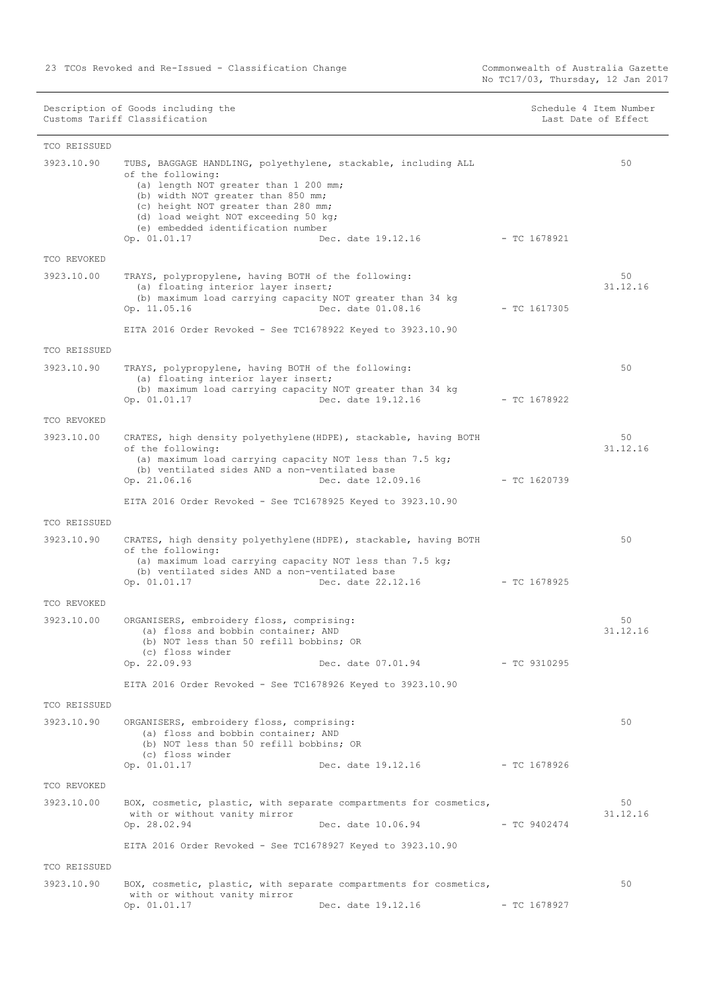Commonwealth of Australia Gazette<br>No TC17/03, Thursday, 12 Jan 2017

| Schedule 4 Item Number |  |  |  |  |
|------------------------|--|--|--|--|
| Last Date of Effect    |  |  |  |  |

| TCO REISSUED        |                                                                                                                                                                                                                                                                                                         |                                                                                         |                |                |
|---------------------|---------------------------------------------------------------------------------------------------------------------------------------------------------------------------------------------------------------------------------------------------------------------------------------------------------|-----------------------------------------------------------------------------------------|----------------|----------------|
| 3923.10.90          | TUBS, BAGGAGE HANDLING, polyethylene, stackable, including ALL<br>of the following:<br>(a) length NOT greater than 1 200 mm;<br>(b) width NOT greater than 850 mm;<br>(c) height NOT greater than 280 mm;<br>(d) load weight NOT exceeding 50 kg;<br>(e) embedded identification number<br>Op. 01.01.17 | Dec. date 19.12.16                                                                      | - TC 1678921   | 50             |
| TCO REVOKED         |                                                                                                                                                                                                                                                                                                         |                                                                                         |                |                |
| 3923.10.00          | TRAYS, polypropylene, having BOTH of the following:<br>(a) floating interior layer insert;<br>(b) maximum load carrying capacity NOT greater than 34 kg<br>Op. 11.05.16<br>EITA 2016 Order Revoked - See TC1678922 Keyed to 3923.10.90                                                                  | Dec. date 01.08.16                                                                      | $-$ TC 1617305 | 50<br>31.12.16 |
| TCO REISSUED        |                                                                                                                                                                                                                                                                                                         |                                                                                         |                |                |
| 3923.10.90          | TRAYS, polypropylene, having BOTH of the following:<br>(a) floating interior layer insert;<br>(b) maximum load carrying capacity NOT greater than 34 kg<br>Op. 01.01.17                                                                                                                                 | Dec. date 19.12.16                                                                      | $-$ TC 1678922 | 50             |
| TCO REVOKED         |                                                                                                                                                                                                                                                                                                         |                                                                                         |                |                |
| 3923.10.00          | CRATES, high density polyethylene (HDPE), stackable, having BOTH<br>of the following:<br>(a) maximum load carrying capacity NOT less than 7.5 kg;<br>(b) ventilated sides AND a non-ventilated base<br>Op. 21.06.16                                                                                     | Dec. date 12.09.16                                                                      | $-$ TC 1620739 | 50<br>31.12.16 |
|                     | EITA 2016 Order Revoked - See TC1678925 Keyed to 3923.10.90                                                                                                                                                                                                                                             |                                                                                         |                |                |
| TCO REISSUED        |                                                                                                                                                                                                                                                                                                         |                                                                                         |                |                |
| 3923.10.90          | CRATES, high density polyethylene (HDPE), stackable, having BOTH<br>of the following:<br>(a) maximum load carrying capacity NOT less than 7.5 kg;<br>(b) ventilated sides AND a non-ventilated base<br>Op. 01.01.17                                                                                     | Dec. date 22.12.16                                                                      | $-$ TC 1678925 | 50             |
| TCO REVOKED         |                                                                                                                                                                                                                                                                                                         |                                                                                         |                |                |
| 3923.10.00          | ORGANISERS, embroidery floss, comprising:<br>(a) floss and bobbin container; AND<br>(b) NOT less than 50 refill bobbins; OR<br>(c) floss winder<br>Op. 22.09.93<br>EITA 2016 Order Revoked - See TC1678926 Keyed to 3923.10.90                                                                          | Dec. date 07.01.94                                                                      | $-$ TC 9310295 | 50<br>31.12.16 |
| <b>TCO REISSUED</b> |                                                                                                                                                                                                                                                                                                         |                                                                                         |                |                |
| 3923.10.90          | ORGANISERS, embroidery floss, comprising:<br>(a) floss and bobbin container; AND<br>(b) NOT less than 50 refill bobbins; OR<br>(c) floss winder<br>Op. 01.01.17                                                                                                                                         | Dec. date 19.12.16                                                                      | - TC 1678926   | 50             |
| TCO REVOKED         |                                                                                                                                                                                                                                                                                                         |                                                                                         |                |                |
| 3923.10.00          | with or without vanity mirror<br>Op. 28.02.94                                                                                                                                                                                                                                                           | BOX, cosmetic, plastic, with separate compartments for cosmetics,<br>Dec. date 10.06.94 | $-$ TC 9402474 | 50<br>31.12.16 |
|                     | EITA 2016 Order Revoked - See TC1678927 Keyed to 3923.10.90                                                                                                                                                                                                                                             |                                                                                         |                |                |
| TCO REISSUED        |                                                                                                                                                                                                                                                                                                         |                                                                                         |                |                |
| 3923.10.90          | with or without vanity mirror<br>Op. 01.01.17                                                                                                                                                                                                                                                           | BOX, cosmetic, plastic, with separate compartments for cosmetics,<br>Dec. date 19.12.16 | $-$ TC 1678927 | 50             |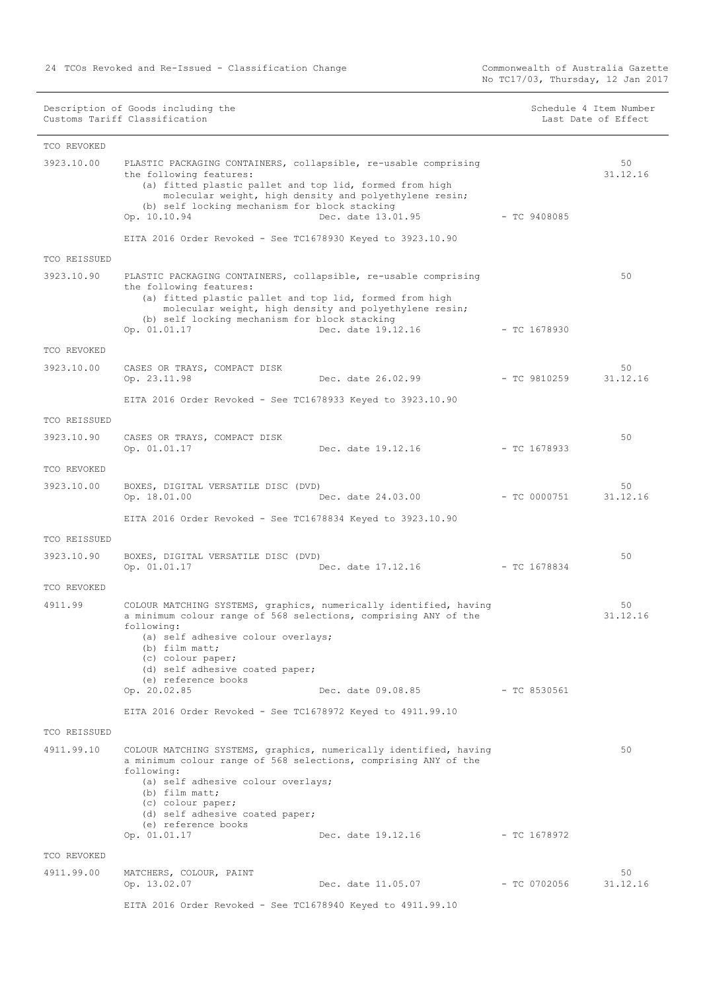Commonwealth of Australia Gazette<br>No TC17/03, Thursday, 12 Jan 2017

|  |  | Schedule 4 Item Number |
|--|--|------------------------|
|  |  | Last Date of Effect    |

| TCO REVOKED         |                                                                                                                                                                                                                                                                                                                                 |                |                |
|---------------------|---------------------------------------------------------------------------------------------------------------------------------------------------------------------------------------------------------------------------------------------------------------------------------------------------------------------------------|----------------|----------------|
| 3923.10.00          | PLASTIC PACKAGING CONTAINERS, collapsible, re-usable comprising<br>the following features:<br>(a) fitted plastic pallet and top lid, formed from high<br>molecular weight, high density and polyethylene resin;<br>(b) self locking mechanism for block stacking<br>Op. 10.10.94<br>Dec. date 13.01.95                          | $-$ TC 9408085 | 50<br>31.12.16 |
|                     | EITA 2016 Order Revoked - See TC1678930 Keyed to 3923.10.90                                                                                                                                                                                                                                                                     |                |                |
| TCO REISSUED        |                                                                                                                                                                                                                                                                                                                                 |                |                |
| 3923.10.90          | PLASTIC PACKAGING CONTAINERS, collapsible, re-usable comprising<br>the following features:<br>(a) fitted plastic pallet and top lid, formed from high<br>molecular weight, high density and polyethylene resin;<br>(b) self locking mechanism for block stacking<br>Op. 01.01.17<br>Dec. date 19.12.16                          | $-$ TC 1678930 | 50             |
| TCO REVOKED         |                                                                                                                                                                                                                                                                                                                                 |                |                |
| 3923.10.00          | CASES OR TRAYS, COMPACT DISK<br>Op. 23.11.98<br>Dec. date 26.02.99                                                                                                                                                                                                                                                              | $-$ TC 9810259 | 50<br>31.12.16 |
|                     | EITA 2016 Order Revoked - See TC1678933 Keyed to 3923.10.90                                                                                                                                                                                                                                                                     |                |                |
| TCO REISSUED        |                                                                                                                                                                                                                                                                                                                                 |                |                |
| 3923.10.90          | CASES OR TRAYS, COMPACT DISK<br>Op. 01.01.17<br>Dec. date 19.12.16                                                                                                                                                                                                                                                              | $-$ TC 1678933 | 50             |
| TCO REVOKED         |                                                                                                                                                                                                                                                                                                                                 |                |                |
| 3923.10.00          | BOXES, DIGITAL VERSATILE DISC (DVD)<br>Op. 18.01.00<br>Dec. date 24.03.00                                                                                                                                                                                                                                                       | $-$ TC 0000751 | 50<br>31.12.16 |
|                     | EITA 2016 Order Revoked - See TC1678834 Keyed to 3923.10.90                                                                                                                                                                                                                                                                     |                |                |
| TCO REISSUED        |                                                                                                                                                                                                                                                                                                                                 |                |                |
| 3923.10.90          | BOXES, DIGITAL VERSATILE DISC (DVD)<br>Op. 01.01.17<br>Dec. date 17.12.16                                                                                                                                                                                                                                                       | $-$ TC 1678834 | 50             |
| TCO REVOKED         |                                                                                                                                                                                                                                                                                                                                 |                |                |
| 4911.99             | COLOUR MATCHING SYSTEMS, graphics, numerically identified, having<br>a minimum colour range of 568 selections, comprising ANY of the<br>following:<br>(a) self adhesive colour overlays;<br>$(b)$ film matt;<br>(c) colour paper;<br>(d) self adhesive coated paper;<br>(e) reference books                                     |                | 50<br>31.12.16 |
|                     | Op. 20.02.85<br>Dec. date 09.08.85                                                                                                                                                                                                                                                                                              | - TC 8530561   |                |
|                     | EITA 2016 Order Revoked - See TC1678972 Keyed to 4911.99.10                                                                                                                                                                                                                                                                     |                |                |
| <b>TCO REISSUED</b> |                                                                                                                                                                                                                                                                                                                                 |                |                |
| 4911.99.10          | COLOUR MATCHING SYSTEMS, graphics, numerically identified, having<br>a minimum colour range of 568 selections, comprising ANY of the<br>following:<br>(a) self adhesive colour overlays;<br>(b) film matt;<br>(c) colour paper;<br>(d) self adhesive coated paper;<br>(e) reference books<br>Op. 01.01.17<br>Dec. date 19.12.16 | $-$ TC 1678972 | 50             |
| TCO REVOKED         |                                                                                                                                                                                                                                                                                                                                 |                |                |
| 4911.99.00          | MATCHERS, COLOUR, PAINT<br>Op. 13.02.07<br>Dec. date 11.05.07                                                                                                                                                                                                                                                                   | $-$ TC 0702056 | 50<br>31.12.16 |
|                     | EITA 2016 Order Revoked - See TC1678940 Keyed to 4911.99.10                                                                                                                                                                                                                                                                     |                |                |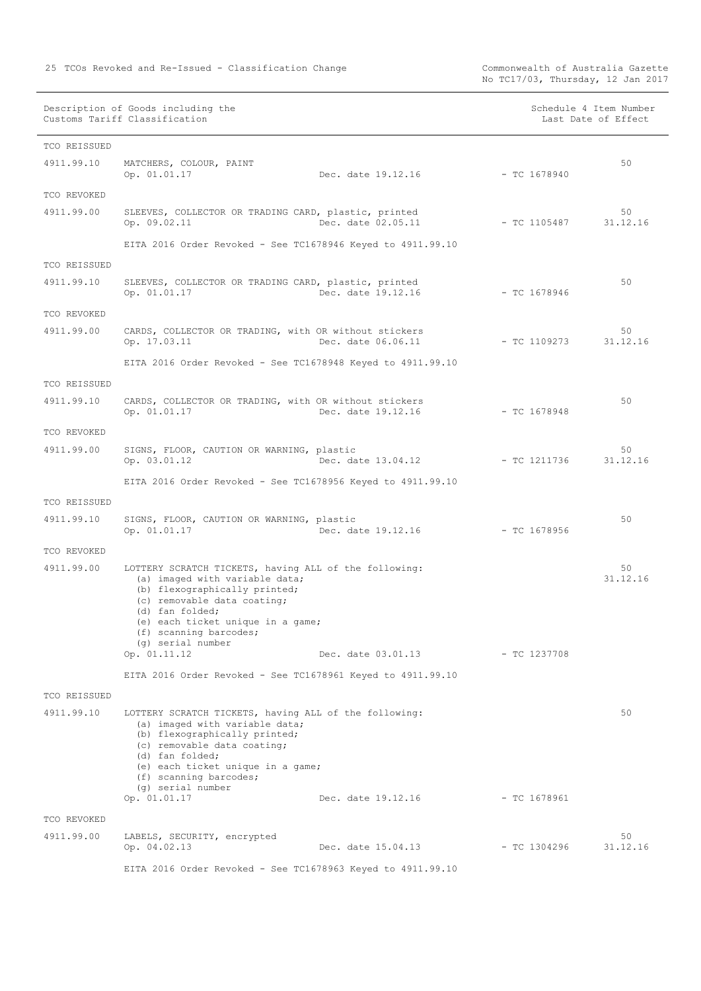No TC17/03, Thursday, 12 Jan 2017

Description of Goods including the Schedule 4 Item Number (Schedule 4 Item Number Customs Tariff Classification and the control of the control of the control of Effect Date of Effect

| TCO REISSUED |                                                                                                                                                                                                                                                                                |                                 |                |                |
|--------------|--------------------------------------------------------------------------------------------------------------------------------------------------------------------------------------------------------------------------------------------------------------------------------|---------------------------------|----------------|----------------|
| 4911.99.10   | MATCHERS, COLOUR, PAINT<br>Op. 01.01.17                                                                                                                                                                                                                                        | Dec. date 19.12.16              | $-$ TC 1678940 | 50             |
| TCO REVOKED  |                                                                                                                                                                                                                                                                                |                                 |                |                |
| 4911.99.00   | SLEEVES, COLLECTOR OR TRADING CARD, plastic, printed<br>Op. 09.02.11                                                                                                                                                                                                           | Dec. date 02.05.11              | $-$ TC 1105487 | 50<br>31.12.16 |
|              | EITA 2016 Order Revoked - See TC1678946 Keyed to 4911.99.10                                                                                                                                                                                                                    |                                 |                |                |
| TCO REISSUED |                                                                                                                                                                                                                                                                                |                                 |                |                |
| 4911.99.10   | SLEEVES, COLLECTOR OR TRADING CARD, plastic, printed                                                                                                                                                                                                                           |                                 |                | 50             |
|              | Op. 01.01.17                                                                                                                                                                                                                                                                   | Dec. date 19.12.16              | $-$ TC 1678946 |                |
| TCO REVOKED  |                                                                                                                                                                                                                                                                                |                                 |                |                |
| 4911.99.00   | CARDS, COLLECTOR OR TRADING, with OR without stickers<br>Op. 17.03.11                                                                                                                                                                                                          | Dec. date 06.06.11              | - TC 1109273   | 50<br>31.12.16 |
|              | EITA 2016 Order Revoked - See TC1678948 Keyed to 4911.99.10                                                                                                                                                                                                                    |                                 |                |                |
| TCO REISSUED |                                                                                                                                                                                                                                                                                |                                 |                |                |
| 4911.99.10   | CARDS, COLLECTOR OR TRADING, with OR without stickers<br>Op. 01.01.17                                                                                                                                                                                                          | Dec. date 19.12.16              | $-$ TC 1678948 | 50             |
| TCO REVOKED  |                                                                                                                                                                                                                                                                                |                                 |                |                |
| 4911.99.00   | SIGNS, FLOOR, CAUTION OR WARNING, plastic                                                                                                                                                                                                                                      |                                 |                | 50             |
|              | Op. 03.01.12                                                                                                                                                                                                                                                                   | Dec. date 13.04.12 - TC 1211736 |                | 31.12.16       |
|              | EITA 2016 Order Revoked - See TC1678956 Keyed to 4911.99.10                                                                                                                                                                                                                    |                                 |                |                |
| TCO REISSUED |                                                                                                                                                                                                                                                                                |                                 |                |                |
| 4911.99.10   | SIGNS, FLOOR, CAUTION OR WARNING, plastic<br>Op. 01.01.17                                                                                                                                                                                                                      | Dec. date 19.12.16              | - TC 1678956   | 50             |
| TCO REVOKED  |                                                                                                                                                                                                                                                                                |                                 |                |                |
| 4911.99.00   | LOTTERY SCRATCH TICKETS, having ALL of the following:<br>(a) imaged with variable data;<br>(b) flexographically printed;<br>(c) removable data coating;<br>(d) fan folded;<br>(e) each ticket unique in a game;<br>(f) scanning barcodes;<br>(q) serial number                 |                                 |                | 50<br>31.12.16 |
|              | Op. 01.11.12                                                                                                                                                                                                                                                                   | Dec. date 03.01.13              | $-$ TC 1237708 |                |
|              | EITA 2016 Order Revoked - See TC1678961 Keyed to 4911.99.10                                                                                                                                                                                                                    |                                 |                |                |
| TCO REISSUED |                                                                                                                                                                                                                                                                                |                                 |                |                |
| 4911.99.10   | LOTTERY SCRATCH TICKETS, having ALL of the following:<br>(a) imaged with variable data;<br>(b) flexographically printed;<br>(c) removable data coating;<br>(d) fan folded;<br>(e) each ticket unique in a game;<br>(f) scanning barcodes;<br>(g) serial number<br>Op. 01.01.17 | Dec. date 19.12.16              | $-$ TC 1678961 | 50             |
| TCO REVOKED  |                                                                                                                                                                                                                                                                                |                                 |                |                |
| 4911.99.00   | LABELS, SECURITY, encrypted                                                                                                                                                                                                                                                    |                                 |                | 50             |
|              | Op. 04.02.13                                                                                                                                                                                                                                                                   | Dec. date 15.04.13              | $-$ TC 1304296 | 31.12.16       |
|              | EITA 2016 Order Revoked - See TC1678963 Keyed to 4911.99.10                                                                                                                                                                                                                    |                                 |                |                |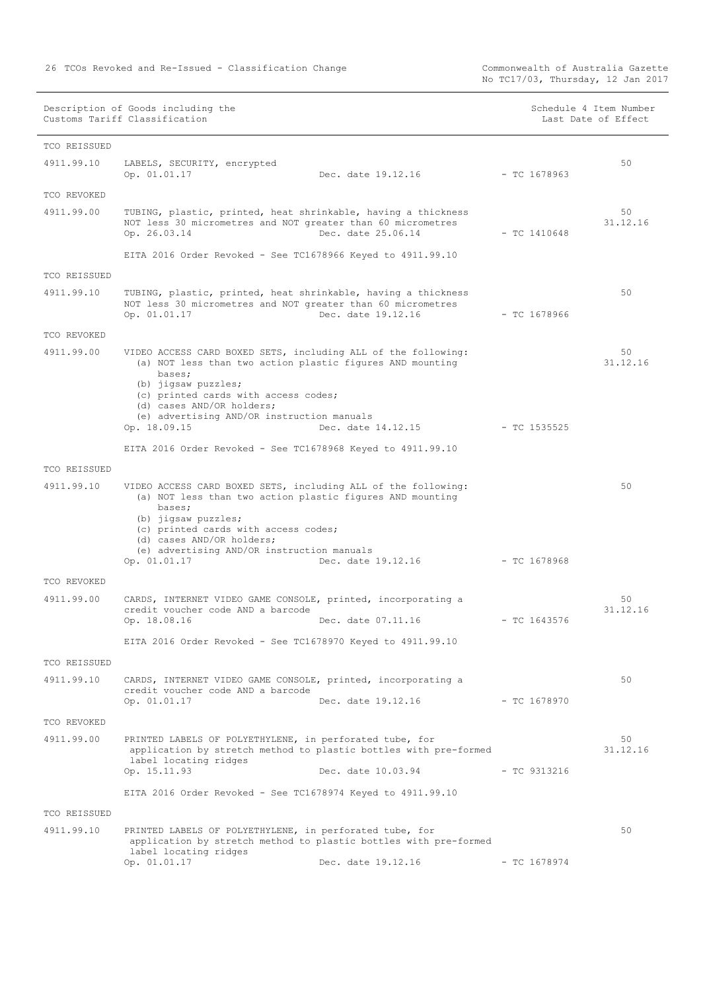|              | Description of Goods including the<br>Customs Tariff Classification                                                                                                                                                                                                                            |                                 |                | Schedule 4 Item Number<br>Last Date of Effect |
|--------------|------------------------------------------------------------------------------------------------------------------------------------------------------------------------------------------------------------------------------------------------------------------------------------------------|---------------------------------|----------------|-----------------------------------------------|
| TCO REISSUED |                                                                                                                                                                                                                                                                                                |                                 |                |                                               |
| 4911.99.10   | LABELS, SECURITY, encrypted<br>Op. 01.01.17                                                                                                                                                                                                                                                    | Dec. date 19.12.16              | $-$ TC 1678963 | 50                                            |
| TCO REVOKED  |                                                                                                                                                                                                                                                                                                |                                 |                |                                               |
| 4911.99.00   | TUBING, plastic, printed, heat shrinkable, having a thickness<br>NOT less 30 micrometres and NOT greater than 60 micrometres<br>Op. 26.03.14                                                                                                                                                   | Dec. date 25.06.14              | $-$ TC 1410648 | 50<br>31.12.16                                |
|              | EITA 2016 Order Revoked - See TC1678966 Keyed to 4911.99.10                                                                                                                                                                                                                                    |                                 |                |                                               |
| TCO REISSUED |                                                                                                                                                                                                                                                                                                |                                 |                |                                               |
| 4911.99.10   | TUBING, plastic, printed, heat shrinkable, having a thickness<br>NOT less 30 micrometres and NOT greater than 60 micrometres<br>Op. 01.01.17                                                                                                                                                   | Dec. date 19.12.16              | $-$ TC 1678966 | 50                                            |
| TCO REVOKED  |                                                                                                                                                                                                                                                                                                |                                 |                |                                               |
| 4911.99.00   | VIDEO ACCESS CARD BOXED SETS, including ALL of the following:<br>(a) NOT less than two action plastic figures AND mounting<br>bases;<br>(b) jigsaw puzzles;<br>(c) printed cards with access codes;<br>(d) cases AND/OR holders;<br>(e) advertising AND/OR instruction manuals<br>Op. 18.09.15 | Dec. date 14.12.15 - TC 1535525 |                | 50<br>31.12.16                                |
|              | EITA 2016 Order Revoked - See TC1678968 Keyed to 4911.99.10                                                                                                                                                                                                                                    |                                 |                |                                               |
| TCO REISSUED |                                                                                                                                                                                                                                                                                                |                                 |                |                                               |
| 4911.99.10   | VIDEO ACCESS CARD BOXED SETS, including ALL of the following:<br>(a) NOT less than two action plastic figures AND mounting<br>bases;<br>(b) jigsaw puzzles;<br>(c) printed cards with access codes;<br>(d) cases AND/OR holders;<br>(e) advertising AND/OR instruction manuals<br>Op. 01.01.17 | Dec. date 19.12.16              | - TC 1678968   | 50                                            |
| TCO REVOKED  |                                                                                                                                                                                                                                                                                                |                                 |                |                                               |
| 4911.99.00   | CARDS, INTERNET VIDEO GAME CONSOLE, printed, incorporating a<br>credit voucher code AND a barcode<br>Op. 18.08.16                                                                                                                                                                              | Dec. date 07.11.16              | $-$ TC 1643576 | 50<br>31.12.16                                |
|              | EITA 2016 Order Revoked - See TC1678970 Keyed to 4911.99.10                                                                                                                                                                                                                                    |                                 |                |                                               |
| TCO REISSUED |                                                                                                                                                                                                                                                                                                |                                 |                |                                               |
| 4911.99.10   | CARDS, INTERNET VIDEO GAME CONSOLE, printed, incorporating a<br>credit voucher code AND a barcode<br>Op. 01.01.17                                                                                                                                                                              | Dec. date 19.12.16              | $-$ TC 1678970 | 50                                            |
| TCO REVOKED  |                                                                                                                                                                                                                                                                                                |                                 |                |                                               |
| 4911.99.00   | PRINTED LABELS OF POLYETHYLENE, in perforated tube, for<br>application by stretch method to plastic bottles with pre-formed<br>label locating ridges<br>Op. 15.11.93                                                                                                                           | Dec. date 10.03.94              | $-$ TC 9313216 | 50<br>31.12.16                                |
|              | EITA 2016 Order Revoked - See TC1678974 Keyed to 4911.99.10                                                                                                                                                                                                                                    |                                 |                |                                               |
| TCO REISSUED |                                                                                                                                                                                                                                                                                                |                                 |                |                                               |
| 4911.99.10   | PRINTED LABELS OF POLYETHYLENE, in perforated tube, for<br>application by stretch method to plastic bottles with pre-formed<br>label locating ridges<br>Op. 01.01.17                                                                                                                           | Dec. date 19.12.16              | $-$ TC 1678974 | 50                                            |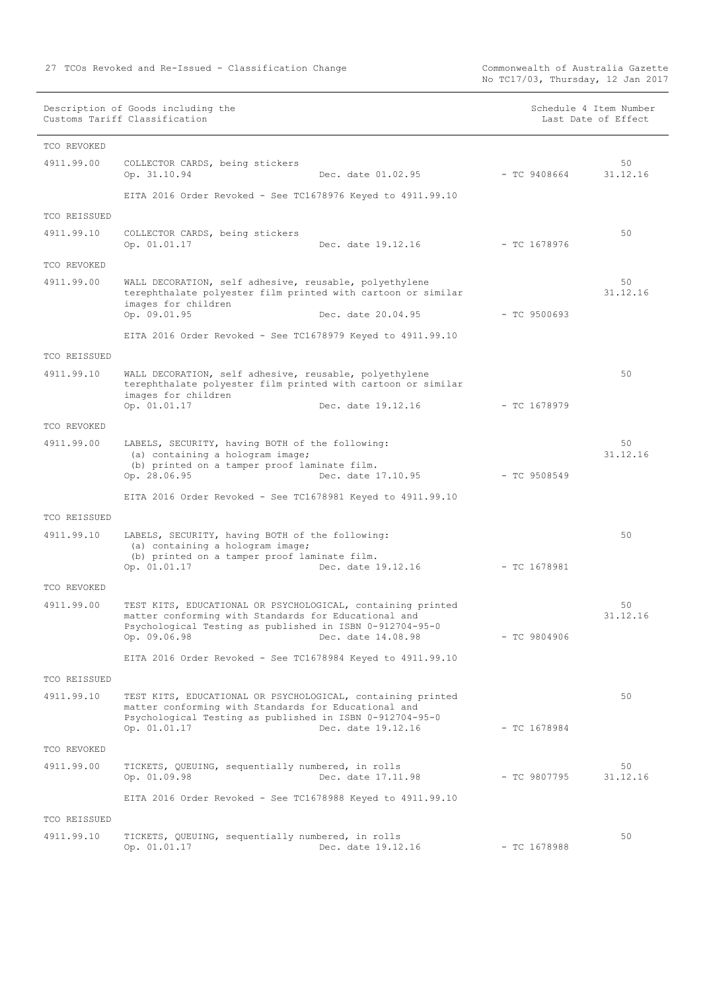No TC17/03, Thursday, 12 Jan 2017

Description of Goods including the Schedule 4 Item Number (Schedule 4 Item Number Customs Tariff Classification and the control of the control of the control of Effect Date of Effect

| TCO REVOKED                |                                                                                                                                                                                                 |                    |                |                |
|----------------------------|-------------------------------------------------------------------------------------------------------------------------------------------------------------------------------------------------|--------------------|----------------|----------------|
| 4911.99.00                 | COLLECTOR CARDS, being stickers<br>Op. 31.10.94                                                                                                                                                 | Dec. date 01.02.95 | $-$ TC 9408664 | 50<br>31.12.16 |
|                            | EITA 2016 Order Revoked - See TC1678976 Keyed to 4911.99.10                                                                                                                                     |                    |                |                |
| TCO REISSUED               |                                                                                                                                                                                                 |                    |                |                |
| 4911.99.10                 | COLLECTOR CARDS, being stickers<br>Op. 01.01.17                                                                                                                                                 | Dec. date 19.12.16 | $-$ TC 1678976 | 50             |
| TCO REVOKED                |                                                                                                                                                                                                 |                    |                |                |
| 4911.99.00                 | WALL DECORATION, self adhesive, reusable, polyethylene<br>terephthalate polyester film printed with cartoon or similar<br>images for children<br>Op. 09.01.95                                   | Dec. date 20.04.95 | $-$ TC 9500693 | 50<br>31.12.16 |
|                            | EITA 2016 Order Revoked - See TC1678979 Keyed to 4911.99.10                                                                                                                                     |                    |                |                |
|                            |                                                                                                                                                                                                 |                    |                |                |
| TCO REISSUED<br>4911.99.10 | WALL DECORATION, self adhesive, reusable, polyethylene<br>terephthalate polyester film printed with cartoon or similar<br>images for children<br>Op. 01.01.17                                   | Dec. date 19.12.16 | $-$ TC 1678979 | 50             |
| TCO REVOKED                |                                                                                                                                                                                                 |                    |                |                |
| 4911.99.00                 | LABELS, SECURITY, having BOTH of the following:<br>(a) containing a hologram image;<br>(b) printed on a tamper proof laminate film.<br>Op. 28.06.95                                             | Dec. date 17.10.95 | $-$ TC 9508549 | 50<br>31.12.16 |
|                            | EITA 2016 Order Revoked - See TC1678981 Keyed to 4911.99.10                                                                                                                                     |                    |                |                |
| TCO REISSUED               |                                                                                                                                                                                                 |                    |                |                |
| 4911.99.10                 | LABELS, SECURITY, having BOTH of the following:<br>(a) containing a hologram image;<br>(b) printed on a tamper proof laminate film.<br>Op. 01.01.17                                             | Dec. date 19.12.16 | $-$ TC 1678981 | 50             |
| TCO REVOKED                |                                                                                                                                                                                                 |                    |                |                |
| 4911.99.00                 | TEST KITS, EDUCATIONAL OR PSYCHOLOGICAL, containing printed<br>matter conforming with Standards for Educational and<br>Psychological Testing as published in ISBN 0-912704-95-0<br>Op. 09.06.98 | Dec. date 14.08.98 | $-$ TC 9804906 | 50<br>31.12.16 |
|                            | EITA 2016 Order Revoked - See TC1678984 Keyed to 4911.99.10                                                                                                                                     |                    |                |                |
| TCO REISSUED               |                                                                                                                                                                                                 |                    |                |                |
| 4911.99.10                 | TEST KITS, EDUCATIONAL OR PSYCHOLOGICAL, containing printed<br>matter conforming with Standards for Educational and<br>Psychological Testing as published in ISBN 0-912704-95-0<br>Op. 01.01.17 | Dec. date 19.12.16 | $-$ TC 1678984 | 50             |
| TCO REVOKED                |                                                                                                                                                                                                 |                    |                |                |
| 4911.99.00                 | TICKETS, QUEUING, sequentially numbered, in rolls<br>Op. 01.09.98                                                                                                                               | Dec. date 17.11.98 | $-$ TC 9807795 | 50<br>31.12.16 |
|                            | EITA 2016 Order Revoked - See TC1678988 Keyed to 4911.99.10                                                                                                                                     |                    |                |                |
| TCO REISSUED               |                                                                                                                                                                                                 |                    |                |                |
| 4911.99.10                 | TICKETS, QUEUING, sequentially numbered, in rolls<br>Op. 01.01.17                                                                                                                               | Dec. date 19.12.16 | $-$ TC 1678988 | 50             |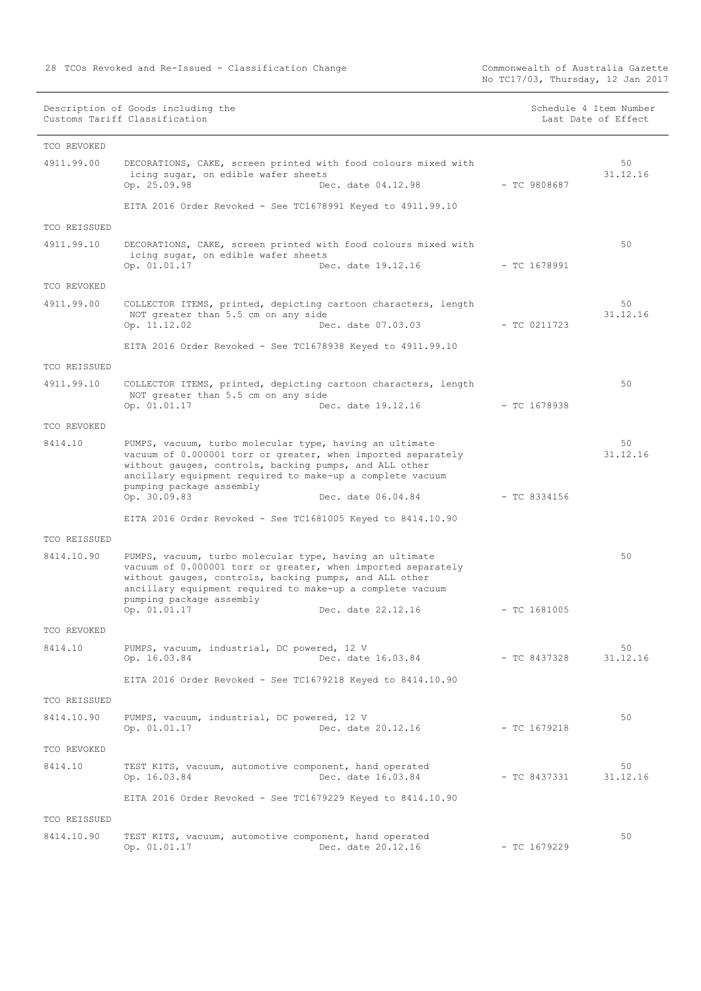No TC17/03, Thursday, 12 Jan 2017

Description of Goods including the Schedule 4 Item Number<br>Customs Tariff Classification Last Date of Effect<br>Also be Schedule 4 Item Number<br>Last Date of Effect Customs Tariff Classification

| Schedule 4 Item Number |  |  |  |
|------------------------|--|--|--|
| Last Date of Effect    |  |  |  |

| TCO REVOKED  |                                                                                                                                                                                                                                                                                                                  |                |                |
|--------------|------------------------------------------------------------------------------------------------------------------------------------------------------------------------------------------------------------------------------------------------------------------------------------------------------------------|----------------|----------------|
| 4911.99.00   | DECORATIONS, CAKE, screen printed with food colours mixed with<br>icing sugar, on edible wafer sheets<br>Op. 25.09.98<br>Dec. date 04.12.98                                                                                                                                                                      | $-$ TC 9808687 | 50<br>31.12.16 |
|              | EITA 2016 Order Revoked - See TC1678991 Keyed to 4911.99.10                                                                                                                                                                                                                                                      |                |                |
| TCO REISSUED |                                                                                                                                                                                                                                                                                                                  |                |                |
| 4911.99.10   | DECORATIONS, CAKE, screen printed with food colours mixed with<br>icing sugar, on edible wafer sheets<br>Op. 01.01.17<br>Dec. date 19.12.16                                                                                                                                                                      | $-$ TC 1678991 | 50             |
| TCO REVOKED  |                                                                                                                                                                                                                                                                                                                  |                |                |
| 4911.99.00   | COLLECTOR ITEMS, printed, depicting cartoon characters, length<br>NOT greater than 5.5 cm on any side<br>Op. 11.12.02<br>Dec. date 07.03.03                                                                                                                                                                      | $-$ TC 0211723 | 50<br>31.12.16 |
|              | EITA 2016 Order Revoked - See TC1678938 Keyed to 4911.99.10                                                                                                                                                                                                                                                      |                |                |
| TCO REISSUED |                                                                                                                                                                                                                                                                                                                  |                |                |
| 4911.99.10   | COLLECTOR ITEMS, printed, depicting cartoon characters, length<br>NOT greater than 5.5 cm on any side<br>Op. 01.01.17<br>Dec. date 19.12.16                                                                                                                                                                      | $-$ TC 1678938 | 50             |
| TCO REVOKED  |                                                                                                                                                                                                                                                                                                                  |                |                |
| 8414.10      | PUMPS, vacuum, turbo molecular type, having an ultimate<br>vacuum of 0.000001 torr or greater, when imported separately<br>without gauges, controls, backing pumps, and ALL other<br>ancillary equipment required to make-up a complete vacuum<br>pumping package assembly<br>Op. 30.09.83<br>Dec. date 06.04.84 | $-$ TC 8334156 | 50<br>31.12.16 |
|              | EITA 2016 Order Revoked - See TC1681005 Keyed to 8414.10.90                                                                                                                                                                                                                                                      |                |                |
| TCO REISSUED |                                                                                                                                                                                                                                                                                                                  |                |                |
| 8414.10.90   | PUMPS, vacuum, turbo molecular type, having an ultimate<br>vacuum of 0.000001 torr or greater, when imported separately<br>without gauges, controls, backing pumps, and ALL other<br>ancillary equipment required to make-up a complete vacuum<br>pumping package assembly<br>Op. 01.01.17<br>Dec. date 22.12.16 | $-$ TC 1681005 | 50             |
| TCO REVOKED  |                                                                                                                                                                                                                                                                                                                  |                |                |
| 8414.10      | PUMPS, vacuum, industrial, DC powered, 12 V                                                                                                                                                                                                                                                                      |                | 50             |
|              | Dec. date 16.03.84<br>Op. 16.03.84                                                                                                                                                                                                                                                                               | $-$ TC 8437328 | 31.12.16       |
|              | EITA 2016 Order Revoked - See TC1679218 Keyed to 8414.10.90                                                                                                                                                                                                                                                      |                |                |
| TCO REISSUED |                                                                                                                                                                                                                                                                                                                  |                |                |
| 8414.10.90   | PUMPS, vacuum, industrial, DC powered, 12 V<br>Op. 01.01.17<br>Dec. date 20.12.16                                                                                                                                                                                                                                | $-$ TC 1679218 | 50             |
| TCO REVOKED  |                                                                                                                                                                                                                                                                                                                  |                |                |
| 8414.10      | TEST KITS, vacuum, automotive component, hand operated<br>Op. 16.03.84<br>Dec. date 16.03.84                                                                                                                                                                                                                     | $-$ TC 8437331 | 50<br>31.12.16 |
|              | EITA 2016 Order Revoked - See TC1679229 Keyed to 8414.10.90                                                                                                                                                                                                                                                      |                |                |
| TCO REISSUED |                                                                                                                                                                                                                                                                                                                  |                |                |
| 8414.10.90   | TEST KITS, vacuum, automotive component, hand operated                                                                                                                                                                                                                                                           |                | 50             |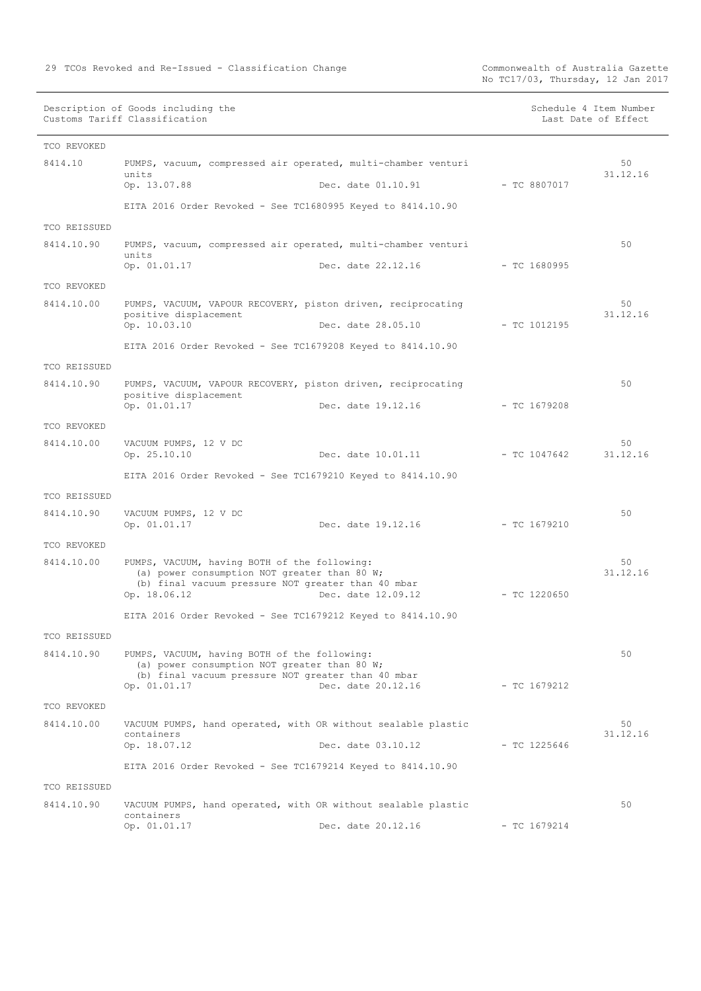No TC17/03, Thursday, 12 Jan 2017

Description of Goods including the Schedule 4 Item Number (Schedule 4 Item Number Customs Tariff Classification and the control of the control of the control of Effect Date of Effect

| TCO REVOKED  |                                                                                              |                    |                |                |
|--------------|----------------------------------------------------------------------------------------------|--------------------|----------------|----------------|
| 8414.10      | PUMPS, vacuum, compressed air operated, multi-chamber venturi                                |                    |                | 50             |
|              | units<br>Op. 13.07.88                                                                        | Dec. date 01.10.91 | $-$ TC 8807017 | 31.12.16       |
|              | EITA 2016 Order Revoked - See TC1680995 Keyed to 8414.10.90                                  |                    |                |                |
| TCO REISSUED |                                                                                              |                    |                |                |
| 8414.10.90   | PUMPS, vacuum, compressed air operated, multi-chamber venturi                                |                    |                | 50             |
|              | units<br>Op. 01.01.17                                                                        | Dec. date 22.12.16 | $-$ TC 1680995 |                |
| TCO REVOKED  |                                                                                              |                    |                |                |
| 8414.10.00   | PUMPS, VACUUM, VAPOUR RECOVERY, piston driven, reciprocating                                 |                    |                | 50             |
|              | positive displacement<br>Op. 10.03.10                                                        | Dec. date 28.05.10 | $-$ TC 1012195 | 31.12.16       |
|              | EITA 2016 Order Revoked - See TC1679208 Keyed to 8414.10.90                                  |                    |                |                |
| TCO REISSUED |                                                                                              |                    |                |                |
| 8414.10.90   | PUMPS, VACUUM, VAPOUR RECOVERY, piston driven, reciprocating                                 |                    |                | 50             |
|              | positive displacement<br>Op. 01.01.17                                                        | Dec. date 19.12.16 | $-$ TC 1679208 |                |
| TCO REVOKED  |                                                                                              |                    |                |                |
| 8414.10.00   | VACUUM PUMPS, 12 V DC                                                                        |                    |                | 50             |
|              | Op. 25.10.10                                                                                 | Dec. date 10.01.11 | $-$ TC 1047642 | 31.12.16       |
|              | EITA 2016 Order Revoked - See TC1679210 Keyed to 8414.10.90                                  |                    |                |                |
| TCO REISSUED |                                                                                              |                    |                |                |
| 8414.10.90   | VACUUM PUMPS, 12 V DC                                                                        |                    |                | 50             |
|              | Op. 01.01.17                                                                                 | Dec. date 19.12.16 | $-$ TC 1679210 |                |
| TCO REVOKED  |                                                                                              |                    |                |                |
| 8414.10.00   | PUMPS, VACUUM, having BOTH of the following:<br>(a) power consumption NOT greater than 80 W; |                    |                | 50<br>31.12.16 |
|              | (b) final vacuum pressure NOT greater than 40 mbar<br>Op. 18.06.12                           | Dec. date 12.09.12 | $-$ TC 1220650 |                |
|              |                                                                                              |                    |                |                |
|              | EITA 2016 Order Revoked - See TC1679212 Keyed to 8414.10.90                                  |                    |                |                |
| TCO REISSUED |                                                                                              |                    |                |                |
| 8414.10.90   | PUMPS, VACUUM, having BOTH of the following:<br>(a) power consumption NOT greater than 80 W; |                    |                | 50             |
|              | (b) final vacuum pressure NOT greater than 40 mbar<br>Op. 01.01.17                           | Dec. date 20.12.16 | $-$ TC 1679212 |                |
|              |                                                                                              |                    |                |                |
| TCO REVOKED  |                                                                                              |                    |                |                |
| 8414.10.00   | VACUUM PUMPS, hand operated, with OR without sealable plastic<br>containers                  |                    |                | 50<br>31.12.16 |
|              | Op. 18.07.12                                                                                 | Dec. date 03.10.12 | $-$ TC 1225646 |                |
|              | EITA 2016 Order Revoked - See TC1679214 Keyed to 8414.10.90                                  |                    |                |                |
| TCO REISSUED |                                                                                              |                    |                |                |
| 8414.10.90   | VACUUM PUMPS, hand operated, with OR without sealable plastic<br>containers                  |                    |                | 50             |
|              | Op. 01.01.17                                                                                 | Dec. date 20.12.16 | $-$ TC 1679214 |                |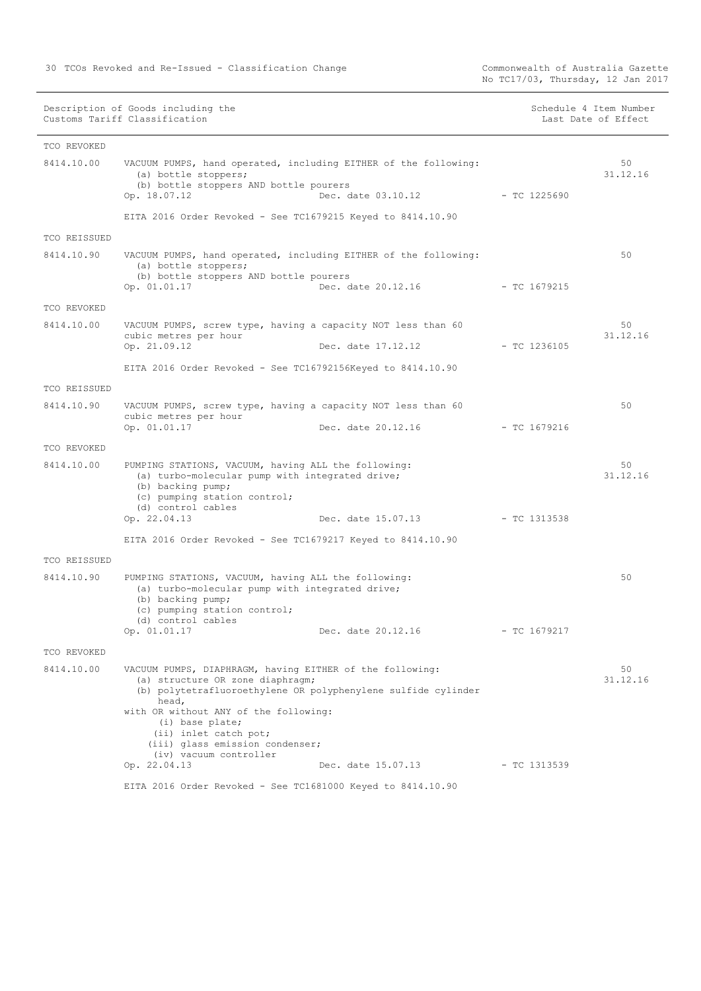Commonwealth of Australia Gazette<br>No TC17/03, Thursday, 12 Jan 2017

| Description of Goods including the | Schedule 4 Item Number |
|------------------------------------|------------------------|
| Customs Tariff Classification      | Last Date of Effect    |
|                                    |                        |

| TCO REVOKED  |                                                                                                                                                                                                                                                                                                                          |                                      |                |
|--------------|--------------------------------------------------------------------------------------------------------------------------------------------------------------------------------------------------------------------------------------------------------------------------------------------------------------------------|--------------------------------------|----------------|
| 8414.10.00   | VACUUM PUMPS, hand operated, including EITHER of the following:<br>(a) bottle stoppers;<br>(b) bottle stoppers AND bottle pourers<br>Dec. date 03.10.12<br>Op. 18.07.12                                                                                                                                                  | $-$ TC 1225690                       | 50<br>31.12.16 |
|              | EITA 2016 Order Revoked - See TC1679215 Keyed to 8414.10.90                                                                                                                                                                                                                                                              |                                      |                |
| TCO REISSUED |                                                                                                                                                                                                                                                                                                                          |                                      |                |
| 8414.10.90   | VACUUM PUMPS, hand operated, including EITHER of the following:<br>(a) bottle stoppers;<br>(b) bottle stoppers AND bottle pourers<br>Dec. date 20.12.16<br>Op. 01.01.17                                                                                                                                                  | $-$ TC 1679215                       | 50             |
| TCO REVOKED  |                                                                                                                                                                                                                                                                                                                          |                                      |                |
| 8414.10.00   | VACUUM PUMPS, screw type, having a capacity NOT less than 60<br>cubic metres per hour<br>Op. 21.09.12<br>Dec. date 17.12.12                                                                                                                                                                                              | $-$ TC 1236105                       | 50<br>31.12.16 |
|              | EITA 2016 Order Revoked - See TC16792156Keyed to 8414.10.90                                                                                                                                                                                                                                                              |                                      |                |
| TCO REISSUED |                                                                                                                                                                                                                                                                                                                          |                                      |                |
| 8414.10.90   | VACUUM PUMPS, screw type, having a capacity NOT less than 60<br>cubic metres per hour<br>Op. 01.01.17<br>Dec. date 20.12.16                                                                                                                                                                                              | $-$ TC 1679216                       | 50             |
| TCO REVOKED  |                                                                                                                                                                                                                                                                                                                          |                                      |                |
| 8414.10.00   | PUMPING STATIONS, VACUUM, having ALL the following:<br>(a) turbo-molecular pump with integrated drive;<br>(b) backing pump;<br>(c) pumping station control;<br>(d) control cables                                                                                                                                        |                                      | 50<br>31.12.16 |
|              | Op. 22.04.13                                                                                                                                                                                                                                                                                                             | Dec. date 15.07.13<br>$-$ TC 1313538 |                |
|              | EITA 2016 Order Revoked - See TC1679217 Keyed to 8414.10.90                                                                                                                                                                                                                                                              |                                      |                |
| TCO REISSUED |                                                                                                                                                                                                                                                                                                                          |                                      |                |
| 8414.10.90   | PUMPING STATIONS, VACUUM, having ALL the following:<br>(a) turbo-molecular pump with integrated drive;<br>(b) backing pump;<br>(c) pumping station control;<br>(d) control cables<br>Op. 01.01.17<br>Dec. date 20.12.16                                                                                                  | $-$ TC 1679217                       | 50             |
| TCO REVOKED  |                                                                                                                                                                                                                                                                                                                          |                                      |                |
| 8414.10.00   | VACUUM PUMPS, DIAPHRAGM, having EITHER of the following:<br>(a) structure OR zone diaphragm;<br>(b) polytetrafluoroethylene OR polyphenylene sulfide cylinder<br>head,<br>with OR without ANY of the following:<br>(i) base plate;<br>(ii) inlet catch pot;<br>(iii) glass emission condenser;<br>(iv) vacuum controller |                                      | 50<br>31.12.16 |
|              | Op. 22.04.13<br>Dec. date 15.07.13                                                                                                                                                                                                                                                                                       | $-$ TC 1313539                       |                |
|              | EITA 2016 Order Revoked - See TC1681000 Keyed to 8414.10.90                                                                                                                                                                                                                                                              |                                      |                |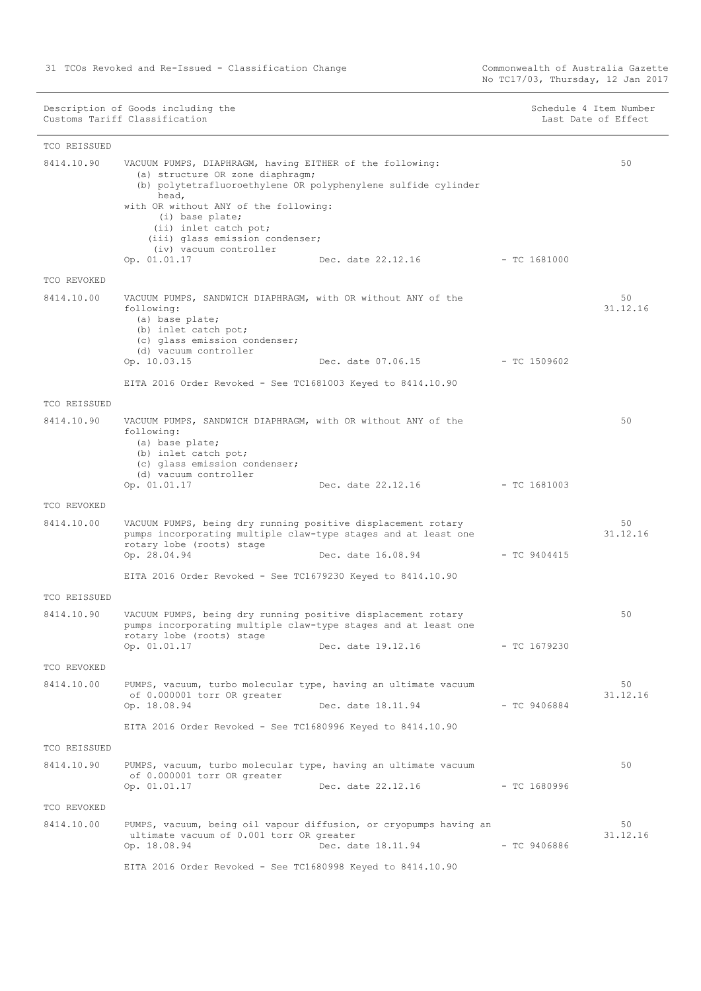No TC17/03, Thursday, 12 Jan 2017

| TCO REISSUED |                                                                                                                                                                                 |                                 |                |                |
|--------------|---------------------------------------------------------------------------------------------------------------------------------------------------------------------------------|---------------------------------|----------------|----------------|
| 8414.10.90   | VACUUM PUMPS, DIAPHRAGM, having EITHER of the following:<br>(a) structure OR zone diaphragm;<br>(b) polytetrafluoroethylene OR polyphenylene sulfide cylinder<br>head,          |                                 |                | 50             |
|              | with OR without ANY of the following:<br>(i) base plate;<br>(ii) inlet catch pot;<br>(iii) glass emission condenser;<br>(iv) vacuum controller<br>Op. 01.01.17                  | Dec. date 22.12.16 - TC 1681000 |                |                |
| TCO REVOKED  |                                                                                                                                                                                 |                                 |                |                |
| 8414.10.00   | VACUUM PUMPS, SANDWICH DIAPHRAGM, with OR without ANY of the<br>following:<br>(a) base plate;<br>(b) inlet catch pot;<br>(c) glass emission condenser;<br>(d) vacuum controller |                                 |                | 50<br>31.12.16 |
|              | Op. 10.03.15                                                                                                                                                                    | Dec. date 07.06.15              | $-$ TC 1509602 |                |
|              | EITA 2016 Order Revoked - See TC1681003 Keyed to 8414.10.90                                                                                                                     |                                 |                |                |
| TCO REISSUED |                                                                                                                                                                                 |                                 |                |                |
| 8414.10.90   | VACUUM PUMPS, SANDWICH DIAPHRAGM, with OR without ANY of the<br>following:<br>(a) base plate;<br>(b) inlet catch pot;<br>(c) glass emission condenser;<br>(d) vacuum controller |                                 |                | 50             |
|              | Op. 01.01.17                                                                                                                                                                    | Dec. date 22.12.16              | $-$ TC 1681003 |                |
| TCO REVOKED  |                                                                                                                                                                                 |                                 |                |                |
| 8414.10.00   | VACUUM PUMPS, being dry running positive displacement rotary<br>pumps incorporating multiple claw-type stages and at least one<br>rotary lobe (roots) stage<br>Op. 28.04.94     | Dec. date 16.08.94              | $-$ TC 9404415 | 50<br>31.12.16 |
|              | EITA 2016 Order Revoked - See TC1679230 Keyed to 8414.10.90                                                                                                                     |                                 |                |                |
| TCO REISSUED |                                                                                                                                                                                 |                                 |                |                |
| 8414.10.90   | VACUUM PUMPS, being dry running positive displacement rotary<br>pumps incorporating multiple claw-type stages and at least one<br>rotary lobe (roots) stage<br>Op. 01.01.17     | Dec. date 19.12.16              | - TC 1679230   | 50             |
| TCO REVOKED  |                                                                                                                                                                                 |                                 |                |                |
| 8414.10.00   | PUMPS, vacuum, turbo molecular type, having an ultimate vacuum                                                                                                                  |                                 |                | 50             |
|              | of 0.000001 torr OR greater<br>Op. 18.08.94                                                                                                                                     | Dec. date 18.11.94              | $-$ TC 9406884 | 31.12.16       |
|              | EITA 2016 Order Revoked - See TC1680996 Keyed to 8414.10.90                                                                                                                     |                                 |                |                |
| TCO REISSUED |                                                                                                                                                                                 |                                 |                |                |
| 8414.10.90   | PUMPS, vacuum, turbo molecular type, having an ultimate vacuum<br>of 0.000001 torr OR greater<br>Op. 01.01.17                                                                   | Dec. date 22.12.16              | - TC 1680996   | 50             |
| TCO REVOKED  |                                                                                                                                                                                 |                                 |                |                |
| 8414.10.00   | PUMPS, vacuum, being oil vapour diffusion, or cryopumps having an<br>ultimate vacuum of 0.001 torr OR greater                                                                   |                                 |                | 50<br>31.12.16 |
|              | Op. 18.08.94<br>EITA 2016 Order Revoked - See TC1680998 Keyed to 8414.10.90                                                                                                     | Dec. date 18.11.94              | $-$ TC 9406886 |                |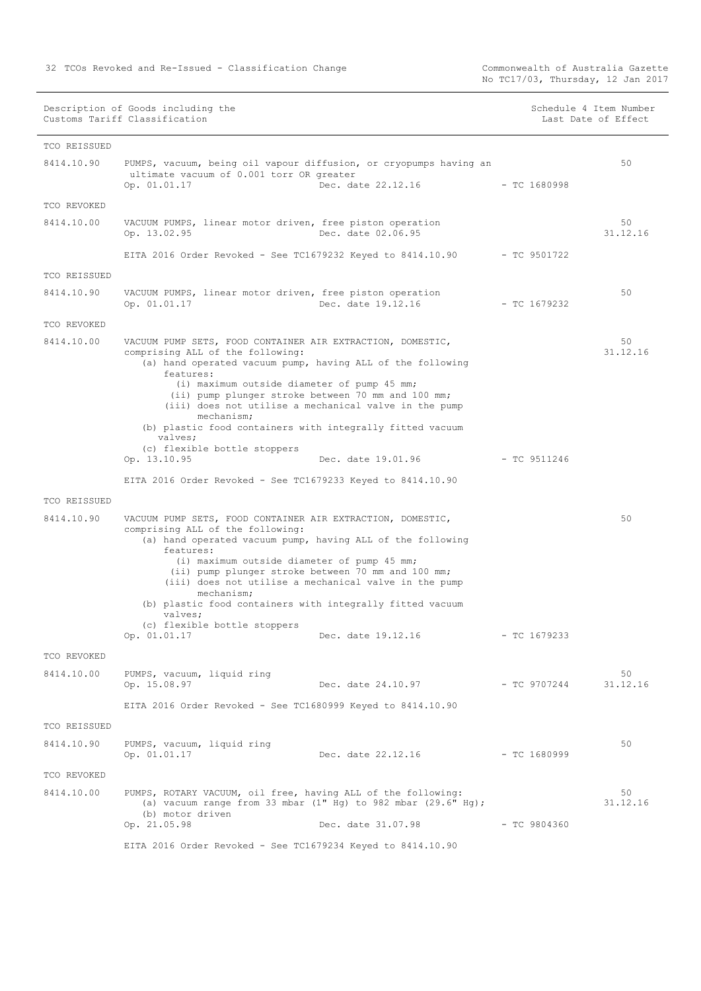Commonwealth of Australia Gazette<br>No TC17/03, Thursday, 12 Jan 2017

| Description of Goods including the | Schedule 4 Item Numbe |
|------------------------------------|-----------------------|
| Customs Tariff Classification      | Last Date of Effect   |

| Schedule 4 Item Number |  |                     |
|------------------------|--|---------------------|
|                        |  | Last Date of Effect |

<u> 1980 - Johann Barbara, martxa alemaniar a</u>

| TCO REISSUED |                                                                                                                                                                                                                                                                                                                                                                                                                                                               |                |                |
|--------------|---------------------------------------------------------------------------------------------------------------------------------------------------------------------------------------------------------------------------------------------------------------------------------------------------------------------------------------------------------------------------------------------------------------------------------------------------------------|----------------|----------------|
| 8414.10.90   | PUMPS, vacuum, being oil vapour diffusion, or cryopumps having an<br>ultimate vacuum of 0.001 torr OR greater<br>Dec. date 22.12.16 - TC 1680998<br>Op. 01.01.17                                                                                                                                                                                                                                                                                              |                | 50             |
| TCO REVOKED  |                                                                                                                                                                                                                                                                                                                                                                                                                                                               |                |                |
| 8414.10.00   | VACUUM PUMPS, linear motor driven, free piston operation<br>Dec. date 02.06.95<br>Op. 13.02.95                                                                                                                                                                                                                                                                                                                                                                |                | 50<br>31.12.16 |
|              | EITA 2016 Order Revoked - See TC1679232 Keyed to 8414.10.90 - TC 9501722                                                                                                                                                                                                                                                                                                                                                                                      |                |                |
| TCO REISSUED |                                                                                                                                                                                                                                                                                                                                                                                                                                                               |                |                |
| 8414.10.90   | VACUUM PUMPS, linear motor driven, free piston operation<br>Op. 01.01.17<br>Dec. date 19.12.16                                                                                                                                                                                                                                                                                                                                                                | $-$ TC 1679232 | 50             |
| TCO REVOKED  |                                                                                                                                                                                                                                                                                                                                                                                                                                                               |                |                |
| 8414.10.00   | VACUUM PUMP SETS, FOOD CONTAINER AIR EXTRACTION, DOMESTIC,<br>comprising ALL of the following:<br>(a) hand operated vacuum pump, having ALL of the following<br>features:<br>(i) maximum outside diameter of pump 45 mm;<br>(ii) pump plunger stroke between 70 mm and 100 mm;<br>(iii) does not utilise a mechanical valve in the pump<br>mechanism;<br>(b) plastic food containers with integrally fitted vacuum<br>valves;<br>(c) flexible bottle stoppers |                | 50<br>31.12.16 |
|              | Dec. date 19.01.96<br>Op. 13.10.95                                                                                                                                                                                                                                                                                                                                                                                                                            | $-$ TC 9511246 |                |
|              | EITA 2016 Order Revoked - See TC1679233 Keyed to 8414.10.90                                                                                                                                                                                                                                                                                                                                                                                                   |                |                |
| TCO REISSUED |                                                                                                                                                                                                                                                                                                                                                                                                                                                               |                |                |
| 8414.10.90   | VACUUM PUMP SETS, FOOD CONTAINER AIR EXTRACTION, DOMESTIC,<br>comprising ALL of the following:<br>(a) hand operated vacuum pump, having ALL of the following<br>features:<br>(i) maximum outside diameter of pump 45 mm;<br>(ii) pump plunger stroke between 70 mm and 100 mm;<br>(iii) does not utilise a mechanical valve in the pump<br>mechanism;<br>(b) plastic food containers with integrally fitted vacuum<br>valves:<br>(c) flexible bottle stoppers |                | 50             |
|              | Op. 01.01.17<br>Dec. date 19.12.16                                                                                                                                                                                                                                                                                                                                                                                                                            | $-$ TC 1679233 |                |
| TCO REVOKED  |                                                                                                                                                                                                                                                                                                                                                                                                                                                               |                |                |
| 8414.10.00   | PUMPS, vacuum, liquid ring<br>Op. 15.08.97<br>Dec. date 24.10.97                                                                                                                                                                                                                                                                                                                                                                                              | $-$ TC 9707244 | 50<br>31.12.16 |
|              | EITA 2016 Order Revoked - See TC1680999 Keyed to 8414.10.90                                                                                                                                                                                                                                                                                                                                                                                                   |                |                |
| TCO REISSUED |                                                                                                                                                                                                                                                                                                                                                                                                                                                               |                |                |
| 8414.10.90   | PUMPS, vacuum, liquid ring<br>Op. 01.01.17<br>Dec. date 22.12.16                                                                                                                                                                                                                                                                                                                                                                                              | $-$ TC 1680999 | 50             |
| TCO REVOKED  |                                                                                                                                                                                                                                                                                                                                                                                                                                                               |                |                |
| 8414.10.00   | PUMPS, ROTARY VACUUM, oil free, having ALL of the following:<br>(a) vacuum range from 33 mbar $(1"$ Hg) to 982 mbar $(29.6"$ Hg);<br>(b) motor driven<br>Op. 21.05.98<br>Dec. date 31.07.98                                                                                                                                                                                                                                                                   | $-$ TC 9804360 | 50<br>31.12.16 |
|              | EITA 2016 Order Revoked - See TC1679234 Keyed to 8414.10.90                                                                                                                                                                                                                                                                                                                                                                                                   |                |                |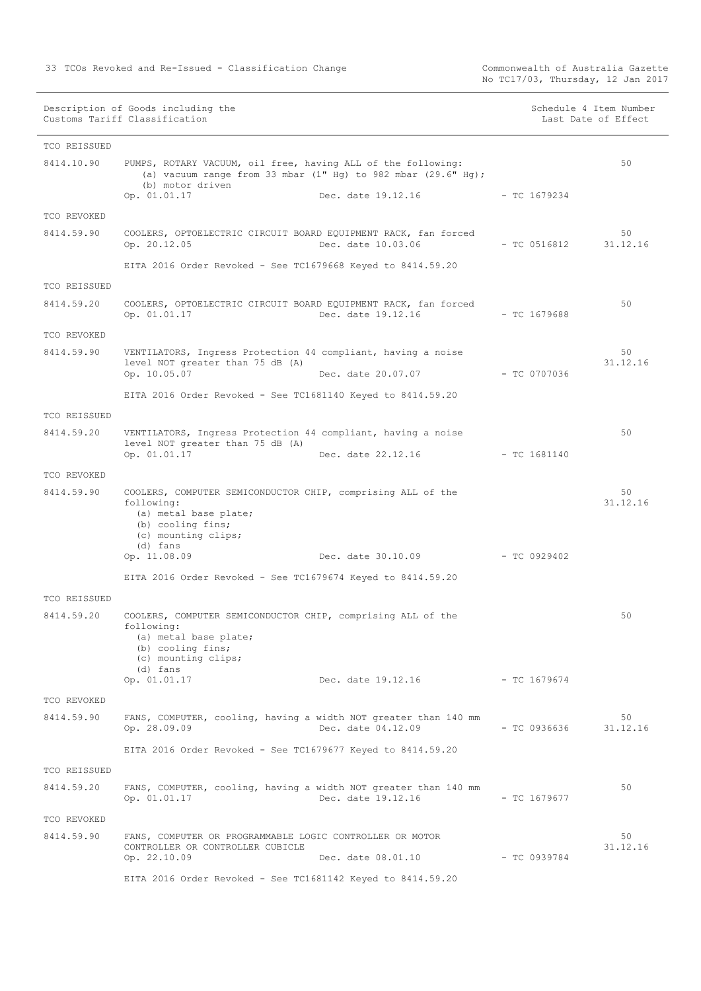Commonwealth of Australia Gazette<br>No TC17/03, Thursday, 12 Jan 2017

| TCO REISSUED              |                                                                                                                                                                            |                                 |                |                |
|---------------------------|----------------------------------------------------------------------------------------------------------------------------------------------------------------------------|---------------------------------|----------------|----------------|
| 8414.10.90                | PUMPS, ROTARY VACUUM, oil free, having ALL of the following:<br>(a) vacuum range from 33 mbar $(1"$ Hg) to 982 mbar $(29.6"$ Hg);<br>(b) motor driven<br>Op. 01.01.17      | Dec. date 19.12.16              | - TC 1679234   | 50             |
| TCO REVOKED               |                                                                                                                                                                            |                                 |                |                |
| 8414.59.90                | COOLERS, OPTOELECTRIC CIRCUIT BOARD EQUIPMENT RACK, fan forced<br>Op. 20.12.05                                                                                             | Dec. date 10.03.06              | - TC 0516812   | 50<br>31.12.16 |
|                           | EITA 2016 Order Revoked - See TC1679668 Keyed to 8414.59.20                                                                                                                |                                 |                |                |
| TCO REISSUED              |                                                                                                                                                                            |                                 |                |                |
| 8414.59.20                | COOLERS, OPTOELECTRIC CIRCUIT BOARD EQUIPMENT RACK, fan forced<br>Op. 01.01.17                                                                                             | Dec. date 19.12.16              | - TC 1679688   | 50             |
| TCO REVOKED               |                                                                                                                                                                            |                                 |                |                |
| 8414.59.90                | VENTILATORS, Ingress Protection 44 compliant, having a noise<br>level NOT greater than 75 dB (A)                                                                           |                                 |                | 50<br>31.12.16 |
|                           | Op. 10.05.07                                                                                                                                                               | Dec. date 20.07.07 - TC 0707036 |                |                |
|                           | EITA 2016 Order Revoked - See TC1681140 Keyed to 8414.59.20                                                                                                                |                                 |                |                |
| TCO REISSUED              |                                                                                                                                                                            |                                 |                |                |
| 8414.59.20                | VENTILATORS, Ingress Protection 44 compliant, having a noise                                                                                                               |                                 |                | 50             |
|                           | level NOT greater than 75 dB (A)<br>Op. 01.01.17                                                                                                                           | Dec. date 22.12.16 - TC 1681140 |                |                |
| TCO REVOKED               |                                                                                                                                                                            |                                 |                |                |
| 8414.59.90                | COOLERS, COMPUTER SEMICONDUCTOR CHIP, comprising ALL of the<br>following:<br>(a) metal base plate;<br>(b) cooling fins;<br>(c) mounting clips;<br>(d) fans<br>Op. 11.08.09 | Dec. date 30.10.09              | - TC 0929402   | 50<br>31.12.16 |
|                           | EITA 2016 Order Revoked - See TC1679674 Keyed to 8414.59.20                                                                                                                |                                 |                |                |
| TCO REISSUED              |                                                                                                                                                                            |                                 |                |                |
| 8414.59.20                | COOLERS, COMPUTER SEMICONDUCTOR CHIP, comprising ALL of the<br>following:<br>(a) metal base plate;<br>(b) cooling fins;<br>(c) mounting clips;<br>(d) fans<br>Op. 01.01.17 | Dec. date 19.12.16 - TC 1679674 |                | 50             |
|                           |                                                                                                                                                                            |                                 |                |                |
| TCO REVOKED<br>8414.59.90 | FANS, COMPUTER, cooling, having a width NOT greater than 140 mm<br>Op. 28.09.09                                                                                            | Dec. date 04.12.09              | - TC 0936636   | 50<br>31.12.16 |
|                           | EITA 2016 Order Revoked - See TC1679677 Keyed to 8414.59.20                                                                                                                |                                 |                |                |
| TCO REISSUED              |                                                                                                                                                                            |                                 |                |                |
| 8414.59.20                | FANS, COMPUTER, cooling, having a width NOT greater than 140 mm<br>Op. 01.01.17                                                                                            | Dec. date 19.12.16              | $-$ TC 1679677 | 50             |
|                           |                                                                                                                                                                            |                                 |                |                |
| TCO REVOKED               |                                                                                                                                                                            |                                 |                | 50             |
| 8414.59.90                | FANS, COMPUTER OR PROGRAMMABLE LOGIC CONTROLLER OR MOTOR<br>CONTROLLER OR CONTROLLER CUBICLE<br>Op. 22.10.09                                                               | Dec. date 08.01.10              | $-$ TC 0939784 | 31.12.16       |